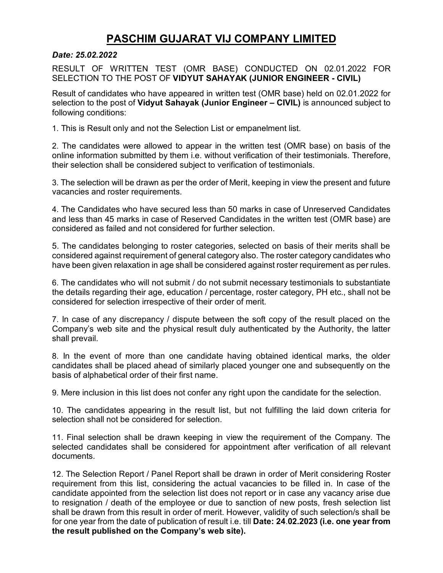## **PASCHIM GUJARAT VIJ COMPANY LIMITED**

## *Date: 25.02.2022*

RESULT OF WRITTEN TEST (OMR BASE) CONDUCTED ON 02.01.2022 FOR SELECTION TO THE POST OF **VIDYUT SAHAYAK (JUNIOR ENGINEER - CIVIL)**

Result of candidates who have appeared in written test (OMR base) held on 02.01.2022 for selection to the post of **Vidyut Sahayak (Junior Engineer – CIVIL)** is announced subject to following conditions:

1. This is Result only and not the Selection List or empanelment list.

2. The candidates were allowed to appear in the written test (OMR base) on basis of the online information submitted by them i.e. without verification of their testimonials. Therefore, their selection shall be considered subject to verification of testimonials.

3. The selection will be drawn as per the order of Merit, keeping in view the present and future vacancies and roster requirements.

4. The Candidates who have secured less than 50 marks in case of Unreserved Candidates and less than 45 marks in case of Reserved Candidates in the written test (OMR base) are considered as failed and not considered for further selection.

5. The candidates belonging to roster categories, selected on basis of their merits shall be considered against requirement of general category also. The roster category candidates who have been given relaxation in age shall be considered against roster requirement as per rules.

6. The candidates who will not submit / do not submit necessary testimonials to substantiate the details regarding their age, education / percentage, roster category, PH etc., shall not be considered for selection irrespective of their order of merit.

7. In case of any discrepancy / dispute between the soft copy of the result placed on the Company's web site and the physical result duly authenticated by the Authority, the latter shall prevail.

8. In the event of more than one candidate having obtained identical marks, the older candidates shall be placed ahead of similarly placed younger one and subsequently on the basis of alphabetical order of their first name.

9. Mere inclusion in this list does not confer any right upon the candidate for the selection.

10. The candidates appearing in the result list, but not fulfilling the laid down criteria for selection shall not be considered for selection.

11. Final selection shall be drawn keeping in view the requirement of the Company. The selected candidates shall be considered for appointment after verification of all relevant documents.

12. The Selection Report / Panel Report shall be drawn in order of Merit considering Roster requirement from this list, considering the actual vacancies to be filled in. In case of the candidate appointed from the selection list does not report or in case any vacancy arise due to resignation / death of the employee or due to sanction of new posts, fresh selection list shall be drawn from this result in order of merit. However, validity of such selection/s shall be for one year from the date of publication of result i.e. till **Date: 24**.**02.2023 (i.e. one year from the result published on the Company's web site).**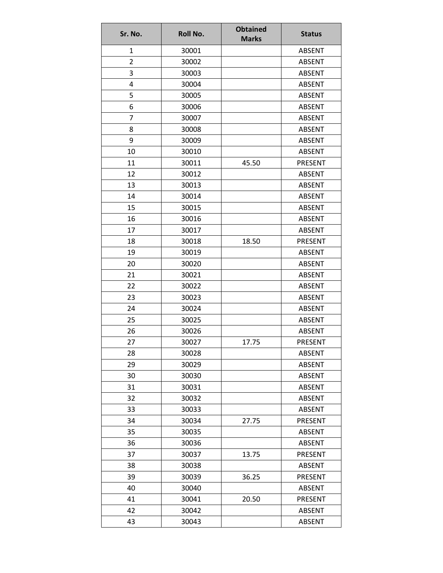| Sr. No.        | Roll No. | <b>Obtained</b><br><b>Marks</b> | <b>Status</b>  |
|----------------|----------|---------------------------------|----------------|
| $\mathbf{1}$   | 30001    |                                 | <b>ABSENT</b>  |
| $\overline{2}$ | 30002    |                                 | <b>ABSENT</b>  |
| 3              | 30003    |                                 | <b>ABSENT</b>  |
| 4              | 30004    |                                 | <b>ABSENT</b>  |
| 5              | 30005    |                                 | <b>ABSENT</b>  |
| 6              | 30006    |                                 | <b>ABSENT</b>  |
| 7              | 30007    |                                 | <b>ABSENT</b>  |
| 8              | 30008    |                                 | <b>ABSENT</b>  |
| 9              | 30009    |                                 | <b>ABSENT</b>  |
| 10             | 30010    |                                 | <b>ABSENT</b>  |
| 11             | 30011    | 45.50                           | <b>PRESENT</b> |
| 12             | 30012    |                                 | <b>ABSENT</b>  |
| 13             | 30013    |                                 | <b>ABSENT</b>  |
| 14             | 30014    |                                 | <b>ABSENT</b>  |
| 15             | 30015    |                                 | <b>ABSENT</b>  |
| 16             | 30016    |                                 | <b>ABSENT</b>  |
| 17             | 30017    |                                 | <b>ABSENT</b>  |
| 18             | 30018    | 18.50                           | <b>PRESENT</b> |
| 19             | 30019    |                                 | <b>ABSENT</b>  |
| 20             | 30020    |                                 | <b>ABSENT</b>  |
| 21             | 30021    |                                 | <b>ABSENT</b>  |
| 22             | 30022    |                                 | <b>ABSENT</b>  |
| 23             | 30023    |                                 | <b>ABSENT</b>  |
| 24             | 30024    |                                 | <b>ABSENT</b>  |
| 25             | 30025    |                                 | <b>ABSENT</b>  |
| 26             | 30026    |                                 | <b>ABSENT</b>  |
| 27             | 30027    | 17.75                           | PRESENT        |
| 28             | 30028    |                                 | <b>ABSENT</b>  |
| 29             | 30029    |                                 | ABSENT         |
| 30             | 30030    |                                 | <b>ABSENT</b>  |
| 31             | 30031    |                                 | <b>ABSENT</b>  |
| 32             | 30032    |                                 | ABSENT         |
| 33             | 30033    |                                 | <b>ABSENT</b>  |
| 34             | 30034    | 27.75                           | PRESENT        |
| 35             | 30035    |                                 | ABSENT         |
| 36             | 30036    |                                 | <b>ABSENT</b>  |
| 37             | 30037    | 13.75                           | PRESENT        |
| 38             | 30038    |                                 | ABSENT         |
| 39             | 30039    | 36.25                           | PRESENT        |
| 40             | 30040    |                                 | <b>ABSENT</b>  |
| 41             | 30041    | 20.50                           | PRESENT        |
| 42             | 30042    |                                 | ABSENT         |
| 43             | 30043    |                                 | <b>ABSENT</b>  |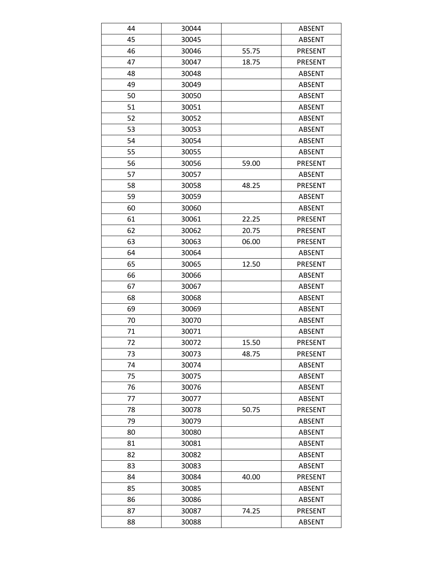| 44 | 30044 |       | <b>ABSENT</b>  |
|----|-------|-------|----------------|
| 45 | 30045 |       | <b>ABSENT</b>  |
| 46 | 30046 | 55.75 | <b>PRESENT</b> |
| 47 | 30047 | 18.75 | <b>PRESENT</b> |
| 48 | 30048 |       | <b>ABSENT</b>  |
| 49 | 30049 |       | <b>ABSENT</b>  |
| 50 | 30050 |       | <b>ABSENT</b>  |
| 51 | 30051 |       | <b>ABSENT</b>  |
| 52 | 30052 |       | <b>ABSENT</b>  |
| 53 | 30053 |       | <b>ABSENT</b>  |
| 54 | 30054 |       | <b>ABSENT</b>  |
| 55 | 30055 |       | <b>ABSENT</b>  |
| 56 | 30056 | 59.00 | <b>PRESENT</b> |
| 57 | 30057 |       | <b>ABSENT</b>  |
| 58 | 30058 | 48.25 | PRESENT        |
| 59 | 30059 |       | <b>ABSENT</b>  |
| 60 | 30060 |       | <b>ABSENT</b>  |
| 61 | 30061 | 22.25 | PRESENT        |
| 62 | 30062 | 20.75 | PRESENT        |
| 63 | 30063 | 06.00 | PRESENT        |
| 64 | 30064 |       | ABSENT         |
| 65 | 30065 | 12.50 | PRESENT        |
| 66 | 30066 |       | <b>ABSENT</b>  |
| 67 | 30067 |       | <b>ABSENT</b>  |
| 68 | 30068 |       | <b>ABSENT</b>  |
| 69 | 30069 |       | <b>ABSENT</b>  |
| 70 | 30070 |       | <b>ABSENT</b>  |
| 71 | 30071 |       | <b>ABSENT</b>  |
| 72 | 30072 | 15.50 | PRESENT        |
| 73 | 30073 | 48.75 | PRESENT        |
| 74 | 30074 |       | <b>ABSENT</b>  |
| 75 | 30075 |       | <b>ABSENT</b>  |
| 76 | 30076 |       | <b>ABSENT</b>  |
| 77 | 30077 |       | ABSENT         |
| 78 | 30078 | 50.75 | PRESENT        |
| 79 | 30079 |       | ABSENT         |
| 80 | 30080 |       | ABSENT         |
| 81 | 30081 |       | <b>ABSENT</b>  |
| 82 | 30082 |       | <b>ABSENT</b>  |
| 83 | 30083 |       | <b>ABSENT</b>  |
| 84 | 30084 | 40.00 | PRESENT        |
| 85 | 30085 |       | <b>ABSENT</b>  |
| 86 | 30086 |       | <b>ABSENT</b>  |
| 87 | 30087 | 74.25 | PRESENT        |
| 88 | 30088 |       | ABSENT         |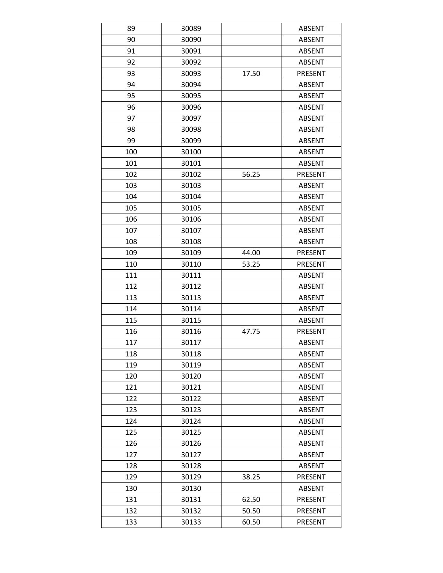| 89  | 30089 |       | <b>ABSENT</b>  |
|-----|-------|-------|----------------|
| 90  | 30090 |       | <b>ABSENT</b>  |
| 91  | 30091 |       | <b>ABSENT</b>  |
| 92  | 30092 |       | <b>ABSENT</b>  |
| 93  | 30093 | 17.50 | <b>PRESENT</b> |
| 94  | 30094 |       | <b>ABSENT</b>  |
| 95  | 30095 |       | <b>ABSENT</b>  |
| 96  | 30096 |       | <b>ABSENT</b>  |
| 97  | 30097 |       | <b>ABSENT</b>  |
| 98  | 30098 |       | <b>ABSENT</b>  |
| 99  | 30099 |       | <b>ABSENT</b>  |
| 100 | 30100 |       | <b>ABSENT</b>  |
| 101 | 30101 |       | <b>ABSENT</b>  |
| 102 | 30102 | 56.25 | <b>PRESENT</b> |
| 103 | 30103 |       | <b>ABSENT</b>  |
| 104 | 30104 |       | <b>ABSENT</b>  |
| 105 | 30105 |       | <b>ABSENT</b>  |
| 106 | 30106 |       | <b>ABSENT</b>  |
| 107 | 30107 |       | <b>ABSENT</b>  |
| 108 | 30108 |       | <b>ABSENT</b>  |
| 109 | 30109 | 44.00 | <b>PRESENT</b> |
| 110 | 30110 | 53.25 | PRESENT        |
| 111 | 30111 |       | <b>ABSENT</b>  |
| 112 | 30112 |       | <b>ABSENT</b>  |
| 113 | 30113 |       | <b>ABSENT</b>  |
| 114 | 30114 |       | <b>ABSENT</b>  |
| 115 | 30115 |       | <b>ABSENT</b>  |
| 116 | 30116 | 47.75 | <b>PRESENT</b> |
| 117 | 30117 |       | <b>ABSENT</b>  |
| 118 | 30118 |       | <b>ABSENT</b>  |
| 119 | 30119 |       | <b>ABSENT</b>  |
| 120 | 30120 |       | <b>ABSENT</b>  |
| 121 | 30121 |       | ABSENT         |
| 122 | 30122 |       | <b>ABSENT</b>  |
| 123 | 30123 |       | <b>ABSENT</b>  |
| 124 | 30124 |       | <b>ABSENT</b>  |
| 125 | 30125 |       | <b>ABSENT</b>  |
| 126 | 30126 |       | <b>ABSENT</b>  |
| 127 | 30127 |       | <b>ABSENT</b>  |
| 128 | 30128 |       | ABSENT         |
| 129 | 30129 | 38.25 | PRESENT        |
| 130 | 30130 |       | <b>ABSENT</b>  |
| 131 | 30131 | 62.50 | PRESENT        |
| 132 | 30132 | 50.50 | PRESENT        |
| 133 | 30133 | 60.50 | <b>PRESENT</b> |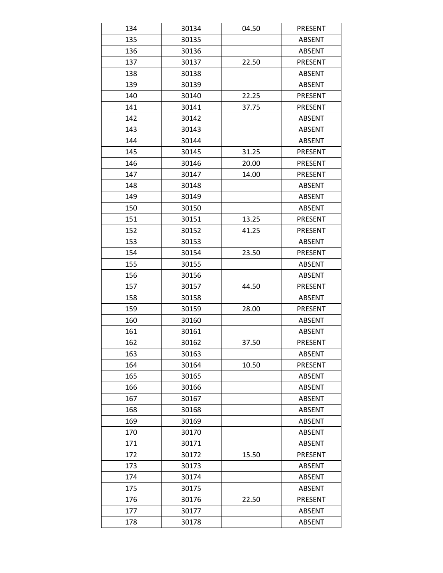| 134 | 30134 | 04.50 | PRESENT        |
|-----|-------|-------|----------------|
| 135 | 30135 |       | <b>ABSENT</b>  |
| 136 | 30136 |       | <b>ABSENT</b>  |
| 137 | 30137 | 22.50 | <b>PRESENT</b> |
| 138 | 30138 |       | <b>ABSENT</b>  |
| 139 | 30139 |       | <b>ABSENT</b>  |
| 140 | 30140 | 22.25 | <b>PRESENT</b> |
| 141 | 30141 | 37.75 | <b>PRESENT</b> |
| 142 | 30142 |       | <b>ABSENT</b>  |
| 143 | 30143 |       | <b>ABSENT</b>  |
| 144 | 30144 |       | <b>ABSENT</b>  |
| 145 | 30145 | 31.25 | <b>PRESENT</b> |
| 146 | 30146 | 20.00 | <b>PRESENT</b> |
| 147 | 30147 | 14.00 | <b>PRESENT</b> |
| 148 | 30148 |       | <b>ABSENT</b>  |
| 149 | 30149 |       | <b>ABSENT</b>  |
| 150 | 30150 |       | <b>ABSENT</b>  |
| 151 | 30151 | 13.25 | PRESENT        |
| 152 | 30152 | 41.25 | <b>PRESENT</b> |
| 153 | 30153 |       | <b>ABSENT</b>  |
| 154 | 30154 | 23.50 | <b>PRESENT</b> |
| 155 | 30155 |       | <b>ABSENT</b>  |
| 156 | 30156 |       | <b>ABSENT</b>  |
| 157 | 30157 | 44.50 | PRESENT        |
| 158 | 30158 |       | ABSENT         |
| 159 | 30159 | 28.00 | <b>PRESENT</b> |
| 160 | 30160 |       | <b>ABSENT</b>  |
| 161 | 30161 |       | <b>ABSENT</b>  |
| 162 | 30162 | 37.50 | <b>PRESENT</b> |
| 163 | 30163 |       | <b>ABSENT</b>  |
| 164 | 30164 | 10.50 | PRESENT        |
| 165 | 30165 |       | <b>ABSENT</b>  |
| 166 | 30166 |       | <b>ABSENT</b>  |
| 167 | 30167 |       | <b>ABSENT</b>  |
| 168 | 30168 |       | <b>ABSENT</b>  |
| 169 | 30169 |       | <b>ABSENT</b>  |
| 170 | 30170 |       | <b>ABSENT</b>  |
| 171 | 30171 |       | <b>ABSENT</b>  |
| 172 | 30172 | 15.50 | PRESENT        |
| 173 | 30173 |       | <b>ABSENT</b>  |
| 174 | 30174 |       | <b>ABSENT</b>  |
| 175 | 30175 |       | <b>ABSENT</b>  |
| 176 | 30176 | 22.50 | PRESENT        |
| 177 | 30177 |       | <b>ABSENT</b>  |
| 178 | 30178 |       | <b>ABSENT</b>  |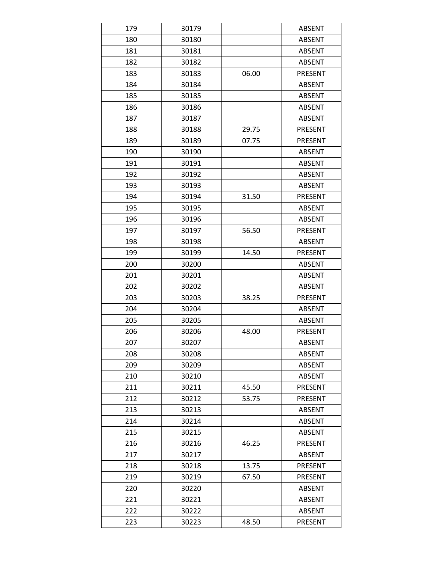| 179 | 30179 |       | <b>ABSENT</b>  |
|-----|-------|-------|----------------|
| 180 | 30180 |       | <b>ABSENT</b>  |
| 181 | 30181 |       | <b>ABSENT</b>  |
| 182 | 30182 |       | <b>ABSENT</b>  |
| 183 | 30183 | 06.00 | PRESENT        |
| 184 | 30184 |       | <b>ABSENT</b>  |
| 185 | 30185 |       | <b>ABSENT</b>  |
| 186 | 30186 |       | <b>ABSENT</b>  |
| 187 | 30187 |       | <b>ABSENT</b>  |
| 188 | 30188 | 29.75 | <b>PRESENT</b> |
| 189 | 30189 | 07.75 | <b>PRESENT</b> |
| 190 | 30190 |       | <b>ABSENT</b>  |
| 191 | 30191 |       | <b>ABSENT</b>  |
| 192 | 30192 |       | <b>ABSENT</b>  |
| 193 | 30193 |       | <b>ABSENT</b>  |
| 194 | 30194 | 31.50 | PRESENT        |
| 195 | 30195 |       | <b>ABSENT</b>  |
| 196 | 30196 |       | <b>ABSENT</b>  |
| 197 | 30197 | 56.50 | <b>PRESENT</b> |
| 198 | 30198 |       | <b>ABSENT</b>  |
| 199 | 30199 | 14.50 | <b>PRESENT</b> |
| 200 | 30200 |       | <b>ABSENT</b>  |
| 201 | 30201 |       | <b>ABSENT</b>  |
| 202 | 30202 |       | <b>ABSENT</b>  |
| 203 | 30203 | 38.25 | PRESENT        |
| 204 | 30204 |       | <b>ABSENT</b>  |
| 205 | 30205 |       | <b>ABSENT</b>  |
| 206 | 30206 | 48.00 | <b>PRESENT</b> |
| 207 | 30207 |       | <b>ABSENT</b>  |
| 208 | 30208 |       | <b>ABSENT</b>  |
| 209 | 30209 |       | <b>ABSENT</b>  |
| 210 | 30210 |       | <b>ABSENT</b>  |
| 211 | 30211 | 45.50 | <b>PRESENT</b> |
| 212 | 30212 | 53.75 | PRESENT        |
| 213 | 30213 |       | <b>ABSENT</b>  |
| 214 | 30214 |       | <b>ABSENT</b>  |
| 215 | 30215 |       | <b>ABSENT</b>  |
| 216 | 30216 | 46.25 | <b>PRESENT</b> |
| 217 | 30217 |       | ABSENT         |
| 218 | 30218 | 13.75 | PRESENT        |
| 219 | 30219 | 67.50 | PRESENT        |
| 220 | 30220 |       | <b>ABSENT</b>  |
| 221 | 30221 |       | ABSENT         |
| 222 | 30222 |       | <b>ABSENT</b>  |
| 223 | 30223 | 48.50 | <b>PRESENT</b> |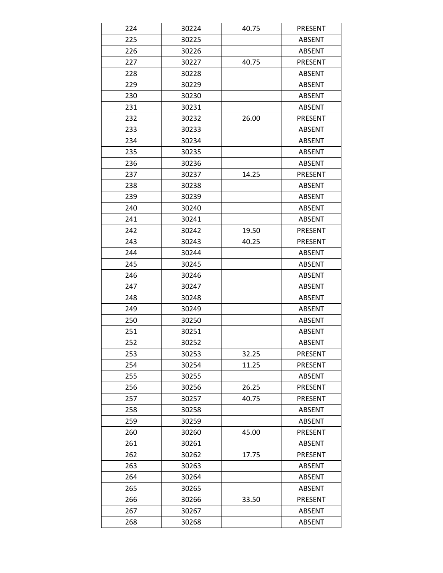| 224 | 30224 | 40.75 | <b>PRESENT</b> |
|-----|-------|-------|----------------|
| 225 | 30225 |       | <b>ABSENT</b>  |
| 226 | 30226 |       | <b>ABSENT</b>  |
| 227 | 30227 | 40.75 | PRESENT        |
| 228 | 30228 |       | <b>ABSENT</b>  |
| 229 | 30229 |       | <b>ABSENT</b>  |
| 230 | 30230 |       | <b>ABSENT</b>  |
| 231 | 30231 |       | <b>ABSENT</b>  |
| 232 | 30232 | 26.00 | <b>PRESENT</b> |
| 233 | 30233 |       | <b>ABSENT</b>  |
| 234 | 30234 |       | <b>ABSENT</b>  |
| 235 | 30235 |       | <b>ABSENT</b>  |
| 236 | 30236 |       | <b>ABSENT</b>  |
| 237 | 30237 | 14.25 | <b>PRESENT</b> |
| 238 | 30238 |       | <b>ABSENT</b>  |
| 239 | 30239 |       | <b>ABSENT</b>  |
| 240 | 30240 |       | <b>ABSENT</b>  |
| 241 | 30241 |       | <b>ABSENT</b>  |
| 242 | 30242 | 19.50 | PRESENT        |
| 243 | 30243 | 40.25 | <b>PRESENT</b> |
| 244 | 30244 |       | <b>ABSENT</b>  |
| 245 | 30245 |       | <b>ABSENT</b>  |
| 246 | 30246 |       | <b>ABSENT</b>  |
| 247 | 30247 |       | <b>ABSENT</b>  |
| 248 | 30248 |       | <b>ABSENT</b>  |
| 249 | 30249 |       | <b>ABSENT</b>  |
| 250 | 30250 |       | <b>ABSENT</b>  |
| 251 | 30251 |       | <b>ABSENT</b>  |
| 252 | 30252 |       | <b>ABSENT</b>  |
| 253 | 30253 | 32.25 | PRESENT        |
| 254 | 30254 | 11.25 | PRESENT        |
| 255 | 30255 |       | <b>ABSENT</b>  |
| 256 | 30256 | 26.25 | PRESENT        |
| 257 | 30257 | 40.75 | <b>PRESENT</b> |
| 258 | 30258 |       | ABSENT         |
| 259 | 30259 |       | <b>ABSENT</b>  |
| 260 | 30260 | 45.00 | PRESENT        |
| 261 | 30261 |       | <b>ABSENT</b>  |
| 262 | 30262 | 17.75 | PRESENT        |
| 263 | 30263 |       | ABSENT         |
| 264 | 30264 |       | <b>ABSENT</b>  |
| 265 | 30265 |       | <b>ABSENT</b>  |
| 266 | 30266 | 33.50 | PRESENT        |
| 267 | 30267 |       | ABSENT         |
| 268 | 30268 |       | <b>ABSENT</b>  |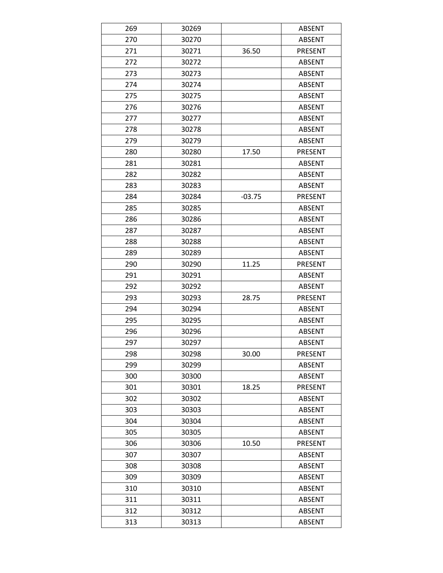| 269 | 30269 |          | <b>ABSENT</b>  |
|-----|-------|----------|----------------|
| 270 | 30270 |          | <b>ABSENT</b>  |
| 271 | 30271 | 36.50    | <b>PRESENT</b> |
| 272 | 30272 |          | <b>ABSENT</b>  |
| 273 | 30273 |          | <b>ABSENT</b>  |
| 274 | 30274 |          | <b>ABSENT</b>  |
| 275 | 30275 |          | <b>ABSENT</b>  |
| 276 | 30276 |          | <b>ABSENT</b>  |
| 277 | 30277 |          | <b>ABSENT</b>  |
| 278 | 30278 |          | <b>ABSENT</b>  |
| 279 | 30279 |          | <b>ABSENT</b>  |
| 280 | 30280 | 17.50    | PRESENT        |
| 281 | 30281 |          | <b>ABSENT</b>  |
| 282 | 30282 |          | <b>ABSENT</b>  |
| 283 | 30283 |          | <b>ABSENT</b>  |
| 284 | 30284 | $-03.75$ | PRESENT        |
| 285 | 30285 |          | <b>ABSENT</b>  |
| 286 | 30286 |          | <b>ABSENT</b>  |
| 287 | 30287 |          | <b>ABSENT</b>  |
| 288 | 30288 |          | <b>ABSENT</b>  |
| 289 | 30289 |          | <b>ABSENT</b>  |
| 290 | 30290 | 11.25    | PRESENT        |
| 291 | 30291 |          | <b>ABSENT</b>  |
| 292 | 30292 |          | <b>ABSENT</b>  |
| 293 | 30293 | 28.75    | PRESENT        |
| 294 | 30294 |          | <b>ABSENT</b>  |
| 295 | 30295 |          | <b>ABSENT</b>  |
| 296 | 30296 |          | <b>ABSENT</b>  |
| 297 | 30297 |          | <b>ABSENT</b>  |
| 298 | 30298 | 30.00    | PRESENT        |
| 299 | 30299 |          | <b>ABSENT</b>  |
| 300 | 30300 |          | <b>ABSENT</b>  |
| 301 | 30301 | 18.25    | PRESENT        |
| 302 | 30302 |          | <b>ABSENT</b>  |
| 303 | 30303 |          | <b>ABSENT</b>  |
| 304 | 30304 |          | <b>ABSENT</b>  |
| 305 | 30305 |          | <b>ABSENT</b>  |
| 306 | 30306 | 10.50    | PRESENT        |
| 307 | 30307 |          | <b>ABSENT</b>  |
| 308 | 30308 |          | <b>ABSENT</b>  |
| 309 | 30309 |          | <b>ABSENT</b>  |
| 310 | 30310 |          | <b>ABSENT</b>  |
| 311 | 30311 |          | <b>ABSENT</b>  |
| 312 | 30312 |          | <b>ABSENT</b>  |
| 313 | 30313 |          | <b>ABSENT</b>  |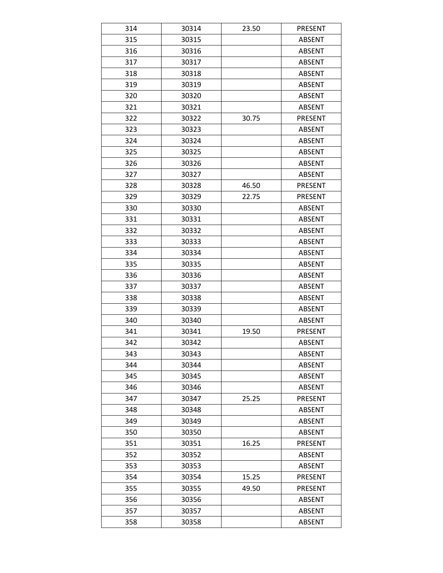| 314 | 30314 | 23.50 | PRESENT        |
|-----|-------|-------|----------------|
| 315 | 30315 |       | <b>ABSENT</b>  |
| 316 | 30316 |       | <b>ABSENT</b>  |
| 317 | 30317 |       | <b>ABSENT</b>  |
| 318 | 30318 |       | <b>ABSENT</b>  |
| 319 | 30319 |       | <b>ABSENT</b>  |
| 320 | 30320 |       | <b>ABSENT</b>  |
| 321 | 30321 |       | <b>ABSENT</b>  |
| 322 | 30322 | 30.75 | <b>PRESENT</b> |
| 323 | 30323 |       | <b>ABSENT</b>  |
| 324 | 30324 |       | <b>ABSENT</b>  |
| 325 | 30325 |       | <b>ABSENT</b>  |
| 326 | 30326 |       | <b>ABSENT</b>  |
| 327 | 30327 |       | <b>ABSENT</b>  |
| 328 | 30328 | 46.50 | <b>PRESENT</b> |
| 329 | 30329 | 22.75 | PRESENT        |
| 330 | 30330 |       | <b>ABSENT</b>  |
| 331 | 30331 |       | <b>ABSENT</b>  |
| 332 | 30332 |       | <b>ABSENT</b>  |
| 333 | 30333 |       | <b>ABSENT</b>  |
| 334 | 30334 |       | <b>ABSENT</b>  |
| 335 | 30335 |       | <b>ABSENT</b>  |
| 336 | 30336 |       | <b>ABSENT</b>  |
| 337 | 30337 |       | <b>ABSENT</b>  |
| 338 | 30338 |       | <b>ABSENT</b>  |
| 339 | 30339 |       | <b>ABSENT</b>  |
| 340 | 30340 |       | <b>ABSENT</b>  |
| 341 | 30341 | 19.50 | <b>PRESENT</b> |
| 342 | 30342 |       | <b>ABSENT</b>  |
| 343 | 30343 |       | <b>ABSENT</b>  |
| 344 | 30344 |       | <b>ABSENT</b>  |
| 345 | 30345 |       | <b>ABSENT</b>  |
| 346 | 30346 |       | <b>ABSENT</b>  |
| 347 | 30347 | 25.25 | <b>PRESENT</b> |
| 348 | 30348 |       | <b>ABSENT</b>  |
| 349 | 30349 |       | <b>ABSENT</b>  |
| 350 | 30350 |       | ABSENT         |
| 351 | 30351 | 16.25 | <b>PRESENT</b> |
| 352 | 30352 |       | <b>ABSENT</b>  |
| 353 | 30353 |       | ABSENT         |
| 354 | 30354 | 15.25 | PRESENT        |
| 355 | 30355 | 49.50 | PRESENT        |
| 356 | 30356 |       | <b>ABSENT</b>  |
| 357 | 30357 |       | ABSENT         |
| 358 | 30358 |       | <b>ABSENT</b>  |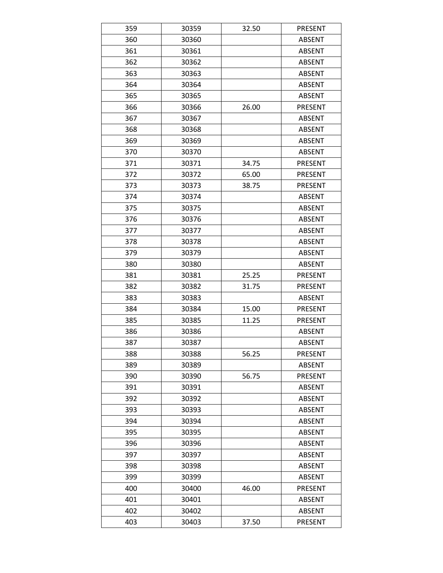| 359 | 30359 | 32.50 | <b>PRESENT</b> |
|-----|-------|-------|----------------|
| 360 | 30360 |       | ABSENT         |
| 361 | 30361 |       | <b>ABSENT</b>  |
| 362 | 30362 |       | <b>ABSENT</b>  |
| 363 | 30363 |       | <b>ABSENT</b>  |
| 364 | 30364 |       | <b>ABSENT</b>  |
| 365 | 30365 |       | <b>ABSENT</b>  |
| 366 | 30366 | 26.00 | <b>PRESENT</b> |
| 367 | 30367 |       | <b>ABSENT</b>  |
| 368 | 30368 |       | <b>ABSENT</b>  |
| 369 | 30369 |       | <b>ABSENT</b>  |
| 370 | 30370 |       | <b>ABSENT</b>  |
| 371 | 30371 | 34.75 | <b>PRESENT</b> |
| 372 | 30372 | 65.00 | PRESENT        |
| 373 | 30373 | 38.75 | <b>PRESENT</b> |
| 374 | 30374 |       | <b>ABSENT</b>  |
| 375 | 30375 |       | <b>ABSENT</b>  |
| 376 | 30376 |       | <b>ABSENT</b>  |
| 377 | 30377 |       | <b>ABSENT</b>  |
| 378 | 30378 |       | <b>ABSENT</b>  |
| 379 | 30379 |       | <b>ABSENT</b>  |
| 380 | 30380 |       | <b>ABSENT</b>  |
| 381 | 30381 | 25.25 | PRESENT        |
| 382 | 30382 | 31.75 | PRESENT        |
| 383 | 30383 |       | <b>ABSENT</b>  |
| 384 | 30384 | 15.00 | PRESENT        |
| 385 | 30385 | 11.25 | <b>PRESENT</b> |
| 386 | 30386 |       | <b>ABSENT</b>  |
| 387 | 30387 |       | <b>ABSENT</b>  |
| 388 | 30388 | 56.25 | PRESENT        |
| 389 | 30389 |       | <b>ABSENT</b>  |
| 390 | 30390 | 56.75 | <b>PRESENT</b> |
| 391 | 30391 |       | <b>ABSENT</b>  |
| 392 | 30392 |       | ABSENT         |
| 393 | 30393 |       | <b>ABSENT</b>  |
| 394 | 30394 |       | <b>ABSENT</b>  |
| 395 | 30395 |       | <b>ABSENT</b>  |
| 396 | 30396 |       | <b>ABSENT</b>  |
| 397 | 30397 |       | <b>ABSENT</b>  |
| 398 | 30398 |       | <b>ABSENT</b>  |
| 399 | 30399 |       | ABSENT         |
| 400 | 30400 | 46.00 | PRESENT        |
| 401 | 30401 |       | <b>ABSENT</b>  |
| 402 | 30402 |       | ABSENT         |
| 403 | 30403 | 37.50 | PRESENT        |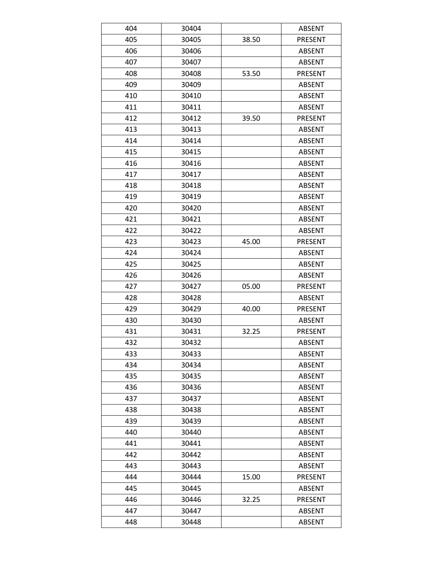| 404 | 30404 |       | <b>ABSENT</b>  |
|-----|-------|-------|----------------|
| 405 | 30405 | 38.50 | <b>PRESENT</b> |
| 406 | 30406 |       | <b>ABSENT</b>  |
| 407 | 30407 |       | <b>ABSENT</b>  |
| 408 | 30408 | 53.50 | PRESENT        |
| 409 | 30409 |       | <b>ABSENT</b>  |
| 410 | 30410 |       | <b>ABSENT</b>  |
| 411 | 30411 |       | <b>ABSENT</b>  |
| 412 | 30412 | 39.50 | <b>PRESENT</b> |
| 413 | 30413 |       | <b>ABSENT</b>  |
| 414 | 30414 |       | <b>ABSENT</b>  |
| 415 | 30415 |       | <b>ABSENT</b>  |
| 416 | 30416 |       | <b>ABSENT</b>  |
| 417 | 30417 |       | <b>ABSENT</b>  |
| 418 | 30418 |       | <b>ABSENT</b>  |
| 419 | 30419 |       | <b>ABSENT</b>  |
| 420 | 30420 |       | <b>ABSENT</b>  |
| 421 | 30421 |       | <b>ABSENT</b>  |
| 422 | 30422 |       | <b>ABSENT</b>  |
| 423 | 30423 | 45.00 | <b>PRESENT</b> |
| 424 | 30424 |       | <b>ABSENT</b>  |
| 425 | 30425 |       | <b>ABSENT</b>  |
| 426 | 30426 |       | <b>ABSENT</b>  |
| 427 | 30427 | 05.00 | PRESENT        |
| 428 | 30428 |       | <b>ABSENT</b>  |
| 429 | 30429 | 40.00 | <b>PRESENT</b> |
| 430 | 30430 |       | <b>ABSENT</b>  |
| 431 | 30431 | 32.25 | <b>PRESENT</b> |
| 432 | 30432 |       | <b>ABSENT</b>  |
| 433 | 30433 |       | <b>ABSENT</b>  |
| 434 | 30434 |       | <b>ABSENT</b>  |
| 435 | 30435 |       | <b>ABSENT</b>  |
| 436 | 30436 |       | <b>ABSENT</b>  |
| 437 | 30437 |       | ABSENT         |
| 438 | 30438 |       | <b>ABSENT</b>  |
| 439 | 30439 |       | <b>ABSENT</b>  |
| 440 | 30440 |       | <b>ABSENT</b>  |
| 441 | 30441 |       | <b>ABSENT</b>  |
| 442 | 30442 |       | <b>ABSENT</b>  |
| 443 | 30443 |       | <b>ABSENT</b>  |
| 444 | 30444 | 15.00 | PRESENT        |
| 445 | 30445 |       | <b>ABSENT</b>  |
| 446 | 30446 | 32.25 | <b>PRESENT</b> |
| 447 | 30447 |       | ABSENT         |
| 448 | 30448 |       | <b>ABSENT</b>  |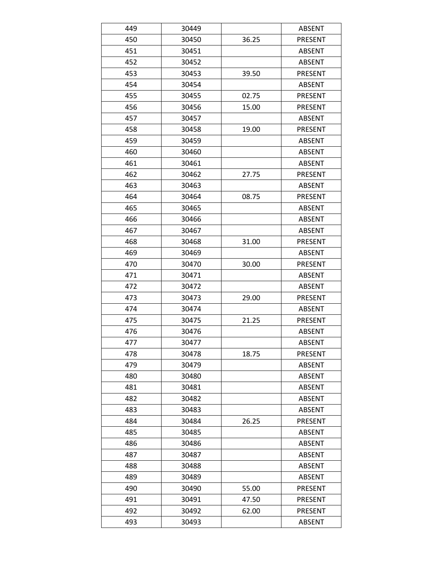| 449 | 30449 |       | <b>ABSENT</b>  |
|-----|-------|-------|----------------|
| 450 | 30450 | 36.25 | PRESENT        |
| 451 | 30451 |       | <b>ABSENT</b>  |
| 452 | 30452 |       | <b>ABSENT</b>  |
| 453 | 30453 | 39.50 | <b>PRESENT</b> |
| 454 | 30454 |       | <b>ABSENT</b>  |
| 455 | 30455 | 02.75 | <b>PRESENT</b> |
| 456 | 30456 | 15.00 | <b>PRESENT</b> |
| 457 | 30457 |       | <b>ABSENT</b>  |
| 458 | 30458 | 19.00 | PRESENT        |
| 459 | 30459 |       | <b>ABSENT</b>  |
| 460 | 30460 |       | <b>ABSENT</b>  |
| 461 | 30461 |       | <b>ABSENT</b>  |
| 462 | 30462 | 27.75 | <b>PRESENT</b> |
| 463 | 30463 |       | <b>ABSENT</b>  |
| 464 | 30464 | 08.75 | <b>PRESENT</b> |
| 465 | 30465 |       | <b>ABSENT</b>  |
| 466 | 30466 |       | <b>ABSENT</b>  |
| 467 | 30467 |       | <b>ABSENT</b>  |
| 468 | 30468 | 31.00 | <b>PRESENT</b> |
| 469 | 30469 |       | <b>ABSENT</b>  |
| 470 | 30470 | 30.00 | <b>PRESENT</b> |
| 471 | 30471 |       | <b>ABSENT</b>  |
| 472 | 30472 |       | <b>ABSENT</b>  |
| 473 | 30473 | 29.00 | <b>PRESENT</b> |
| 474 | 30474 |       | <b>ABSENT</b>  |
| 475 | 30475 | 21.25 | <b>PRESENT</b> |
| 476 | 30476 |       | <b>ABSENT</b>  |
| 477 | 30477 |       | <b>ABSENT</b>  |
| 478 | 30478 | 18.75 | <b>PRESENT</b> |
| 479 | 30479 |       | <b>ABSENT</b>  |
| 480 | 30480 |       | <b>ABSENT</b>  |
| 481 | 30481 |       | ABSENT         |
| 482 | 30482 |       | <b>ABSENT</b>  |
| 483 | 30483 |       | <b>ABSENT</b>  |
| 484 | 30484 | 26.25 | PRESENT        |
| 485 | 30485 |       | ABSENT         |
| 486 | 30486 |       | <b>ABSENT</b>  |
| 487 | 30487 |       | <b>ABSENT</b>  |
| 488 | 30488 |       | <b>ABSENT</b>  |
| 489 | 30489 |       | <b>ABSENT</b>  |
| 490 | 30490 | 55.00 | <b>PRESENT</b> |
| 491 | 30491 | 47.50 | <b>PRESENT</b> |
| 492 | 30492 | 62.00 | <b>PRESENT</b> |
| 493 | 30493 |       | ABSENT         |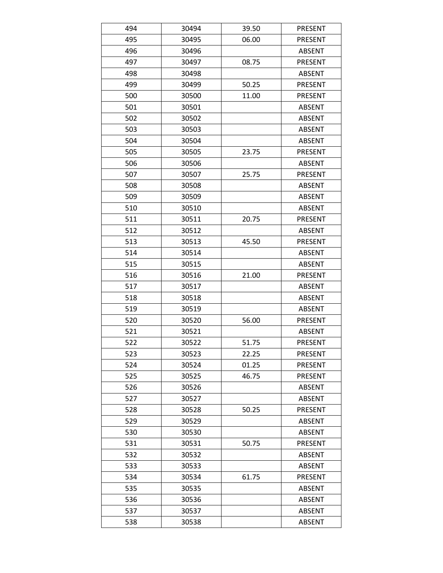| 494 | 30494 | 39.50 | <b>PRESENT</b> |
|-----|-------|-------|----------------|
| 495 | 30495 | 06.00 | PRESENT        |
| 496 | 30496 |       | <b>ABSENT</b>  |
| 497 | 30497 | 08.75 | <b>PRESENT</b> |
| 498 | 30498 |       | <b>ABSENT</b>  |
| 499 | 30499 | 50.25 | <b>PRESENT</b> |
| 500 | 30500 | 11.00 | PRESENT        |
| 501 | 30501 |       | ABSENT         |
| 502 | 30502 |       | <b>ABSENT</b>  |
| 503 | 30503 |       | <b>ABSENT</b>  |
| 504 | 30504 |       | <b>ABSENT</b>  |
| 505 | 30505 | 23.75 | <b>PRESENT</b> |
| 506 | 30506 |       | <b>ABSENT</b>  |
| 507 | 30507 | 25.75 | PRESENT        |
| 508 | 30508 |       | <b>ABSENT</b>  |
| 509 | 30509 |       | <b>ABSENT</b>  |
| 510 | 30510 |       | <b>ABSENT</b>  |
| 511 | 30511 | 20.75 | <b>PRESENT</b> |
| 512 | 30512 |       | <b>ABSENT</b>  |
| 513 | 30513 | 45.50 | <b>PRESENT</b> |
| 514 | 30514 |       | <b>ABSENT</b>  |
| 515 | 30515 |       | <b>ABSENT</b>  |
| 516 | 30516 | 21.00 | <b>PRESENT</b> |
| 517 | 30517 |       | <b>ABSENT</b>  |
| 518 | 30518 |       | <b>ABSENT</b>  |
| 519 | 30519 |       | <b>ABSENT</b>  |
| 520 | 30520 | 56.00 | PRESENT        |
| 521 | 30521 |       | <b>ABSENT</b>  |
| 522 | 30522 | 51.75 | PRESENT        |
| 523 | 30523 | 22.25 | PRESENT        |
| 524 | 30524 | 01.25 | <b>PRESENT</b> |
| 525 | 30525 | 46.75 | <b>PRESENT</b> |
| 526 | 30526 |       | <b>ABSENT</b>  |
| 527 | 30527 |       | <b>ABSENT</b>  |
| 528 | 30528 | 50.25 | PRESENT        |
| 529 | 30529 |       | <b>ABSENT</b>  |
| 530 | 30530 |       | <b>ABSENT</b>  |
| 531 | 30531 | 50.75 | PRESENT        |
| 532 | 30532 |       | <b>ABSENT</b>  |
| 533 | 30533 |       | <b>ABSENT</b>  |
| 534 | 30534 | 61.75 | PRESENT        |
| 535 | 30535 |       | <b>ABSENT</b>  |
| 536 | 30536 |       | <b>ABSENT</b>  |
| 537 | 30537 |       | <b>ABSENT</b>  |
| 538 | 30538 |       | <b>ABSENT</b>  |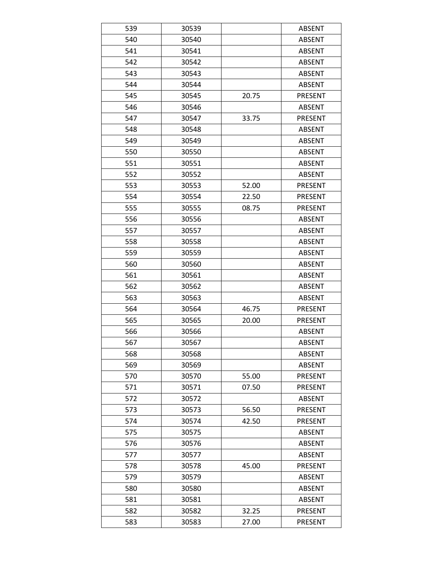| 539 | 30539 |       | <b>ABSENT</b>  |
|-----|-------|-------|----------------|
| 540 | 30540 |       | <b>ABSENT</b>  |
| 541 | 30541 |       | <b>ABSENT</b>  |
| 542 | 30542 |       | <b>ABSENT</b>  |
| 543 | 30543 |       | <b>ABSENT</b>  |
| 544 | 30544 |       | <b>ABSENT</b>  |
| 545 | 30545 | 20.75 | PRESENT        |
| 546 | 30546 |       | <b>ABSENT</b>  |
| 547 | 30547 | 33.75 | <b>PRESENT</b> |
| 548 | 30548 |       | <b>ABSENT</b>  |
| 549 | 30549 |       | <b>ABSENT</b>  |
| 550 | 30550 |       | <b>ABSENT</b>  |
| 551 | 30551 |       | <b>ABSENT</b>  |
| 552 | 30552 |       | <b>ABSENT</b>  |
| 553 | 30553 | 52.00 | <b>PRESENT</b> |
| 554 | 30554 | 22.50 | PRESENT        |
| 555 | 30555 | 08.75 | <b>PRESENT</b> |
| 556 | 30556 |       | <b>ABSENT</b>  |
| 557 | 30557 |       | <b>ABSENT</b>  |
| 558 | 30558 |       | <b>ABSENT</b>  |
| 559 | 30559 |       | <b>ABSENT</b>  |
| 560 | 30560 |       | <b>ABSENT</b>  |
| 561 | 30561 |       | <b>ABSENT</b>  |
| 562 | 30562 |       | <b>ABSENT</b>  |
| 563 | 30563 |       | <b>ABSENT</b>  |
| 564 | 30564 | 46.75 | <b>PRESENT</b> |
| 565 | 30565 | 20.00 | PRESENT        |
| 566 | 30566 |       | <b>ABSENT</b>  |
| 567 | 30567 |       | <b>ABSENT</b>  |
| 568 | 30568 |       | <b>ABSENT</b>  |
| 569 | 30569 |       | <b>ABSENT</b>  |
| 570 | 30570 | 55.00 | <b>PRESENT</b> |
| 571 | 30571 | 07.50 | <b>PRESENT</b> |
| 572 | 30572 |       | <b>ABSENT</b>  |
| 573 | 30573 | 56.50 | PRESENT        |
| 574 | 30574 | 42.50 | PRESENT        |
| 575 | 30575 |       | <b>ABSENT</b>  |
| 576 | 30576 |       | <b>ABSENT</b>  |
| 577 | 30577 |       | <b>ABSENT</b>  |
| 578 | 30578 | 45.00 | PRESENT        |
| 579 | 30579 |       | <b>ABSENT</b>  |
| 580 | 30580 |       | <b>ABSENT</b>  |
| 581 | 30581 |       | <b>ABSENT</b>  |
| 582 | 30582 | 32.25 | PRESENT        |
| 583 | 30583 | 27.00 | <b>PRESENT</b> |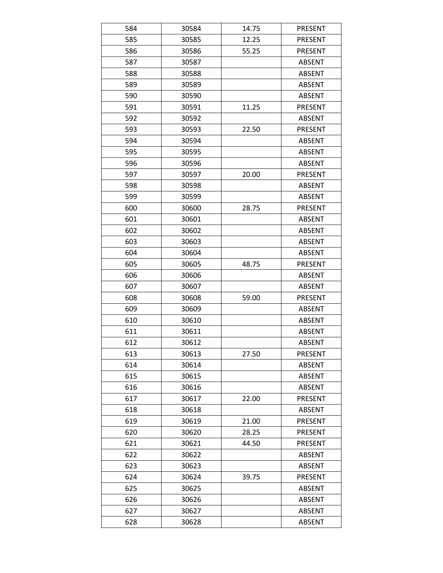| 584 | 30584 | 14.75 | <b>PRESENT</b> |
|-----|-------|-------|----------------|
| 585 | 30585 | 12.25 | <b>PRESENT</b> |
| 586 | 30586 | 55.25 | <b>PRESENT</b> |
| 587 | 30587 |       | <b>ABSENT</b>  |
| 588 | 30588 |       | <b>ABSENT</b>  |
| 589 | 30589 |       | <b>ABSENT</b>  |
| 590 | 30590 |       | <b>ABSENT</b>  |
| 591 | 30591 | 11.25 | PRESENT        |
| 592 | 30592 |       | <b>ABSENT</b>  |
| 593 | 30593 | 22.50 | PRESENT        |
| 594 | 30594 |       | <b>ABSENT</b>  |
| 595 | 30595 |       | <b>ABSENT</b>  |
| 596 | 30596 |       | <b>ABSENT</b>  |
| 597 | 30597 | 20.00 | PRESENT        |
| 598 | 30598 |       | <b>ABSENT</b>  |
| 599 | 30599 |       | <b>ABSENT</b>  |
| 600 | 30600 | 28.75 | <b>PRESENT</b> |
| 601 | 30601 |       | <b>ABSENT</b>  |
| 602 | 30602 |       | <b>ABSENT</b>  |
| 603 | 30603 |       | <b>ABSENT</b>  |
| 604 | 30604 |       | <b>ABSENT</b>  |
| 605 | 30605 | 48.75 | <b>PRESENT</b> |
| 606 | 30606 |       | <b>ABSENT</b>  |
| 607 | 30607 |       | <b>ABSENT</b>  |
| 608 | 30608 | 59.00 | <b>PRESENT</b> |
| 609 | 30609 |       | <b>ABSENT</b>  |
| 610 | 30610 |       | <b>ABSENT</b>  |
| 611 | 30611 |       | <b>ABSENT</b>  |
| 612 | 30612 |       | <b>ABSENT</b>  |
| 613 | 30613 | 27.50 | PRESENT        |
| 614 | 30614 |       | <b>ABSENT</b>  |
| 615 | 30615 |       | <b>ABSENT</b>  |
| 616 | 30616 |       | ABSENT         |
| 617 | 30617 | 22.00 | PRESENT        |
| 618 | 30618 |       | ABSENT         |
| 619 | 30619 | 21.00 | PRESENT        |
| 620 | 30620 | 28.25 | PRESENT        |
| 621 | 30621 | 44.50 | <b>PRESENT</b> |
| 622 | 30622 |       | ABSENT         |
| 623 | 30623 |       | <b>ABSENT</b>  |
| 624 | 30624 | 39.75 | PRESENT        |
| 625 | 30625 |       | <b>ABSENT</b>  |
| 626 | 30626 |       | ABSENT         |
| 627 | 30627 |       | <b>ABSENT</b>  |
| 628 | 30628 |       | ABSENT         |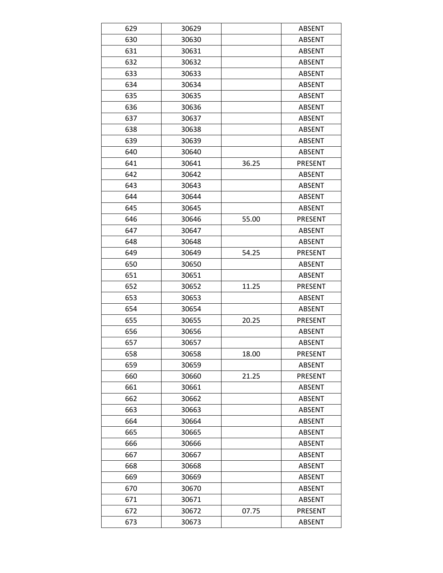| 629 | 30629 |       | <b>ABSENT</b>  |
|-----|-------|-------|----------------|
| 630 | 30630 |       | <b>ABSENT</b>  |
| 631 | 30631 |       | <b>ABSENT</b>  |
| 632 | 30632 |       | <b>ABSENT</b>  |
| 633 | 30633 |       | <b>ABSENT</b>  |
| 634 | 30634 |       | <b>ABSENT</b>  |
| 635 | 30635 |       | <b>ABSENT</b>  |
| 636 | 30636 |       | <b>ABSENT</b>  |
| 637 | 30637 |       | <b>ABSENT</b>  |
| 638 | 30638 |       | <b>ABSENT</b>  |
| 639 | 30639 |       | <b>ABSENT</b>  |
| 640 | 30640 |       | <b>ABSENT</b>  |
| 641 | 30641 | 36.25 | <b>PRESENT</b> |
| 642 | 30642 |       | <b>ABSENT</b>  |
| 643 | 30643 |       | <b>ABSENT</b>  |
| 644 | 30644 |       | <b>ABSENT</b>  |
| 645 | 30645 |       | <b>ABSENT</b>  |
| 646 | 30646 | 55.00 | <b>PRESENT</b> |
| 647 | 30647 |       | <b>ABSENT</b>  |
| 648 | 30648 |       | <b>ABSENT</b>  |
| 649 | 30649 | 54.25 | <b>PRESENT</b> |
| 650 | 30650 |       | <b>ABSENT</b>  |
| 651 | 30651 |       | <b>ABSENT</b>  |
| 652 | 30652 | 11.25 | PRESENT        |
| 653 | 30653 |       | <b>ABSENT</b>  |
| 654 | 30654 |       | <b>ABSENT</b>  |
| 655 | 30655 | 20.25 | <b>PRESENT</b> |
| 656 | 30656 |       | <b>ABSENT</b>  |
| 657 | 30657 |       | <b>ABSENT</b>  |
| 658 | 30658 | 18.00 | PRESENT        |
| 659 | 30659 |       | <b>ABSENT</b>  |
| 660 | 30660 | 21.25 | PRESENT        |
| 661 | 30661 |       | <b>ABSENT</b>  |
| 662 | 30662 |       | ABSENT         |
| 663 | 30663 |       | <b>ABSENT</b>  |
| 664 | 30664 |       | <b>ABSENT</b>  |
| 665 | 30665 |       | <b>ABSENT</b>  |
| 666 | 30666 |       | <b>ABSENT</b>  |
| 667 | 30667 |       | <b>ABSENT</b>  |
| 668 | 30668 |       | <b>ABSENT</b>  |
| 669 | 30669 |       | <b>ABSENT</b>  |
| 670 | 30670 |       | <b>ABSENT</b>  |
| 671 | 30671 |       | <b>ABSENT</b>  |
| 672 | 30672 | 07.75 | PRESENT        |
| 673 | 30673 |       | <b>ABSENT</b>  |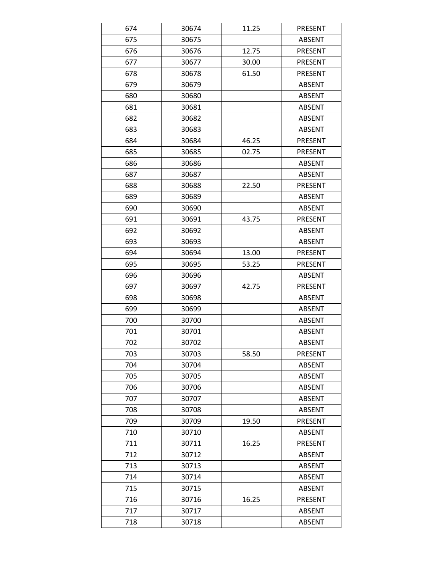| 674 | 30674 | 11.25 | PRESENT        |
|-----|-------|-------|----------------|
| 675 | 30675 |       | <b>ABSENT</b>  |
| 676 | 30676 | 12.75 | <b>PRESENT</b> |
| 677 | 30677 | 30.00 | <b>PRESENT</b> |
| 678 | 30678 | 61.50 | PRESENT        |
| 679 | 30679 |       | <b>ABSENT</b>  |
| 680 | 30680 |       | <b>ABSENT</b>  |
| 681 | 30681 |       | <b>ABSENT</b>  |
| 682 | 30682 |       | <b>ABSENT</b>  |
| 683 | 30683 |       | <b>ABSENT</b>  |
| 684 | 30684 | 46.25 | <b>PRESENT</b> |
| 685 | 30685 | 02.75 | <b>PRESENT</b> |
| 686 | 30686 |       | <b>ABSENT</b>  |
| 687 | 30687 |       | <b>ABSENT</b>  |
| 688 | 30688 | 22.50 | PRESENT        |
| 689 | 30689 |       | <b>ABSENT</b>  |
| 690 | 30690 |       | <b>ABSENT</b>  |
| 691 | 30691 | 43.75 | PRESENT        |
| 692 | 30692 |       | <b>ABSENT</b>  |
| 693 | 30693 |       | <b>ABSENT</b>  |
| 694 | 30694 | 13.00 | <b>PRESENT</b> |
| 695 | 30695 | 53.25 | PRESENT        |
| 696 | 30696 |       | <b>ABSENT</b>  |
| 697 | 30697 | 42.75 | PRESENT        |
| 698 | 30698 |       | <b>ABSENT</b>  |
| 699 | 30699 |       | <b>ABSENT</b>  |
| 700 | 30700 |       | <b>ABSENT</b>  |
| 701 | 30701 |       | <b>ABSENT</b>  |
| 702 | 30702 |       | <b>ABSENT</b>  |
| 703 | 30703 | 58.50 | PRESENT        |
| 704 | 30704 |       | <b>ABSENT</b>  |
| 705 | 30705 |       | <b>ABSENT</b>  |
| 706 | 30706 |       | <b>ABSENT</b>  |
| 707 | 30707 |       | <b>ABSENT</b>  |
| 708 | 30708 |       | <b>ABSENT</b>  |
| 709 | 30709 | 19.50 | PRESENT        |
| 710 | 30710 |       | <b>ABSENT</b>  |
| 711 | 30711 | 16.25 | <b>PRESENT</b> |
| 712 | 30712 |       | <b>ABSENT</b>  |
| 713 | 30713 |       | <b>ABSENT</b>  |
| 714 | 30714 |       | <b>ABSENT</b>  |
| 715 | 30715 |       | <b>ABSENT</b>  |
| 716 | 30716 | 16.25 | PRESENT        |
| 717 | 30717 |       | <b>ABSENT</b>  |
| 718 | 30718 |       | <b>ABSENT</b>  |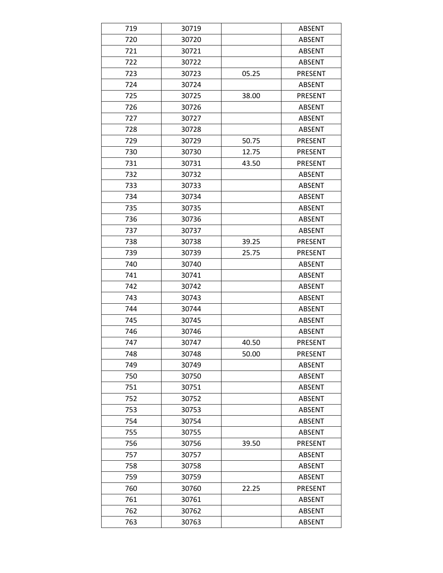| 719 | 30719 |       | <b>ABSENT</b>  |
|-----|-------|-------|----------------|
| 720 | 30720 |       | <b>ABSENT</b>  |
| 721 | 30721 |       | <b>ABSENT</b>  |
| 722 | 30722 |       | <b>ABSENT</b>  |
| 723 | 30723 | 05.25 | PRESENT        |
| 724 | 30724 |       | <b>ABSENT</b>  |
| 725 | 30725 | 38.00 | <b>PRESENT</b> |
| 726 | 30726 |       | <b>ABSENT</b>  |
| 727 | 30727 |       | <b>ABSENT</b>  |
| 728 | 30728 |       | <b>ABSENT</b>  |
| 729 | 30729 | 50.75 | <b>PRESENT</b> |
| 730 | 30730 | 12.75 | PRESENT        |
| 731 | 30731 | 43.50 | <b>PRESENT</b> |
| 732 | 30732 |       | <b>ABSENT</b>  |
| 733 | 30733 |       | <b>ABSENT</b>  |
| 734 | 30734 |       | <b>ABSENT</b>  |
| 735 | 30735 |       | <b>ABSENT</b>  |
| 736 | 30736 |       | <b>ABSENT</b>  |
| 737 | 30737 |       | <b>ABSENT</b>  |
| 738 | 30738 | 39.25 | <b>PRESENT</b> |
| 739 | 30739 | 25.75 | <b>PRESENT</b> |
| 740 | 30740 |       | <b>ABSENT</b>  |
| 741 | 30741 |       | <b>ABSENT</b>  |
| 742 | 30742 |       | <b>ABSENT</b>  |
| 743 | 30743 |       | ABSENT         |
| 744 | 30744 |       | <b>ABSENT</b>  |
| 745 | 30745 |       | <b>ABSENT</b>  |
| 746 | 30746 |       | <b>ABSENT</b>  |
| 747 | 30747 | 40.50 | <b>PRESENT</b> |
| 748 | 30748 | 50.00 | PRESENT        |
| 749 | 30749 |       | <b>ABSENT</b>  |
| 750 | 30750 |       | <b>ABSENT</b>  |
| 751 | 30751 |       | <b>ABSENT</b>  |
| 752 | 30752 |       | <b>ABSENT</b>  |
| 753 | 30753 |       | <b>ABSENT</b>  |
| 754 | 30754 |       | ABSENT         |
| 755 | 30755 |       | <b>ABSENT</b>  |
| 756 | 30756 | 39.50 | <b>PRESENT</b> |
| 757 | 30757 |       | <b>ABSENT</b>  |
| 758 | 30758 |       | <b>ABSENT</b>  |
| 759 | 30759 |       | <b>ABSENT</b>  |
| 760 | 30760 | 22.25 | PRESENT        |
| 761 | 30761 |       | <b>ABSENT</b>  |
| 762 | 30762 |       | <b>ABSENT</b>  |
| 763 | 30763 |       | <b>ABSENT</b>  |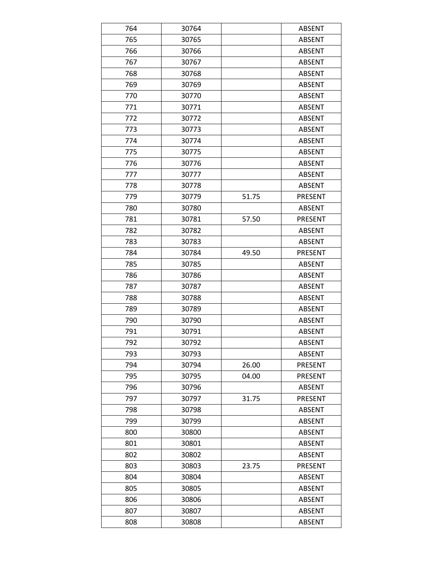| 764 | 30764 |       | <b>ABSENT</b>  |
|-----|-------|-------|----------------|
| 765 | 30765 |       | <b>ABSENT</b>  |
| 766 | 30766 |       | <b>ABSENT</b>  |
| 767 | 30767 |       | <b>ABSENT</b>  |
| 768 | 30768 |       | <b>ABSENT</b>  |
| 769 | 30769 |       | <b>ABSENT</b>  |
| 770 | 30770 |       | <b>ABSENT</b>  |
| 771 | 30771 |       | <b>ABSENT</b>  |
| 772 | 30772 |       | <b>ABSENT</b>  |
| 773 | 30773 |       | <b>ABSENT</b>  |
| 774 | 30774 |       | <b>ABSENT</b>  |
| 775 | 30775 |       | <b>ABSENT</b>  |
| 776 | 30776 |       | <b>ABSENT</b>  |
| 777 | 30777 |       | <b>ABSENT</b>  |
| 778 | 30778 |       | <b>ABSENT</b>  |
| 779 | 30779 | 51.75 | PRESENT        |
| 780 | 30780 |       | <b>ABSENT</b>  |
| 781 | 30781 | 57.50 | <b>PRESENT</b> |
| 782 | 30782 |       | <b>ABSENT</b>  |
| 783 | 30783 |       | <b>ABSENT</b>  |
| 784 | 30784 | 49.50 | <b>PRESENT</b> |
| 785 | 30785 |       | <b>ABSENT</b>  |
| 786 | 30786 |       | <b>ABSENT</b>  |
| 787 | 30787 |       | <b>ABSENT</b>  |
| 788 | 30788 |       | <b>ABSENT</b>  |
| 789 | 30789 |       | <b>ABSENT</b>  |
| 790 | 30790 |       | <b>ABSENT</b>  |
| 791 | 30791 |       | <b>ABSENT</b>  |
| 792 | 30792 |       | <b>ABSENT</b>  |
| 793 | 30793 |       | ABSENT         |
| 794 | 30794 | 26.00 | <b>PRESENT</b> |
| 795 | 30795 | 04.00 | PRESENT        |
| 796 | 30796 |       | <b>ABSENT</b>  |
| 797 | 30797 | 31.75 | PRESENT        |
| 798 | 30798 |       | ABSENT         |
| 799 | 30799 |       | ABSENT         |
| 800 | 30800 |       | <b>ABSENT</b>  |
| 801 | 30801 |       | ABSENT         |
| 802 | 30802 |       | <b>ABSENT</b>  |
| 803 | 30803 | 23.75 | PRESENT        |
| 804 | 30804 |       | <b>ABSENT</b>  |
| 805 | 30805 |       | <b>ABSENT</b>  |
| 806 | 30806 |       | ABSENT         |
| 807 | 30807 |       | <b>ABSENT</b>  |
| 808 | 30808 |       | <b>ABSENT</b>  |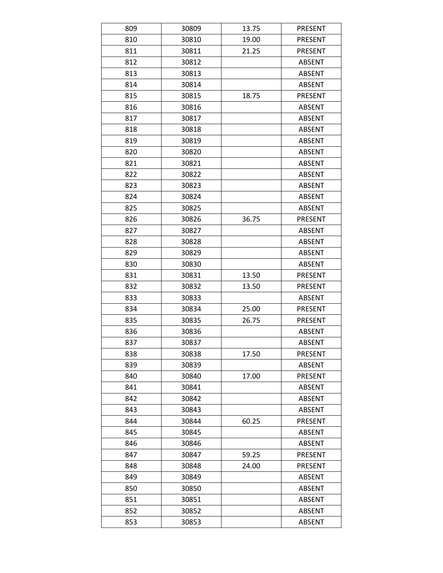| 809 | 30809 | 13.75 | PRESENT        |
|-----|-------|-------|----------------|
| 810 | 30810 | 19.00 | <b>PRESENT</b> |
| 811 | 30811 | 21.25 | <b>PRESENT</b> |
| 812 | 30812 |       | <b>ABSENT</b>  |
| 813 | 30813 |       | <b>ABSENT</b>  |
| 814 | 30814 |       | <b>ABSENT</b>  |
| 815 | 30815 | 18.75 | PRESENT        |
| 816 | 30816 |       | <b>ABSENT</b>  |
| 817 | 30817 |       | <b>ABSENT</b>  |
| 818 | 30818 |       | <b>ABSENT</b>  |
| 819 | 30819 |       | <b>ABSENT</b>  |
| 820 | 30820 |       | <b>ABSENT</b>  |
| 821 | 30821 |       | <b>ABSENT</b>  |
| 822 | 30822 |       | <b>ABSENT</b>  |
| 823 | 30823 |       | <b>ABSENT</b>  |
| 824 | 30824 |       | <b>ABSENT</b>  |
| 825 | 30825 |       | <b>ABSENT</b>  |
| 826 | 30826 | 36.75 | <b>PRESENT</b> |
| 827 | 30827 |       | <b>ABSENT</b>  |
| 828 | 30828 |       | <b>ABSENT</b>  |
| 829 | 30829 |       | <b>ABSENT</b>  |
| 830 | 30830 |       | <b>ABSENT</b>  |
| 831 | 30831 | 13.50 | PRESENT        |
| 832 | 30832 | 13.50 | PRESENT        |
| 833 | 30833 |       | ABSENT         |
| 834 | 30834 | 25.00 | <b>PRESENT</b> |
| 835 | 30835 | 26.75 | <b>PRESENT</b> |
| 836 | 30836 |       | <b>ABSENT</b>  |
| 837 | 30837 |       | <b>ABSENT</b>  |
| 838 | 30838 | 17.50 | PRESENT        |
| 839 | 30839 |       | <b>ABSENT</b>  |
| 840 | 30840 | 17.00 | <b>PRESENT</b> |
| 841 | 30841 |       | ABSENT         |
| 842 | 30842 |       | <b>ABSENT</b>  |
| 843 | 30843 |       | <b>ABSENT</b>  |
| 844 | 30844 | 60.25 | PRESENT        |
| 845 | 30845 |       | ABSENT         |
| 846 | 30846 |       | <b>ABSENT</b>  |
| 847 | 30847 | 59.25 | <b>PRESENT</b> |
| 848 | 30848 | 24.00 | PRESENT        |
| 849 | 30849 |       | <b>ABSENT</b>  |
| 850 | 30850 |       | ABSENT         |
| 851 | 30851 |       | <b>ABSENT</b>  |
| 852 | 30852 |       | ABSENT         |
| 853 | 30853 |       | ABSENT         |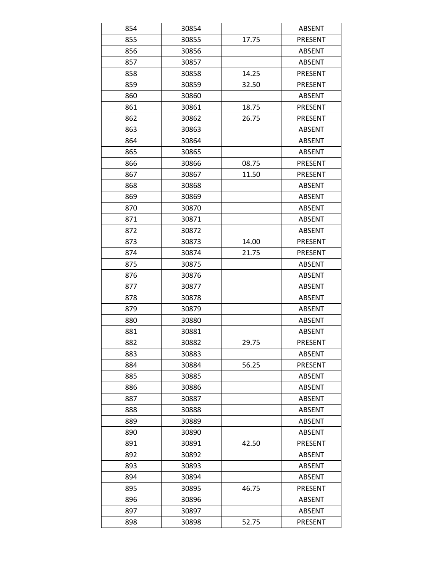| 854 | 30854 |       | <b>ABSENT</b>  |
|-----|-------|-------|----------------|
| 855 | 30855 | 17.75 | PRESENT        |
| 856 | 30856 |       | <b>ABSENT</b>  |
| 857 | 30857 |       | <b>ABSENT</b>  |
| 858 | 30858 | 14.25 | <b>PRESENT</b> |
| 859 | 30859 | 32.50 | <b>PRESENT</b> |
| 860 | 30860 |       | <b>ABSENT</b>  |
| 861 | 30861 | 18.75 | PRESENT        |
| 862 | 30862 | 26.75 | <b>PRESENT</b> |
| 863 | 30863 |       | <b>ABSENT</b>  |
| 864 | 30864 |       | <b>ABSENT</b>  |
| 865 | 30865 |       | <b>ABSENT</b>  |
| 866 | 30866 | 08.75 | <b>PRESENT</b> |
| 867 | 30867 | 11.50 | <b>PRESENT</b> |
| 868 | 30868 |       | <b>ABSENT</b>  |
| 869 | 30869 |       | <b>ABSENT</b>  |
| 870 | 30870 |       | <b>ABSENT</b>  |
| 871 | 30871 |       | <b>ABSENT</b>  |
| 872 | 30872 |       | <b>ABSENT</b>  |
| 873 | 30873 | 14.00 | <b>PRESENT</b> |
| 874 | 30874 | 21.75 | <b>PRESENT</b> |
| 875 | 30875 |       | <b>ABSENT</b>  |
| 876 | 30876 |       | <b>ABSENT</b>  |
| 877 | 30877 |       | <b>ABSENT</b>  |
| 878 | 30878 |       | <b>ABSENT</b>  |
| 879 | 30879 |       | <b>ABSENT</b>  |
| 880 | 30880 |       | <b>ABSENT</b>  |
| 881 | 30881 |       | <b>ABSENT</b>  |
| 882 | 30882 | 29.75 | PRESENT        |
| 883 | 30883 |       | ABSENT         |
| 884 | 30884 | 56.25 | <b>PRESENT</b> |
| 885 | 30885 |       | <b>ABSENT</b>  |
| 886 | 30886 |       | ABSENT         |
| 887 | 30887 |       | <b>ABSENT</b>  |
| 888 | 30888 |       | <b>ABSENT</b>  |
| 889 | 30889 |       | <b>ABSENT</b>  |
| 890 | 30890 |       | ABSENT         |
| 891 | 30891 | 42.50 | <b>PRESENT</b> |
| 892 | 30892 |       | <b>ABSENT</b>  |
| 893 | 30893 |       | <b>ABSENT</b>  |
| 894 | 30894 |       | ABSENT         |
| 895 | 30895 | 46.75 | PRESENT        |
| 896 | 30896 |       | <b>ABSENT</b>  |
| 897 | 30897 |       | ABSENT         |
| 898 | 30898 | 52.75 | <b>PRESENT</b> |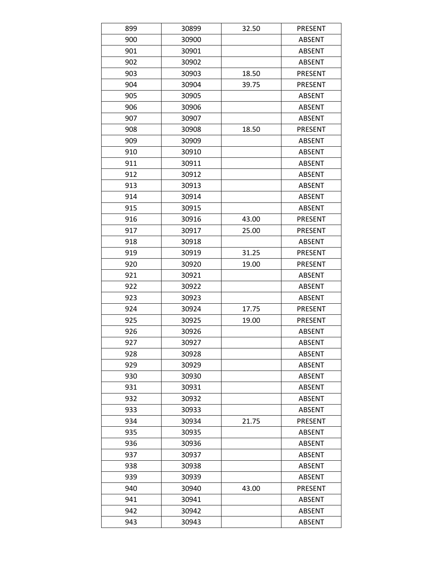| 899 | 30899 | 32.50 | <b>PRESENT</b> |
|-----|-------|-------|----------------|
| 900 | 30900 |       | <b>ABSENT</b>  |
| 901 | 30901 |       | <b>ABSENT</b>  |
| 902 | 30902 |       | <b>ABSENT</b>  |
| 903 | 30903 | 18.50 | PRESENT        |
| 904 | 30904 | 39.75 | <b>PRESENT</b> |
| 905 | 30905 |       | <b>ABSENT</b>  |
| 906 | 30906 |       | <b>ABSENT</b>  |
| 907 | 30907 |       | <b>ABSENT</b>  |
| 908 | 30908 | 18.50 | PRESENT        |
| 909 | 30909 |       | <b>ABSENT</b>  |
| 910 | 30910 |       | <b>ABSENT</b>  |
| 911 | 30911 |       | <b>ABSENT</b>  |
| 912 | 30912 |       | <b>ABSENT</b>  |
| 913 | 30913 |       | <b>ABSENT</b>  |
| 914 | 30914 |       | <b>ABSENT</b>  |
| 915 | 30915 |       | <b>ABSENT</b>  |
| 916 | 30916 | 43.00 | <b>PRESENT</b> |
| 917 | 30917 | 25.00 | PRESENT        |
| 918 | 30918 |       | <b>ABSENT</b>  |
| 919 | 30919 | 31.25 | <b>PRESENT</b> |
| 920 | 30920 | 19.00 | PRESENT        |
| 921 | 30921 |       | <b>ABSENT</b>  |
| 922 | 30922 |       | <b>ABSENT</b>  |
| 923 | 30923 |       | <b>ABSENT</b>  |
| 924 | 30924 | 17.75 | <b>PRESENT</b> |
| 925 | 30925 | 19.00 | <b>PRESENT</b> |
| 926 | 30926 |       | <b>ABSENT</b>  |
| 927 | 30927 |       | <b>ABSENT</b>  |
| 928 | 30928 |       | <b>ABSENT</b>  |
| 929 | 30929 |       | <b>ABSENT</b>  |
| 930 | 30930 |       | <b>ABSENT</b>  |
| 931 | 30931 |       | ABSENT         |
| 932 | 30932 |       | <b>ABSENT</b>  |
| 933 | 30933 |       | <b>ABSENT</b>  |
| 934 | 30934 | 21.75 | PRESENT        |
| 935 | 30935 |       | ABSENT         |
| 936 | 30936 |       | <b>ABSENT</b>  |
| 937 | 30937 |       | <b>ABSENT</b>  |
| 938 | 30938 |       | <b>ABSENT</b>  |
| 939 | 30939 |       | <b>ABSENT</b>  |
| 940 | 30940 | 43.00 | <b>PRESENT</b> |
| 941 | 30941 |       | <b>ABSENT</b>  |
| 942 | 30942 |       | ABSENT         |
| 943 | 30943 |       | ABSENT         |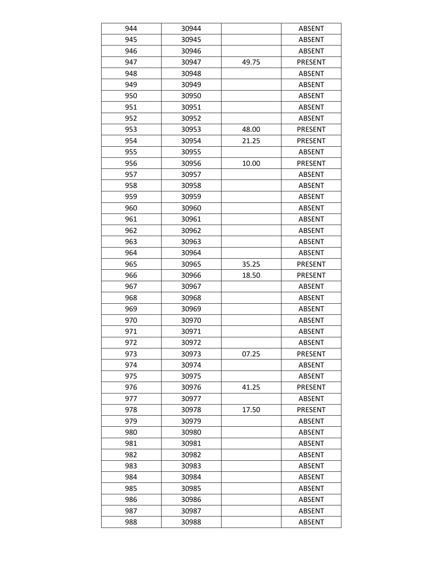| 944 | 30944 |       | <b>ABSENT</b>  |
|-----|-------|-------|----------------|
| 945 | 30945 |       | <b>ABSENT</b>  |
| 946 | 30946 |       | <b>ABSENT</b>  |
| 947 | 30947 | 49.75 | PRESENT        |
| 948 | 30948 |       | <b>ABSENT</b>  |
| 949 | 30949 |       | <b>ABSENT</b>  |
| 950 | 30950 |       | <b>ABSENT</b>  |
| 951 | 30951 |       | <b>ABSENT</b>  |
| 952 | 30952 |       | <b>ABSENT</b>  |
| 953 | 30953 | 48.00 | PRESENT        |
| 954 | 30954 | 21.25 | PRESENT        |
| 955 | 30955 |       | <b>ABSENT</b>  |
| 956 | 30956 | 10.00 | <b>PRESENT</b> |
| 957 | 30957 |       | <b>ABSENT</b>  |
| 958 | 30958 |       | <b>ABSENT</b>  |
| 959 | 30959 |       | <b>ABSENT</b>  |
| 960 | 30960 |       | <b>ABSENT</b>  |
| 961 | 30961 |       | <b>ABSENT</b>  |
| 962 | 30962 |       | <b>ABSENT</b>  |
| 963 | 30963 |       | <b>ABSENT</b>  |
| 964 | 30964 |       | <b>ABSENT</b>  |
| 965 | 30965 | 35.25 | PRESENT        |
| 966 | 30966 | 18.50 | PRESENT        |
| 967 | 30967 |       | <b>ABSENT</b>  |
| 968 | 30968 |       | <b>ABSENT</b>  |
| 969 | 30969 |       | <b>ABSENT</b>  |
| 970 | 30970 |       | <b>ABSENT</b>  |
| 971 | 30971 |       | <b>ABSENT</b>  |
| 972 | 30972 |       | <b>ABSENT</b>  |
| 973 | 30973 | 07.25 | PRESENT        |
| 974 | 30974 |       | <b>ABSENT</b>  |
| 975 | 30975 |       | <b>ABSENT</b>  |
| 976 | 30976 | 41.25 | <b>PRESENT</b> |
| 977 | 30977 |       | <b>ABSENT</b>  |
| 978 | 30978 | 17.50 | PRESENT        |
| 979 | 30979 |       | <b>ABSENT</b>  |
| 980 | 30980 |       | <b>ABSENT</b>  |
| 981 | 30981 |       | <b>ABSENT</b>  |
| 982 | 30982 |       | <b>ABSENT</b>  |
| 983 | 30983 |       | <b>ABSENT</b>  |
| 984 | 30984 |       | <b>ABSENT</b>  |
| 985 | 30985 |       | <b>ABSENT</b>  |
| 986 | 30986 |       | <b>ABSENT</b>  |
| 987 | 30987 |       | <b>ABSENT</b>  |
| 988 | 30988 |       | <b>ABSENT</b>  |
|     |       |       |                |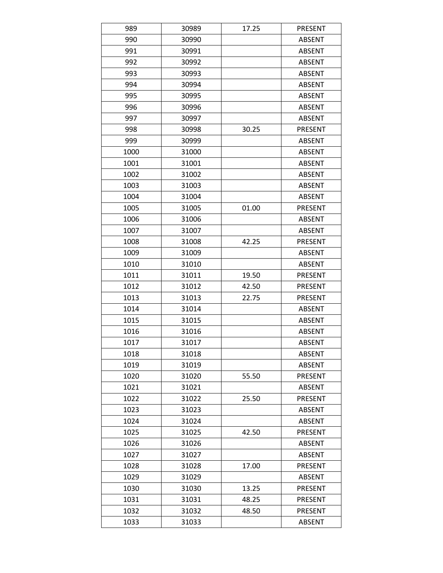| 990<br>30990<br><b>ABSENT</b><br>991<br>30991<br><b>ABSENT</b><br>992<br>30992<br><b>ABSENT</b><br>993<br>30993<br><b>ABSENT</b><br>994<br>30994<br><b>ABSENT</b><br>995<br>30995<br><b>ABSENT</b><br>996<br>30996<br><b>ABSENT</b><br>997<br>30997<br><b>ABSENT</b><br>998<br>30998<br>30.25<br><b>PRESENT</b><br>999<br>30999<br><b>ABSENT</b><br>31000<br>1000<br><b>ABSENT</b><br>31001<br>1001<br><b>ABSENT</b><br>1002<br>31002<br><b>ABSENT</b><br>1003<br>31003<br><b>ABSENT</b><br>1004<br>31004<br><b>ABSENT</b><br>01.00<br>1005<br>31005<br><b>PRESENT</b><br>1006<br>31006<br><b>ABSENT</b><br>1007<br>31007<br><b>ABSENT</b><br>31008<br>42.25<br><b>PRESENT</b><br>1008<br>1009<br>31009<br><b>ABSENT</b><br>1010<br>31010<br><b>ABSENT</b><br>1011<br>31011<br>19.50<br><b>PRESENT</b><br>1012<br>31012<br>42.50<br>PRESENT<br>22.75<br>1013<br>31013<br><b>PRESENT</b><br>1014<br>31014<br><b>ABSENT</b><br>1015<br>31015<br><b>ABSENT</b><br>1016<br>31016<br><b>ABSENT</b><br>1017<br>31017<br><b>ABSENT</b> |
|---------------------------------------------------------------------------------------------------------------------------------------------------------------------------------------------------------------------------------------------------------------------------------------------------------------------------------------------------------------------------------------------------------------------------------------------------------------------------------------------------------------------------------------------------------------------------------------------------------------------------------------------------------------------------------------------------------------------------------------------------------------------------------------------------------------------------------------------------------------------------------------------------------------------------------------------------------------------------------------------------------------------------------|
|                                                                                                                                                                                                                                                                                                                                                                                                                                                                                                                                                                                                                                                                                                                                                                                                                                                                                                                                                                                                                                 |
|                                                                                                                                                                                                                                                                                                                                                                                                                                                                                                                                                                                                                                                                                                                                                                                                                                                                                                                                                                                                                                 |
|                                                                                                                                                                                                                                                                                                                                                                                                                                                                                                                                                                                                                                                                                                                                                                                                                                                                                                                                                                                                                                 |
|                                                                                                                                                                                                                                                                                                                                                                                                                                                                                                                                                                                                                                                                                                                                                                                                                                                                                                                                                                                                                                 |
|                                                                                                                                                                                                                                                                                                                                                                                                                                                                                                                                                                                                                                                                                                                                                                                                                                                                                                                                                                                                                                 |
|                                                                                                                                                                                                                                                                                                                                                                                                                                                                                                                                                                                                                                                                                                                                                                                                                                                                                                                                                                                                                                 |
|                                                                                                                                                                                                                                                                                                                                                                                                                                                                                                                                                                                                                                                                                                                                                                                                                                                                                                                                                                                                                                 |
|                                                                                                                                                                                                                                                                                                                                                                                                                                                                                                                                                                                                                                                                                                                                                                                                                                                                                                                                                                                                                                 |
|                                                                                                                                                                                                                                                                                                                                                                                                                                                                                                                                                                                                                                                                                                                                                                                                                                                                                                                                                                                                                                 |
|                                                                                                                                                                                                                                                                                                                                                                                                                                                                                                                                                                                                                                                                                                                                                                                                                                                                                                                                                                                                                                 |
|                                                                                                                                                                                                                                                                                                                                                                                                                                                                                                                                                                                                                                                                                                                                                                                                                                                                                                                                                                                                                                 |
|                                                                                                                                                                                                                                                                                                                                                                                                                                                                                                                                                                                                                                                                                                                                                                                                                                                                                                                                                                                                                                 |
|                                                                                                                                                                                                                                                                                                                                                                                                                                                                                                                                                                                                                                                                                                                                                                                                                                                                                                                                                                                                                                 |
|                                                                                                                                                                                                                                                                                                                                                                                                                                                                                                                                                                                                                                                                                                                                                                                                                                                                                                                                                                                                                                 |
|                                                                                                                                                                                                                                                                                                                                                                                                                                                                                                                                                                                                                                                                                                                                                                                                                                                                                                                                                                                                                                 |
|                                                                                                                                                                                                                                                                                                                                                                                                                                                                                                                                                                                                                                                                                                                                                                                                                                                                                                                                                                                                                                 |
|                                                                                                                                                                                                                                                                                                                                                                                                                                                                                                                                                                                                                                                                                                                                                                                                                                                                                                                                                                                                                                 |
|                                                                                                                                                                                                                                                                                                                                                                                                                                                                                                                                                                                                                                                                                                                                                                                                                                                                                                                                                                                                                                 |
|                                                                                                                                                                                                                                                                                                                                                                                                                                                                                                                                                                                                                                                                                                                                                                                                                                                                                                                                                                                                                                 |
|                                                                                                                                                                                                                                                                                                                                                                                                                                                                                                                                                                                                                                                                                                                                                                                                                                                                                                                                                                                                                                 |
|                                                                                                                                                                                                                                                                                                                                                                                                                                                                                                                                                                                                                                                                                                                                                                                                                                                                                                                                                                                                                                 |
|                                                                                                                                                                                                                                                                                                                                                                                                                                                                                                                                                                                                                                                                                                                                                                                                                                                                                                                                                                                                                                 |
|                                                                                                                                                                                                                                                                                                                                                                                                                                                                                                                                                                                                                                                                                                                                                                                                                                                                                                                                                                                                                                 |
|                                                                                                                                                                                                                                                                                                                                                                                                                                                                                                                                                                                                                                                                                                                                                                                                                                                                                                                                                                                                                                 |
|                                                                                                                                                                                                                                                                                                                                                                                                                                                                                                                                                                                                                                                                                                                                                                                                                                                                                                                                                                                                                                 |
|                                                                                                                                                                                                                                                                                                                                                                                                                                                                                                                                                                                                                                                                                                                                                                                                                                                                                                                                                                                                                                 |
|                                                                                                                                                                                                                                                                                                                                                                                                                                                                                                                                                                                                                                                                                                                                                                                                                                                                                                                                                                                                                                 |
|                                                                                                                                                                                                                                                                                                                                                                                                                                                                                                                                                                                                                                                                                                                                                                                                                                                                                                                                                                                                                                 |
| ABSENT<br>1018<br>31018                                                                                                                                                                                                                                                                                                                                                                                                                                                                                                                                                                                                                                                                                                                                                                                                                                                                                                                                                                                                         |
| 1019<br>31019<br><b>ABSENT</b>                                                                                                                                                                                                                                                                                                                                                                                                                                                                                                                                                                                                                                                                                                                                                                                                                                                                                                                                                                                                  |
| 1020<br>31020<br>55.50<br>PRESENT                                                                                                                                                                                                                                                                                                                                                                                                                                                                                                                                                                                                                                                                                                                                                                                                                                                                                                                                                                                               |
| 1021<br>31021<br><b>ABSENT</b>                                                                                                                                                                                                                                                                                                                                                                                                                                                                                                                                                                                                                                                                                                                                                                                                                                                                                                                                                                                                  |
| 25.50<br>1022<br>31022<br>PRESENT                                                                                                                                                                                                                                                                                                                                                                                                                                                                                                                                                                                                                                                                                                                                                                                                                                                                                                                                                                                               |
| 1023<br>31023<br><b>ABSENT</b>                                                                                                                                                                                                                                                                                                                                                                                                                                                                                                                                                                                                                                                                                                                                                                                                                                                                                                                                                                                                  |
| 31024<br><b>ABSENT</b><br>1024                                                                                                                                                                                                                                                                                                                                                                                                                                                                                                                                                                                                                                                                                                                                                                                                                                                                                                                                                                                                  |
| 42.50<br>1025<br>31025<br><b>PRESENT</b>                                                                                                                                                                                                                                                                                                                                                                                                                                                                                                                                                                                                                                                                                                                                                                                                                                                                                                                                                                                        |
| 1026<br>31026<br><b>ABSENT</b>                                                                                                                                                                                                                                                                                                                                                                                                                                                                                                                                                                                                                                                                                                                                                                                                                                                                                                                                                                                                  |
| 1027<br>31027<br><b>ABSENT</b>                                                                                                                                                                                                                                                                                                                                                                                                                                                                                                                                                                                                                                                                                                                                                                                                                                                                                                                                                                                                  |
| 17.00<br>31028<br>1028<br><b>PRESENT</b>                                                                                                                                                                                                                                                                                                                                                                                                                                                                                                                                                                                                                                                                                                                                                                                                                                                                                                                                                                                        |
| 1029<br>31029<br><b>ABSENT</b>                                                                                                                                                                                                                                                                                                                                                                                                                                                                                                                                                                                                                                                                                                                                                                                                                                                                                                                                                                                                  |
| PRESENT<br>1030<br>31030<br>13.25                                                                                                                                                                                                                                                                                                                                                                                                                                                                                                                                                                                                                                                                                                                                                                                                                                                                                                                                                                                               |
| 1031<br>31031<br>48.25<br>PRESENT                                                                                                                                                                                                                                                                                                                                                                                                                                                                                                                                                                                                                                                                                                                                                                                                                                                                                                                                                                                               |
| 1032<br>31032<br>48.50<br><b>PRESENT</b>                                                                                                                                                                                                                                                                                                                                                                                                                                                                                                                                                                                                                                                                                                                                                                                                                                                                                                                                                                                        |
| 1033<br>31033<br><b>ABSENT</b>                                                                                                                                                                                                                                                                                                                                                                                                                                                                                                                                                                                                                                                                                                                                                                                                                                                                                                                                                                                                  |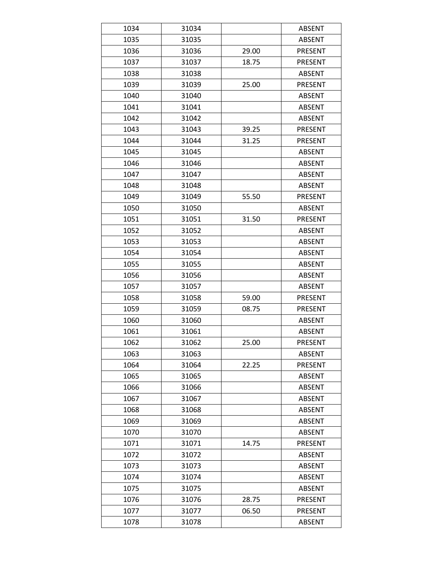| 1034 | 31034 |       | <b>ABSENT</b>  |
|------|-------|-------|----------------|
| 1035 | 31035 |       | <b>ABSENT</b>  |
| 1036 | 31036 | 29.00 | <b>PRESENT</b> |
| 1037 | 31037 | 18.75 | PRESENT        |
| 1038 | 31038 |       | <b>ABSENT</b>  |
| 1039 | 31039 | 25.00 | <b>PRESENT</b> |
| 1040 | 31040 |       | <b>ABSENT</b>  |
| 1041 | 31041 |       | <b>ABSENT</b>  |
| 1042 | 31042 |       | <b>ABSENT</b>  |
| 1043 | 31043 | 39.25 | <b>PRESENT</b> |
| 1044 | 31044 | 31.25 | <b>PRESENT</b> |
| 1045 | 31045 |       | <b>ABSENT</b>  |
| 1046 | 31046 |       | <b>ABSENT</b>  |
| 1047 | 31047 |       | <b>ABSENT</b>  |
| 1048 | 31048 |       | <b>ABSENT</b>  |
| 1049 | 31049 | 55.50 | <b>PRESENT</b> |
| 1050 | 31050 |       | <b>ABSENT</b>  |
| 1051 | 31051 | 31.50 | <b>PRESENT</b> |
| 1052 | 31052 |       | <b>ABSENT</b>  |
| 1053 | 31053 |       | <b>ABSENT</b>  |
| 1054 | 31054 |       | <b>ABSENT</b>  |
| 1055 | 31055 |       | <b>ABSENT</b>  |
| 1056 | 31056 |       | <b>ABSENT</b>  |
| 1057 | 31057 |       | <b>ABSENT</b>  |
| 1058 | 31058 | 59.00 | PRESENT        |
| 1059 | 31059 | 08.75 | PRESENT        |
| 1060 | 31060 |       | <b>ABSENT</b>  |
| 1061 | 31061 |       | <b>ABSENT</b>  |
| 1062 | 31062 | 25.00 | PRESENT        |
| 1063 | 31063 |       | <b>ABSENT</b>  |
| 1064 | 31064 | 22.25 | PRESENT        |
| 1065 | 31065 |       | <b>ABSENT</b>  |
| 1066 | 31066 |       | <b>ABSENT</b>  |
| 1067 | 31067 |       | <b>ABSENT</b>  |
| 1068 | 31068 |       | <b>ABSENT</b>  |
| 1069 | 31069 |       | <b>ABSENT</b>  |
| 1070 | 31070 |       | <b>ABSENT</b>  |
| 1071 | 31071 | 14.75 | <b>PRESENT</b> |
| 1072 | 31072 |       | <b>ABSENT</b>  |
| 1073 | 31073 |       | <b>ABSENT</b>  |
| 1074 | 31074 |       | <b>ABSENT</b>  |
| 1075 | 31075 |       | <b>ABSENT</b>  |
| 1076 | 31076 | 28.75 | PRESENT        |
| 1077 | 31077 | 06.50 | PRESENT        |
| 1078 | 31078 |       | <b>ABSENT</b>  |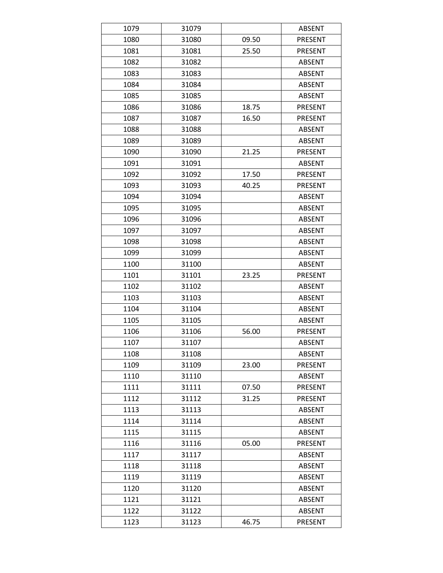| 1079 | 31079 |       | <b>ABSENT</b>  |
|------|-------|-------|----------------|
| 1080 | 31080 | 09.50 | PRESENT        |
| 1081 | 31081 | 25.50 | <b>PRESENT</b> |
| 1082 | 31082 |       | <b>ABSENT</b>  |
| 1083 | 31083 |       | <b>ABSENT</b>  |
| 1084 | 31084 |       | <b>ABSENT</b>  |
| 1085 | 31085 |       | <b>ABSENT</b>  |
| 1086 | 31086 | 18.75 | PRESENT        |
| 1087 | 31087 | 16.50 | PRESENT        |
| 1088 | 31088 |       | <b>ABSENT</b>  |
| 1089 | 31089 |       | <b>ABSENT</b>  |
| 1090 | 31090 | 21.25 | <b>PRESENT</b> |
| 1091 | 31091 |       | <b>ABSENT</b>  |
| 1092 | 31092 | 17.50 | PRESENT        |
| 1093 | 31093 | 40.25 | PRESENT        |
| 1094 | 31094 |       | <b>ABSENT</b>  |
| 1095 | 31095 |       | <b>ABSENT</b>  |
| 1096 | 31096 |       | <b>ABSENT</b>  |
| 1097 | 31097 |       | <b>ABSENT</b>  |
| 1098 | 31098 |       | <b>ABSENT</b>  |
| 1099 | 31099 |       | <b>ABSENT</b>  |
| 1100 | 31100 |       | <b>ABSENT</b>  |
| 1101 | 31101 | 23.25 | <b>PRESENT</b> |
| 1102 | 31102 |       | <b>ABSENT</b>  |
| 1103 | 31103 |       | <b>ABSENT</b>  |
| 1104 | 31104 |       | <b>ABSENT</b>  |
| 1105 | 31105 |       | <b>ABSENT</b>  |
| 1106 | 31106 | 56.00 | <b>PRESENT</b> |
| 1107 | 31107 |       | <b>ABSENT</b>  |
| 1108 | 31108 |       | <b>ABSENT</b>  |
| 1109 | 31109 | 23.00 | PRESENT        |
| 1110 | 31110 |       | <b>ABSENT</b>  |
| 1111 | 31111 | 07.50 | <b>PRESENT</b> |
| 1112 | 31112 | 31.25 | PRESENT        |
| 1113 | 31113 |       | <b>ABSENT</b>  |
| 1114 | 31114 |       | <b>ABSENT</b>  |
| 1115 | 31115 |       | <b>ABSENT</b>  |
| 1116 | 31116 | 05.00 | <b>PRESENT</b> |
| 1117 | 31117 |       | <b>ABSENT</b>  |
| 1118 | 31118 |       | <b>ABSENT</b>  |
| 1119 | 31119 |       | <b>ABSENT</b>  |
| 1120 | 31120 |       | <b>ABSENT</b>  |
| 1121 | 31121 |       | <b>ABSENT</b>  |
| 1122 | 31122 |       | <b>ABSENT</b>  |
| 1123 | 31123 | 46.75 | <b>PRESENT</b> |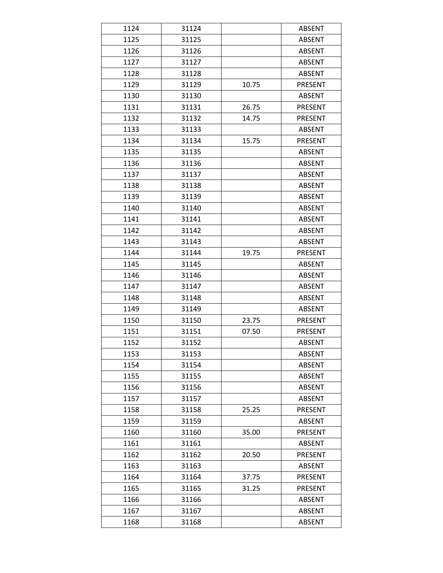| 1124 | 31124 |       | <b>ABSENT</b>  |
|------|-------|-------|----------------|
| 1125 | 31125 |       | <b>ABSENT</b>  |
| 1126 | 31126 |       | <b>ABSENT</b>  |
| 1127 | 31127 |       | <b>ABSENT</b>  |
| 1128 | 31128 |       | <b>ABSENT</b>  |
| 1129 | 31129 | 10.75 | <b>PRESENT</b> |
| 1130 | 31130 |       | <b>ABSENT</b>  |
| 1131 | 31131 | 26.75 | PRESENT        |
| 1132 | 31132 | 14.75 | <b>PRESENT</b> |
| 1133 | 31133 |       | <b>ABSENT</b>  |
| 1134 | 31134 | 15.75 | <b>PRESENT</b> |
| 1135 | 31135 |       | <b>ABSENT</b>  |
| 1136 | 31136 |       | <b>ABSENT</b>  |
| 1137 | 31137 |       | <b>ABSENT</b>  |
| 1138 | 31138 |       | <b>ABSENT</b>  |
| 1139 | 31139 |       | <b>ABSENT</b>  |
| 1140 | 31140 |       | <b>ABSENT</b>  |
| 1141 | 31141 |       | <b>ABSENT</b>  |
| 1142 | 31142 |       | <b>ABSENT</b>  |
| 1143 | 31143 |       | <b>ABSENT</b>  |
| 1144 | 31144 | 19.75 | PRESENT        |
| 1145 | 31145 |       | <b>ABSENT</b>  |
| 1146 | 31146 |       | <b>ABSENT</b>  |
| 1147 | 31147 |       | <b>ABSENT</b>  |
| 1148 | 31148 |       | <b>ABSENT</b>  |
| 1149 | 31149 |       | <b>ABSENT</b>  |
| 1150 | 31150 | 23.75 | PRESENT        |
| 1151 | 31151 | 07.50 | PRESENT        |
| 1152 | 31152 |       | <b>ABSENT</b>  |
| 1153 | 31153 |       | ABSENT         |
| 1154 | 31154 |       | <b>ABSENT</b>  |
| 1155 | 31155 |       | <b>ABSENT</b>  |
| 1156 | 31156 |       | <b>ABSENT</b>  |
| 1157 | 31157 |       | <b>ABSENT</b>  |
| 1158 | 31158 | 25.25 | <b>PRESENT</b> |
| 1159 | 31159 |       | <b>ABSENT</b>  |
| 1160 | 31160 | 35.00 | PRESENT        |
| 1161 | 31161 |       | <b>ABSENT</b>  |
| 1162 | 31162 | 20.50 | PRESENT        |
| 1163 | 31163 |       | <b>ABSENT</b>  |
| 1164 | 31164 | 37.75 | PRESENT        |
| 1165 | 31165 | 31.25 | PRESENT        |
| 1166 | 31166 |       | <b>ABSENT</b>  |
| 1167 | 31167 |       | <b>ABSENT</b>  |
| 1168 | 31168 |       | <b>ABSENT</b>  |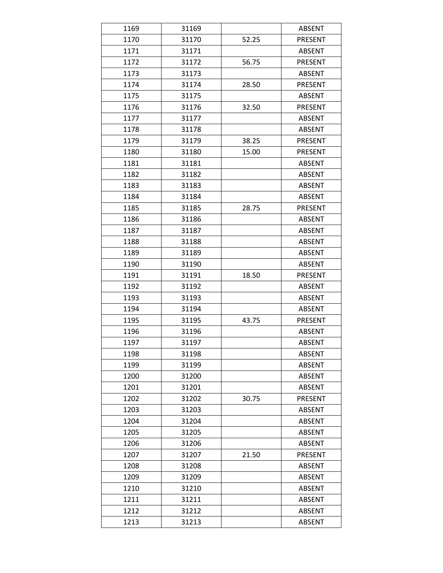| 1169 | 31169 |       | <b>ABSENT</b>  |
|------|-------|-------|----------------|
| 1170 | 31170 | 52.25 | <b>PRESENT</b> |
| 1171 | 31171 |       | <b>ABSENT</b>  |
| 1172 | 31172 | 56.75 | PRESENT        |
| 1173 | 31173 |       | <b>ABSENT</b>  |
| 1174 | 31174 | 28.50 | <b>PRESENT</b> |
| 1175 | 31175 |       | <b>ABSENT</b>  |
| 1176 | 31176 | 32.50 | PRESENT        |
| 1177 | 31177 |       | <b>ABSENT</b>  |
| 1178 | 31178 |       | <b>ABSENT</b>  |
| 1179 | 31179 | 38.25 | <b>PRESENT</b> |
| 1180 | 31180 | 15.00 | <b>PRESENT</b> |
| 1181 | 31181 |       | <b>ABSENT</b>  |
| 1182 | 31182 |       | <b>ABSENT</b>  |
| 1183 | 31183 |       | <b>ABSENT</b>  |
| 1184 | 31184 |       | <b>ABSENT</b>  |
| 1185 | 31185 | 28.75 | PRESENT        |
| 1186 | 31186 |       | <b>ABSENT</b>  |
| 1187 | 31187 |       | <b>ABSENT</b>  |
| 1188 | 31188 |       | <b>ABSENT</b>  |
| 1189 | 31189 |       | <b>ABSENT</b>  |
| 1190 | 31190 |       | <b>ABSENT</b>  |
| 1191 | 31191 | 18.50 | <b>PRESENT</b> |
| 1192 | 31192 |       | <b>ABSENT</b>  |
| 1193 | 31193 |       | <b>ABSENT</b>  |
| 1194 | 31194 |       | <b>ABSENT</b>  |
| 1195 | 31195 | 43.75 | PRESENT        |
| 1196 | 31196 |       | <b>ABSENT</b>  |
| 1197 | 31197 |       | <b>ABSENT</b>  |
| 1198 | 31198 |       | <b>ABSENT</b>  |
| 1199 | 31199 |       | <b>ABSENT</b>  |
| 1200 | 31200 |       | <b>ABSENT</b>  |
| 1201 | 31201 |       | <b>ABSENT</b>  |
| 1202 | 31202 | 30.75 | PRESENT        |
| 1203 | 31203 |       | <b>ABSENT</b>  |
| 1204 | 31204 |       | <b>ABSENT</b>  |
| 1205 | 31205 |       | <b>ABSENT</b>  |
| 1206 | 31206 |       | <b>ABSENT</b>  |
| 1207 | 31207 | 21.50 | PRESENT        |
| 1208 | 31208 |       | <b>ABSENT</b>  |
| 1209 | 31209 |       | <b>ABSENT</b>  |
| 1210 | 31210 |       | <b>ABSENT</b>  |
| 1211 | 31211 |       | <b>ABSENT</b>  |
| 1212 | 31212 |       | <b>ABSENT</b>  |
| 1213 | 31213 |       | <b>ABSENT</b>  |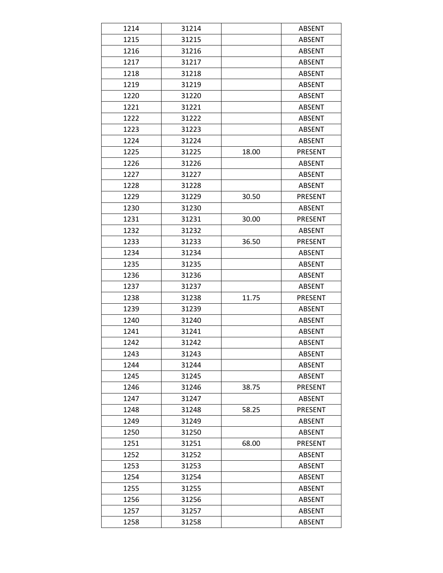| 1214 | 31214 |       | <b>ABSENT</b>  |
|------|-------|-------|----------------|
| 1215 | 31215 |       | <b>ABSENT</b>  |
| 1216 | 31216 |       | <b>ABSENT</b>  |
| 1217 | 31217 |       | <b>ABSENT</b>  |
| 1218 | 31218 |       | <b>ABSENT</b>  |
| 1219 | 31219 |       | <b>ABSENT</b>  |
| 1220 | 31220 |       | <b>ABSENT</b>  |
| 1221 | 31221 |       | <b>ABSENT</b>  |
| 1222 | 31222 |       | <b>ABSENT</b>  |
| 1223 | 31223 |       | <b>ABSENT</b>  |
| 1224 | 31224 |       | <b>ABSENT</b>  |
| 1225 | 31225 | 18.00 | <b>PRESENT</b> |
| 1226 | 31226 |       | <b>ABSENT</b>  |
| 1227 | 31227 |       | <b>ABSENT</b>  |
| 1228 | 31228 |       | <b>ABSENT</b>  |
| 1229 | 31229 | 30.50 | <b>PRESENT</b> |
| 1230 | 31230 |       | <b>ABSENT</b>  |
| 1231 | 31231 | 30.00 | PRESENT        |
| 1232 | 31232 |       | <b>ABSENT</b>  |
| 1233 | 31233 | 36.50 | <b>PRESENT</b> |
| 1234 | 31234 |       | <b>ABSENT</b>  |
| 1235 | 31235 |       | <b>ABSENT</b>  |
| 1236 | 31236 |       | <b>ABSENT</b>  |
| 1237 | 31237 |       | <b>ABSENT</b>  |
| 1238 | 31238 | 11.75 | PRESENT        |
| 1239 | 31239 |       | <b>ABSENT</b>  |
| 1240 | 31240 |       | <b>ABSENT</b>  |
| 1241 | 31241 |       | <b>ABSENT</b>  |
| 1242 | 31242 |       | <b>ABSENT</b>  |
| 1243 | 31243 |       | <b>ABSENT</b>  |
| 1244 | 31244 |       | <b>ABSENT</b>  |
| 1245 | 31245 |       | <b>ABSENT</b>  |
| 1246 | 31246 | 38.75 | <b>PRESENT</b> |
| 1247 | 31247 |       | <b>ABSENT</b>  |
| 1248 | 31248 | 58.25 | <b>PRESENT</b> |
| 1249 | 31249 |       | <b>ABSENT</b>  |
| 1250 | 31250 |       | <b>ABSENT</b>  |
| 1251 | 31251 | 68.00 | <b>PRESENT</b> |
| 1252 | 31252 |       | <b>ABSENT</b>  |
| 1253 | 31253 |       | <b>ABSENT</b>  |
| 1254 | 31254 |       | <b>ABSENT</b>  |
| 1255 | 31255 |       | <b>ABSENT</b>  |
| 1256 | 31256 |       | <b>ABSENT</b>  |
| 1257 | 31257 |       | <b>ABSENT</b>  |
| 1258 | 31258 |       | <b>ABSENT</b>  |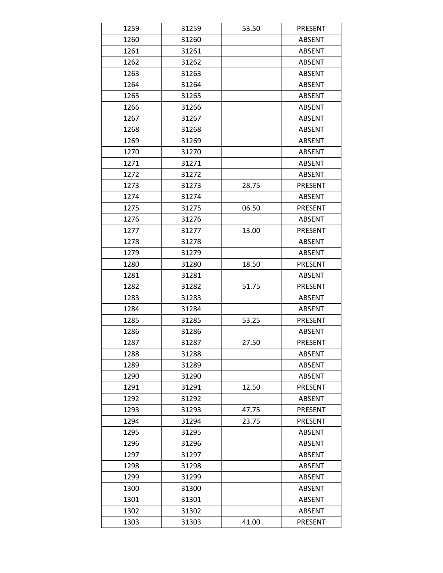| 1260<br>31260<br><b>ABSENT</b><br>1261<br>31261<br><b>ABSENT</b><br>1262<br>31262<br><b>ABSENT</b><br>31263<br>1263<br><b>ABSENT</b><br>1264<br>31264<br><b>ABSENT</b><br>1265<br>31265<br><b>ABSENT</b><br><b>ABSENT</b><br>1266<br>31266<br>1267<br>31267<br><b>ABSENT</b><br>1268<br>31268<br><b>ABSENT</b><br>1269<br><b>ABSENT</b><br>31269<br>31270<br>1270<br><b>ABSENT</b><br>1271<br><b>ABSENT</b><br>31271<br>1272<br>31272<br><b>ABSENT</b><br>1273<br>31273<br>28.75<br>PRESENT<br>1274<br>31274<br><b>ABSENT</b><br>06.50<br>1275<br>31275<br><b>PRESENT</b><br>1276<br>31276<br><b>ABSENT</b><br>1277<br>31277<br>13.00<br><b>PRESENT</b><br>1278<br>31278<br><b>ABSENT</b><br>1279<br>31279<br><b>ABSENT</b><br>1280<br>31280<br>18.50<br><b>PRESENT</b><br>1281<br>31281<br><b>ABSENT</b><br>1282<br>31282<br>51.75<br>PRESENT<br>1283<br>31283<br><b>ABSENT</b><br>1284<br>31284<br><b>ABSENT</b><br>1285<br>31285<br>53.25<br>PRESENT<br>1286<br>31286<br><b>ABSENT</b><br>27.50<br>1287<br>31287<br><b>PRESENT</b><br>ABSENT<br>1288<br>31288<br>1289<br>31289<br><b>ABSENT</b> |
|----------------------------------------------------------------------------------------------------------------------------------------------------------------------------------------------------------------------------------------------------------------------------------------------------------------------------------------------------------------------------------------------------------------------------------------------------------------------------------------------------------------------------------------------------------------------------------------------------------------------------------------------------------------------------------------------------------------------------------------------------------------------------------------------------------------------------------------------------------------------------------------------------------------------------------------------------------------------------------------------------------------------------------------------------------------------------------------------------|
|                                                                                                                                                                                                                                                                                                                                                                                                                                                                                                                                                                                                                                                                                                                                                                                                                                                                                                                                                                                                                                                                                                    |
|                                                                                                                                                                                                                                                                                                                                                                                                                                                                                                                                                                                                                                                                                                                                                                                                                                                                                                                                                                                                                                                                                                    |
|                                                                                                                                                                                                                                                                                                                                                                                                                                                                                                                                                                                                                                                                                                                                                                                                                                                                                                                                                                                                                                                                                                    |
|                                                                                                                                                                                                                                                                                                                                                                                                                                                                                                                                                                                                                                                                                                                                                                                                                                                                                                                                                                                                                                                                                                    |
|                                                                                                                                                                                                                                                                                                                                                                                                                                                                                                                                                                                                                                                                                                                                                                                                                                                                                                                                                                                                                                                                                                    |
|                                                                                                                                                                                                                                                                                                                                                                                                                                                                                                                                                                                                                                                                                                                                                                                                                                                                                                                                                                                                                                                                                                    |
|                                                                                                                                                                                                                                                                                                                                                                                                                                                                                                                                                                                                                                                                                                                                                                                                                                                                                                                                                                                                                                                                                                    |
|                                                                                                                                                                                                                                                                                                                                                                                                                                                                                                                                                                                                                                                                                                                                                                                                                                                                                                                                                                                                                                                                                                    |
|                                                                                                                                                                                                                                                                                                                                                                                                                                                                                                                                                                                                                                                                                                                                                                                                                                                                                                                                                                                                                                                                                                    |
|                                                                                                                                                                                                                                                                                                                                                                                                                                                                                                                                                                                                                                                                                                                                                                                                                                                                                                                                                                                                                                                                                                    |
|                                                                                                                                                                                                                                                                                                                                                                                                                                                                                                                                                                                                                                                                                                                                                                                                                                                                                                                                                                                                                                                                                                    |
|                                                                                                                                                                                                                                                                                                                                                                                                                                                                                                                                                                                                                                                                                                                                                                                                                                                                                                                                                                                                                                                                                                    |
|                                                                                                                                                                                                                                                                                                                                                                                                                                                                                                                                                                                                                                                                                                                                                                                                                                                                                                                                                                                                                                                                                                    |
|                                                                                                                                                                                                                                                                                                                                                                                                                                                                                                                                                                                                                                                                                                                                                                                                                                                                                                                                                                                                                                                                                                    |
|                                                                                                                                                                                                                                                                                                                                                                                                                                                                                                                                                                                                                                                                                                                                                                                                                                                                                                                                                                                                                                                                                                    |
|                                                                                                                                                                                                                                                                                                                                                                                                                                                                                                                                                                                                                                                                                                                                                                                                                                                                                                                                                                                                                                                                                                    |
|                                                                                                                                                                                                                                                                                                                                                                                                                                                                                                                                                                                                                                                                                                                                                                                                                                                                                                                                                                                                                                                                                                    |
|                                                                                                                                                                                                                                                                                                                                                                                                                                                                                                                                                                                                                                                                                                                                                                                                                                                                                                                                                                                                                                                                                                    |
|                                                                                                                                                                                                                                                                                                                                                                                                                                                                                                                                                                                                                                                                                                                                                                                                                                                                                                                                                                                                                                                                                                    |
|                                                                                                                                                                                                                                                                                                                                                                                                                                                                                                                                                                                                                                                                                                                                                                                                                                                                                                                                                                                                                                                                                                    |
|                                                                                                                                                                                                                                                                                                                                                                                                                                                                                                                                                                                                                                                                                                                                                                                                                                                                                                                                                                                                                                                                                                    |
|                                                                                                                                                                                                                                                                                                                                                                                                                                                                                                                                                                                                                                                                                                                                                                                                                                                                                                                                                                                                                                                                                                    |
|                                                                                                                                                                                                                                                                                                                                                                                                                                                                                                                                                                                                                                                                                                                                                                                                                                                                                                                                                                                                                                                                                                    |
|                                                                                                                                                                                                                                                                                                                                                                                                                                                                                                                                                                                                                                                                                                                                                                                                                                                                                                                                                                                                                                                                                                    |
|                                                                                                                                                                                                                                                                                                                                                                                                                                                                                                                                                                                                                                                                                                                                                                                                                                                                                                                                                                                                                                                                                                    |
|                                                                                                                                                                                                                                                                                                                                                                                                                                                                                                                                                                                                                                                                                                                                                                                                                                                                                                                                                                                                                                                                                                    |
|                                                                                                                                                                                                                                                                                                                                                                                                                                                                                                                                                                                                                                                                                                                                                                                                                                                                                                                                                                                                                                                                                                    |
|                                                                                                                                                                                                                                                                                                                                                                                                                                                                                                                                                                                                                                                                                                                                                                                                                                                                                                                                                                                                                                                                                                    |
|                                                                                                                                                                                                                                                                                                                                                                                                                                                                                                                                                                                                                                                                                                                                                                                                                                                                                                                                                                                                                                                                                                    |
|                                                                                                                                                                                                                                                                                                                                                                                                                                                                                                                                                                                                                                                                                                                                                                                                                                                                                                                                                                                                                                                                                                    |
| 1290<br>31290<br><b>ABSENT</b>                                                                                                                                                                                                                                                                                                                                                                                                                                                                                                                                                                                                                                                                                                                                                                                                                                                                                                                                                                                                                                                                     |
| 12.50<br>1291<br>31291<br><b>PRESENT</b>                                                                                                                                                                                                                                                                                                                                                                                                                                                                                                                                                                                                                                                                                                                                                                                                                                                                                                                                                                                                                                                           |
| 1292<br>31292<br><b>ABSENT</b>                                                                                                                                                                                                                                                                                                                                                                                                                                                                                                                                                                                                                                                                                                                                                                                                                                                                                                                                                                                                                                                                     |
| 47.75<br>1293<br>31293<br>PRESENT                                                                                                                                                                                                                                                                                                                                                                                                                                                                                                                                                                                                                                                                                                                                                                                                                                                                                                                                                                                                                                                                  |
| 23.75<br>PRESENT<br>1294<br>31294                                                                                                                                                                                                                                                                                                                                                                                                                                                                                                                                                                                                                                                                                                                                                                                                                                                                                                                                                                                                                                                                  |
| 1295<br>31295<br><b>ABSENT</b>                                                                                                                                                                                                                                                                                                                                                                                                                                                                                                                                                                                                                                                                                                                                                                                                                                                                                                                                                                                                                                                                     |
| 1296<br>31296<br><b>ABSENT</b>                                                                                                                                                                                                                                                                                                                                                                                                                                                                                                                                                                                                                                                                                                                                                                                                                                                                                                                                                                                                                                                                     |
| 1297<br>31297<br><b>ABSENT</b>                                                                                                                                                                                                                                                                                                                                                                                                                                                                                                                                                                                                                                                                                                                                                                                                                                                                                                                                                                                                                                                                     |
| 1298<br>31298<br><b>ABSENT</b>                                                                                                                                                                                                                                                                                                                                                                                                                                                                                                                                                                                                                                                                                                                                                                                                                                                                                                                                                                                                                                                                     |
| 1299<br>31299<br><b>ABSENT</b>                                                                                                                                                                                                                                                                                                                                                                                                                                                                                                                                                                                                                                                                                                                                                                                                                                                                                                                                                                                                                                                                     |
| 1300<br>31300<br><b>ABSENT</b>                                                                                                                                                                                                                                                                                                                                                                                                                                                                                                                                                                                                                                                                                                                                                                                                                                                                                                                                                                                                                                                                     |
| 1301<br>31301<br><b>ABSENT</b>                                                                                                                                                                                                                                                                                                                                                                                                                                                                                                                                                                                                                                                                                                                                                                                                                                                                                                                                                                                                                                                                     |
| 1302<br>31302<br>ABSENT                                                                                                                                                                                                                                                                                                                                                                                                                                                                                                                                                                                                                                                                                                                                                                                                                                                                                                                                                                                                                                                                            |
| 31303<br>41.00<br>PRESENT<br>1303                                                                                                                                                                                                                                                                                                                                                                                                                                                                                                                                                                                                                                                                                                                                                                                                                                                                                                                                                                                                                                                                  |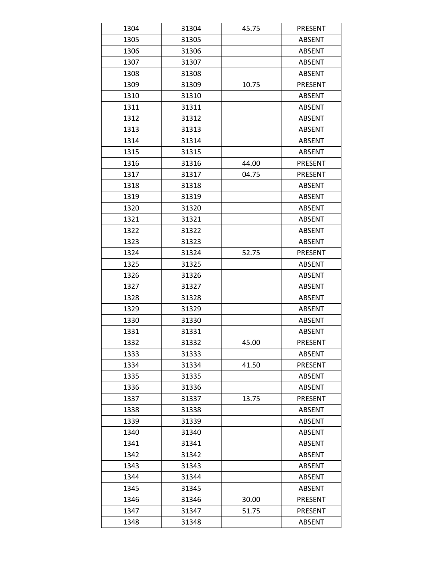| 1304 | 31304 | 45.75 | <b>PRESENT</b> |
|------|-------|-------|----------------|
| 1305 | 31305 |       | <b>ABSENT</b>  |
| 1306 | 31306 |       | <b>ABSENT</b>  |
| 1307 | 31307 |       | <b>ABSENT</b>  |
| 1308 | 31308 |       | <b>ABSENT</b>  |
| 1309 | 31309 | 10.75 | <b>PRESENT</b> |
| 1310 | 31310 |       | <b>ABSENT</b>  |
| 1311 | 31311 |       | <b>ABSENT</b>  |
| 1312 | 31312 |       | <b>ABSENT</b>  |
| 1313 | 31313 |       | <b>ABSENT</b>  |
| 1314 | 31314 |       | <b>ABSENT</b>  |
| 1315 | 31315 |       | <b>ABSENT</b>  |
| 1316 | 31316 | 44.00 | PRESENT        |
| 1317 | 31317 | 04.75 | <b>PRESENT</b> |
| 1318 | 31318 |       | <b>ABSENT</b>  |
| 1319 | 31319 |       | <b>ABSENT</b>  |
| 1320 | 31320 |       | <b>ABSENT</b>  |
| 1321 | 31321 |       | <b>ABSENT</b>  |
| 1322 | 31322 |       | <b>ABSENT</b>  |
| 1323 | 31323 |       | <b>ABSENT</b>  |
| 1324 | 31324 | 52.75 | <b>PRESENT</b> |
| 1325 | 31325 |       | <b>ABSENT</b>  |
| 1326 | 31326 |       | <b>ABSENT</b>  |
| 1327 | 31327 |       | <b>ABSENT</b>  |
| 1328 | 31328 |       | <b>ABSENT</b>  |
| 1329 | 31329 |       | <b>ABSENT</b>  |
| 1330 | 31330 |       | <b>ABSENT</b>  |
| 1331 | 31331 |       | <b>ABSENT</b>  |
| 1332 | 31332 | 45.00 | PRESENT        |
| 1333 | 31333 |       | <b>ABSENT</b>  |
| 1334 | 31334 | 41.50 | PRESENT        |
| 1335 | 31335 |       | <b>ABSENT</b>  |
| 1336 | 31336 |       | <b>ABSENT</b>  |
| 1337 | 31337 | 13.75 | PRESENT        |
| 1338 | 31338 |       | <b>ABSENT</b>  |
| 1339 | 31339 |       | <b>ABSENT</b>  |
| 1340 | 31340 |       | <b>ABSENT</b>  |
| 1341 | 31341 |       | <b>ABSENT</b>  |
| 1342 | 31342 |       | ABSENT         |
| 1343 | 31343 |       | <b>ABSENT</b>  |
| 1344 | 31344 |       | <b>ABSENT</b>  |
| 1345 | 31345 |       | <b>ABSENT</b>  |
| 1346 | 31346 | 30.00 | PRESENT        |
| 1347 | 31347 | 51.75 | PRESENT        |
| 1348 | 31348 |       | ABSENT         |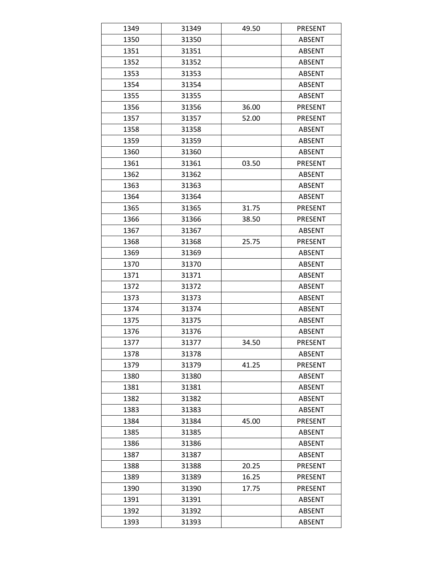| 1349 | 31349 | 49.50 | PRESENT        |
|------|-------|-------|----------------|
| 1350 | 31350 |       | <b>ABSENT</b>  |
| 1351 | 31351 |       | <b>ABSENT</b>  |
| 1352 | 31352 |       | <b>ABSENT</b>  |
| 1353 | 31353 |       | <b>ABSENT</b>  |
| 1354 | 31354 |       | <b>ABSENT</b>  |
| 1355 | 31355 |       | <b>ABSENT</b>  |
| 1356 | 31356 | 36.00 | <b>PRESENT</b> |
| 1357 | 31357 | 52.00 | <b>PRESENT</b> |
| 1358 | 31358 |       | <b>ABSENT</b>  |
| 1359 | 31359 |       | <b>ABSENT</b>  |
| 1360 | 31360 |       | <b>ABSENT</b>  |
| 1361 | 31361 | 03.50 | <b>PRESENT</b> |
| 1362 | 31362 |       | <b>ABSENT</b>  |
| 1363 | 31363 |       | <b>ABSENT</b>  |
| 1364 | 31364 |       | <b>ABSENT</b>  |
| 1365 | 31365 | 31.75 | <b>PRESENT</b> |
| 1366 | 31366 | 38.50 | <b>PRESENT</b> |
| 1367 | 31367 |       | <b>ABSENT</b>  |
| 1368 | 31368 | 25.75 | <b>PRESENT</b> |
| 1369 | 31369 |       | <b>ABSENT</b>  |
| 1370 | 31370 |       | <b>ABSENT</b>  |
| 1371 | 31371 |       | <b>ABSENT</b>  |
| 1372 | 31372 |       | <b>ABSENT</b>  |
| 1373 | 31373 |       | <b>ABSENT</b>  |
| 1374 | 31374 |       | <b>ABSENT</b>  |
| 1375 | 31375 |       | <b>ABSENT</b>  |
| 1376 | 31376 |       | <b>ABSENT</b>  |
| 1377 | 31377 | 34.50 | PRESENT        |
| 1378 | 31378 |       | <b>ABSENT</b>  |
| 1379 | 31379 | 41.25 | <b>PRESENT</b> |
| 1380 | 31380 |       | <b>ABSENT</b>  |
| 1381 | 31381 |       | <b>ABSENT</b>  |
| 1382 | 31382 |       | <b>ABSENT</b>  |
| 1383 | 31383 |       | <b>ABSENT</b>  |
| 1384 | 31384 | 45.00 | PRESENT        |
| 1385 | 31385 |       | <b>ABSENT</b>  |
| 1386 | 31386 |       | <b>ABSENT</b>  |
| 1387 | 31387 |       | <b>ABSENT</b>  |
| 1388 | 31388 | 20.25 | PRESENT        |
| 1389 | 31389 | 16.25 | PRESENT        |
| 1390 | 31390 | 17.75 | <b>PRESENT</b> |
| 1391 | 31391 |       | <b>ABSENT</b>  |
| 1392 | 31392 |       | ABSENT         |
| 1393 | 31393 |       | <b>ABSENT</b>  |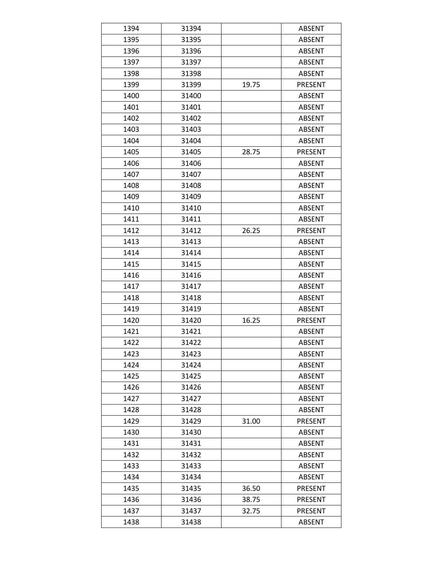| 1394 | 31394 |       | <b>ABSENT</b>  |
|------|-------|-------|----------------|
| 1395 | 31395 |       | <b>ABSENT</b>  |
| 1396 | 31396 |       | <b>ABSENT</b>  |
| 1397 | 31397 |       | <b>ABSENT</b>  |
| 1398 | 31398 |       | <b>ABSENT</b>  |
| 1399 | 31399 | 19.75 | <b>PRESENT</b> |
| 1400 | 31400 |       | <b>ABSENT</b>  |
| 1401 | 31401 |       | <b>ABSENT</b>  |
| 1402 | 31402 |       | <b>ABSENT</b>  |
| 1403 | 31403 |       | <b>ABSENT</b>  |
| 1404 | 31404 |       | <b>ABSENT</b>  |
| 1405 | 31405 | 28.75 | <b>PRESENT</b> |
| 1406 | 31406 |       | <b>ABSENT</b>  |
| 1407 | 31407 |       | <b>ABSENT</b>  |
| 1408 | 31408 |       | <b>ABSENT</b>  |
| 1409 | 31409 |       | <b>ABSENT</b>  |
| 1410 | 31410 |       | <b>ABSENT</b>  |
| 1411 | 31411 |       | <b>ABSENT</b>  |
| 1412 | 31412 | 26.25 | <b>PRESENT</b> |
| 1413 | 31413 |       | <b>ABSENT</b>  |
| 1414 | 31414 |       | <b>ABSENT</b>  |
| 1415 | 31415 |       | <b>ABSENT</b>  |
| 1416 | 31416 |       | <b>ABSENT</b>  |
| 1417 | 31417 |       | <b>ABSENT</b>  |
| 1418 | 31418 |       | <b>ABSENT</b>  |
| 1419 | 31419 |       | <b>ABSENT</b>  |
| 1420 | 31420 | 16.25 | <b>PRESENT</b> |
| 1421 | 31421 |       | <b>ABSENT</b>  |
| 1422 | 31422 |       | <b>ABSENT</b>  |
| 1423 | 31423 |       | <b>ABSENT</b>  |
| 1424 | 31424 |       | <b>ABSENT</b>  |
| 1425 | 31425 |       | <b>ABSENT</b>  |
| 1426 | 31426 |       | <b>ABSENT</b>  |
| 1427 | 31427 |       | <b>ABSENT</b>  |
| 1428 | 31428 |       | <b>ABSENT</b>  |
| 1429 | 31429 | 31.00 | PRESENT        |
| 1430 | 31430 |       | <b>ABSENT</b>  |
| 1431 | 31431 |       | <b>ABSENT</b>  |
| 1432 | 31432 |       | ABSENT         |
| 1433 | 31433 |       | <b>ABSENT</b>  |
| 1434 | 31434 |       | <b>ABSENT</b>  |
| 1435 | 31435 | 36.50 | <b>PRESENT</b> |
| 1436 | 31436 | 38.75 | PRESENT        |
| 1437 | 31437 | 32.75 | <b>PRESENT</b> |
| 1438 | 31438 |       | ABSENT         |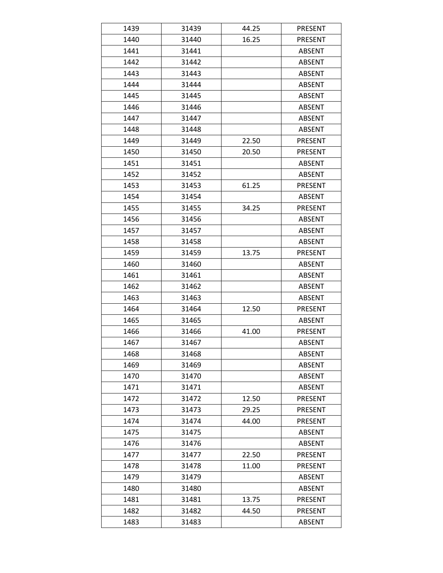| 1439 | 31439 | 44.25 | PRESENT        |
|------|-------|-------|----------------|
| 1440 | 31440 | 16.25 | <b>PRESENT</b> |
| 1441 | 31441 |       | <b>ABSENT</b>  |
| 1442 | 31442 |       | <b>ABSENT</b>  |
| 1443 | 31443 |       | <b>ABSENT</b>  |
| 1444 | 31444 |       | <b>ABSENT</b>  |
| 1445 | 31445 |       | <b>ABSENT</b>  |
| 1446 | 31446 |       | <b>ABSENT</b>  |
| 1447 | 31447 |       | <b>ABSENT</b>  |
| 1448 | 31448 |       | <b>ABSENT</b>  |
| 1449 | 31449 | 22.50 | <b>PRESENT</b> |
| 1450 | 31450 | 20.50 | <b>PRESENT</b> |
| 1451 | 31451 |       | <b>ABSENT</b>  |
| 1452 | 31452 |       | <b>ABSENT</b>  |
| 1453 | 31453 | 61.25 | PRESENT        |
| 1454 | 31454 |       | <b>ABSENT</b>  |
| 1455 | 31455 | 34.25 | PRESENT        |
| 1456 | 31456 |       | <b>ABSENT</b>  |
| 1457 | 31457 |       | <b>ABSENT</b>  |
| 1458 | 31458 |       | <b>ABSENT</b>  |
| 1459 | 31459 | 13.75 | <b>PRESENT</b> |
| 1460 | 31460 |       | <b>ABSENT</b>  |
| 1461 | 31461 |       | <b>ABSENT</b>  |
| 1462 | 31462 |       | <b>ABSENT</b>  |
| 1463 | 31463 |       | ABSENT         |
| 1464 | 31464 | 12.50 | <b>PRESENT</b> |
| 1465 | 31465 |       | <b>ABSENT</b>  |
| 1466 | 31466 | 41.00 | <b>PRESENT</b> |
| 1467 | 31467 |       | <b>ABSENT</b>  |
| 1468 | 31468 |       | ABSENT         |
| 1469 | 31469 |       | <b>ABSENT</b>  |
| 1470 | 31470 |       | <b>ABSENT</b>  |
| 1471 | 31471 |       | ABSENT         |
| 1472 | 31472 | 12.50 | <b>PRESENT</b> |
| 1473 | 31473 | 29.25 | <b>PRESENT</b> |
| 1474 | 31474 | 44.00 | PRESENT        |
| 1475 | 31475 |       | ABSENT         |
| 1476 | 31476 |       | <b>ABSENT</b>  |
| 1477 | 31477 | 22.50 | PRESENT        |
| 1478 | 31478 | 11.00 | <b>PRESENT</b> |
| 1479 | 31479 |       | ABSENT         |
| 1480 | 31480 |       | <b>ABSENT</b>  |
| 1481 | 31481 | 13.75 | PRESENT        |
| 1482 | 31482 | 44.50 | PRESENT        |
| 1483 | 31483 |       | ABSENT         |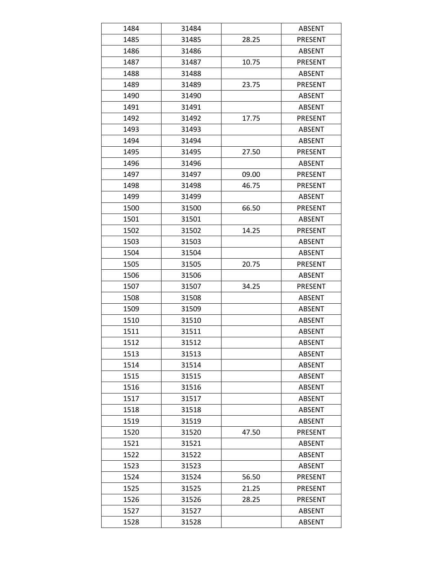| 1484 | 31484 |       | <b>ABSENT</b>  |
|------|-------|-------|----------------|
| 1485 | 31485 | 28.25 | <b>PRESENT</b> |
| 1486 | 31486 |       | <b>ABSENT</b>  |
| 1487 | 31487 | 10.75 | <b>PRESENT</b> |
| 1488 | 31488 |       | <b>ABSENT</b>  |
| 1489 | 31489 | 23.75 | <b>PRESENT</b> |
| 1490 | 31490 |       | <b>ABSENT</b>  |
| 1491 | 31491 |       | <b>ABSENT</b>  |
| 1492 | 31492 | 17.75 | <b>PRESENT</b> |
| 1493 | 31493 |       | <b>ABSENT</b>  |
| 1494 | 31494 |       | <b>ABSENT</b>  |
| 1495 | 31495 | 27.50 | <b>PRESENT</b> |
| 1496 | 31496 |       | <b>ABSENT</b>  |
| 1497 | 31497 | 09.00 | <b>PRESENT</b> |
| 1498 | 31498 | 46.75 | <b>PRESENT</b> |
| 1499 | 31499 |       | <b>ABSENT</b>  |
| 1500 | 31500 | 66.50 | <b>PRESENT</b> |
| 1501 | 31501 |       | <b>ABSENT</b>  |
| 1502 | 31502 | 14.25 | <b>PRESENT</b> |
| 1503 | 31503 |       | <b>ABSENT</b>  |
| 1504 | 31504 |       | <b>ABSENT</b>  |
| 1505 | 31505 | 20.75 | PRESENT        |
| 1506 | 31506 |       | <b>ABSENT</b>  |
| 1507 | 31507 | 34.25 | PRESENT        |
| 1508 | 31508 |       | <b>ABSENT</b>  |
| 1509 | 31509 |       | <b>ABSENT</b>  |
| 1510 | 31510 |       | <b>ABSENT</b>  |
| 1511 | 31511 |       | ABSENT         |
| 1512 | 31512 |       | <b>ABSENT</b>  |
| 1513 | 31513 |       | <b>ABSENT</b>  |
| 1514 | 31514 |       | <b>ABSENT</b>  |
| 1515 | 31515 |       | <b>ABSENT</b>  |
| 1516 | 31516 |       | <b>ABSENT</b>  |
| 1517 | 31517 |       | <b>ABSENT</b>  |
| 1518 | 31518 |       | <b>ABSENT</b>  |
| 1519 | 31519 |       | <b>ABSENT</b>  |
| 1520 | 31520 | 47.50 | PRESENT        |
| 1521 | 31521 |       | <b>ABSENT</b>  |
| 1522 | 31522 |       | <b>ABSENT</b>  |
| 1523 | 31523 |       | <b>ABSENT</b>  |
| 1524 | 31524 | 56.50 | PRESENT        |
| 1525 | 31525 | 21.25 | <b>PRESENT</b> |
| 1526 | 31526 | 28.25 | PRESENT        |
| 1527 | 31527 |       | <b>ABSENT</b>  |
| 1528 | 31528 |       | <b>ABSENT</b>  |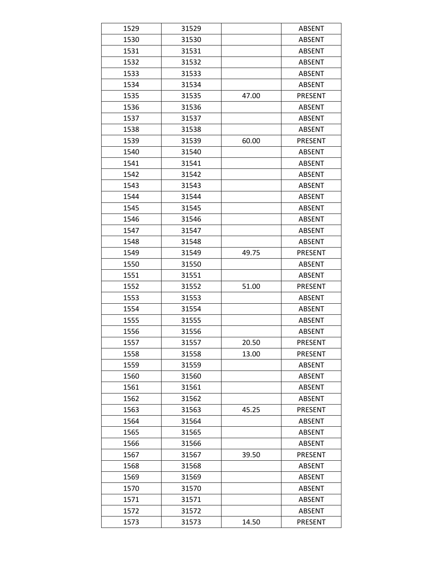| 1529 | 31529 |       | <b>ABSENT</b>  |
|------|-------|-------|----------------|
| 1530 | 31530 |       | <b>ABSENT</b>  |
| 1531 | 31531 |       | <b>ABSENT</b>  |
| 1532 | 31532 |       | <b>ABSENT</b>  |
| 1533 | 31533 |       | <b>ABSENT</b>  |
| 1534 | 31534 |       | <b>ABSENT</b>  |
| 1535 | 31535 | 47.00 | <b>PRESENT</b> |
| 1536 | 31536 |       | <b>ABSENT</b>  |
| 1537 | 31537 |       | <b>ABSENT</b>  |
| 1538 | 31538 |       | <b>ABSENT</b>  |
| 1539 | 31539 | 60.00 | PRESENT        |
| 1540 | 31540 |       | <b>ABSENT</b>  |
| 1541 | 31541 |       | <b>ABSENT</b>  |
| 1542 | 31542 |       | <b>ABSENT</b>  |
| 1543 | 31543 |       | <b>ABSENT</b>  |
| 1544 | 31544 |       | <b>ABSENT</b>  |
| 1545 | 31545 |       | <b>ABSENT</b>  |
| 1546 | 31546 |       | <b>ABSENT</b>  |
| 1547 | 31547 |       | <b>ABSENT</b>  |
| 1548 | 31548 |       | <b>ABSENT</b>  |
| 1549 | 31549 | 49.75 | <b>PRESENT</b> |
| 1550 | 31550 |       | <b>ABSENT</b>  |
| 1551 | 31551 |       | <b>ABSENT</b>  |
| 1552 | 31552 | 51.00 | PRESENT        |
| 1553 | 31553 |       | <b>ABSENT</b>  |
| 1554 | 31554 |       | <b>ABSENT</b>  |
| 1555 | 31555 |       | <b>ABSENT</b>  |
| 1556 | 31556 |       | <b>ABSENT</b>  |
| 1557 | 31557 | 20.50 | <b>PRESENT</b> |
| 1558 | 31558 | 13.00 | PRESENT        |
| 1559 | 31559 |       | <b>ABSENT</b>  |
| 1560 | 31560 |       | <b>ABSENT</b>  |
| 1561 | 31561 |       | <b>ABSENT</b>  |
| 1562 | 31562 |       | <b>ABSENT</b>  |
| 1563 | 31563 | 45.25 | PRESENT        |
| 1564 | 31564 |       | <b>ABSENT</b>  |
| 1565 | 31565 |       | <b>ABSENT</b>  |
| 1566 | 31566 |       | <b>ABSENT</b>  |
| 1567 | 31567 | 39.50 | <b>PRESENT</b> |
| 1568 | 31568 |       | <b>ABSENT</b>  |
| 1569 | 31569 |       | <b>ABSENT</b>  |
| 1570 | 31570 |       | <b>ABSENT</b>  |
| 1571 | 31571 |       | <b>ABSENT</b>  |
| 1572 | 31572 |       | <b>ABSENT</b>  |
| 1573 | 31573 | 14.50 | <b>PRESENT</b> |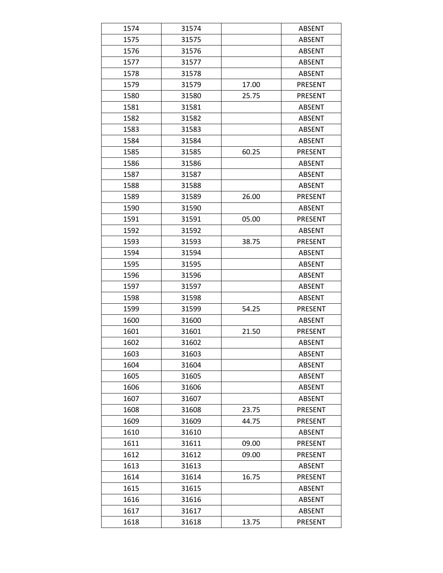| 1574 | 31574 |       | <b>ABSENT</b>  |
|------|-------|-------|----------------|
| 1575 | 31575 |       | <b>ABSENT</b>  |
| 1576 | 31576 |       | <b>ABSENT</b>  |
| 1577 | 31577 |       | <b>ABSENT</b>  |
| 1578 | 31578 |       | <b>ABSENT</b>  |
| 1579 | 31579 | 17.00 | <b>PRESENT</b> |
| 1580 | 31580 | 25.75 | <b>PRESENT</b> |
| 1581 | 31581 |       | <b>ABSENT</b>  |
| 1582 | 31582 |       | <b>ABSENT</b>  |
| 1583 | 31583 |       | <b>ABSENT</b>  |
| 1584 | 31584 |       | <b>ABSENT</b>  |
| 1585 | 31585 | 60.25 | <b>PRESENT</b> |
| 1586 | 31586 |       | <b>ABSENT</b>  |
| 1587 | 31587 |       | <b>ABSENT</b>  |
| 1588 | 31588 |       | <b>ABSENT</b>  |
| 1589 | 31589 | 26.00 | <b>PRESENT</b> |
| 1590 | 31590 |       | <b>ABSENT</b>  |
| 1591 | 31591 | 05.00 | <b>PRESENT</b> |
| 1592 | 31592 |       | <b>ABSENT</b>  |
| 1593 | 31593 | 38.75 | <b>PRESENT</b> |
| 1594 | 31594 |       | <b>ABSENT</b>  |
| 1595 | 31595 |       | <b>ABSENT</b>  |
| 1596 | 31596 |       | <b>ABSENT</b>  |
| 1597 | 31597 |       | <b>ABSENT</b>  |
| 1598 | 31598 |       | <b>ABSENT</b>  |
| 1599 | 31599 | 54.25 | PRESENT        |
| 1600 | 31600 |       | <b>ABSENT</b>  |
| 1601 | 31601 | 21.50 | <b>PRESENT</b> |
| 1602 | 31602 |       | <b>ABSENT</b>  |
| 1603 | 31603 |       | <b>ABSENT</b>  |
| 1604 | 31604 |       | <b>ABSENT</b>  |
| 1605 | 31605 |       | <b>ABSENT</b>  |
| 1606 | 31606 |       | <b>ABSENT</b>  |
| 1607 | 31607 |       | <b>ABSENT</b>  |
| 1608 | 31608 | 23.75 | <b>PRESENT</b> |
| 1609 | 31609 | 44.75 | PRESENT        |
| 1610 | 31610 |       | <b>ABSENT</b>  |
| 1611 | 31611 | 09.00 | <b>PRESENT</b> |
| 1612 | 31612 | 09.00 | PRESENT        |
| 1613 | 31613 |       | <b>ABSENT</b>  |
| 1614 | 31614 | 16.75 | PRESENT        |
| 1615 | 31615 |       | <b>ABSENT</b>  |
| 1616 | 31616 |       | <b>ABSENT</b>  |
| 1617 | 31617 |       | <b>ABSENT</b>  |
| 1618 | 31618 | 13.75 | <b>PRESENT</b> |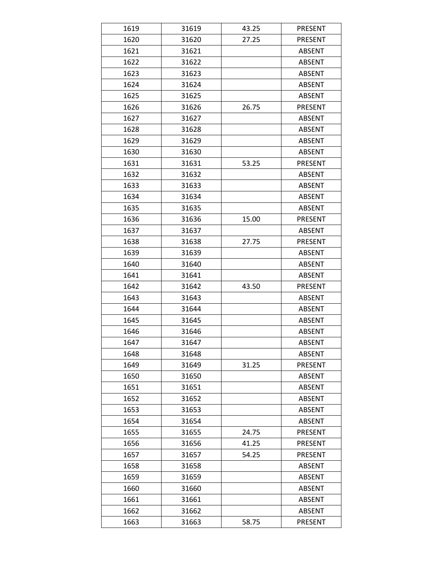| 1619 | 31619 | 43.25 | <b>PRESENT</b> |
|------|-------|-------|----------------|
| 1620 | 31620 | 27.25 | PRESENT        |
| 1621 | 31621 |       | <b>ABSENT</b>  |
| 1622 | 31622 |       | <b>ABSENT</b>  |
| 1623 | 31623 |       | <b>ABSENT</b>  |
| 1624 | 31624 |       | <b>ABSENT</b>  |
| 1625 | 31625 |       | <b>ABSENT</b>  |
| 1626 | 31626 | 26.75 | PRESENT        |
| 1627 | 31627 |       | <b>ABSENT</b>  |
| 1628 | 31628 |       | <b>ABSENT</b>  |
| 1629 | 31629 |       | <b>ABSENT</b>  |
| 1630 | 31630 |       | <b>ABSENT</b>  |
| 1631 | 31631 | 53.25 | PRESENT        |
| 1632 | 31632 |       | <b>ABSENT</b>  |
| 1633 | 31633 |       | <b>ABSENT</b>  |
| 1634 | 31634 |       | <b>ABSENT</b>  |
| 1635 | 31635 |       | <b>ABSENT</b>  |
| 1636 | 31636 | 15.00 | <b>PRESENT</b> |
| 1637 | 31637 |       | <b>ABSENT</b>  |
| 1638 | 31638 | 27.75 | PRESENT        |
| 1639 | 31639 |       | <b>ABSENT</b>  |
| 1640 | 31640 |       | <b>ABSENT</b>  |
| 1641 | 31641 |       | <b>ABSENT</b>  |
| 1642 | 31642 | 43.50 | PRESENT        |
| 1643 | 31643 |       | <b>ABSENT</b>  |
| 1644 | 31644 |       | <b>ABSENT</b>  |
| 1645 | 31645 |       | <b>ABSENT</b>  |
| 1646 | 31646 |       | <b>ABSENT</b>  |
| 1647 | 31647 |       | <b>ABSENT</b>  |
| 1648 | 31648 |       | <b>ABSENT</b>  |
| 1649 | 31649 | 31.25 | <b>PRESENT</b> |
| 1650 | 31650 |       | <b>ABSENT</b>  |
| 1651 | 31651 |       | <b>ABSENT</b>  |
| 1652 | 31652 |       | <b>ABSENT</b>  |
| 1653 | 31653 |       | <b>ABSENT</b>  |
| 1654 | 31654 |       | <b>ABSENT</b>  |
| 1655 | 31655 | 24.75 | <b>PRESENT</b> |
| 1656 | 31656 | 41.25 | PRESENT        |
| 1657 | 31657 | 54.25 | <b>PRESENT</b> |
| 1658 | 31658 |       | ABSENT         |
| 1659 | 31659 |       | <b>ABSENT</b>  |
| 1660 | 31660 |       | <b>ABSENT</b>  |
| 1661 | 31661 |       | <b>ABSENT</b>  |
| 1662 | 31662 |       | ABSENT         |
| 1663 | 31663 | 58.75 | PRESENT        |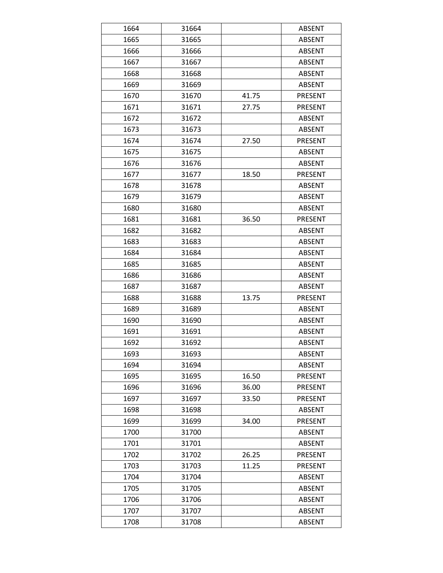| 1664 | 31664 |       | <b>ABSENT</b>  |
|------|-------|-------|----------------|
| 1665 | 31665 |       | <b>ABSENT</b>  |
| 1666 | 31666 |       | <b>ABSENT</b>  |
| 1667 | 31667 |       | <b>ABSENT</b>  |
| 1668 | 31668 |       | <b>ABSENT</b>  |
| 1669 | 31669 |       | <b>ABSENT</b>  |
| 1670 | 31670 | 41.75 | PRESENT        |
| 1671 | 31671 | 27.75 | <b>PRESENT</b> |
| 1672 | 31672 |       | <b>ABSENT</b>  |
| 1673 | 31673 |       | <b>ABSENT</b>  |
| 1674 | 31674 | 27.50 | PRESENT        |
| 1675 | 31675 |       | <b>ABSENT</b>  |
| 1676 | 31676 |       | <b>ABSENT</b>  |
| 1677 | 31677 | 18.50 | <b>PRESENT</b> |
| 1678 | 31678 |       | <b>ABSENT</b>  |
| 1679 | 31679 |       | <b>ABSENT</b>  |
| 1680 | 31680 |       | <b>ABSENT</b>  |
| 1681 | 31681 | 36.50 | <b>PRESENT</b> |
| 1682 | 31682 |       | <b>ABSENT</b>  |
| 1683 | 31683 |       | <b>ABSENT</b>  |
| 1684 | 31684 |       | <b>ABSENT</b>  |
| 1685 | 31685 |       | <b>ABSENT</b>  |
| 1686 | 31686 |       | <b>ABSENT</b>  |
| 1687 | 31687 |       | <b>ABSENT</b>  |
| 1688 | 31688 | 13.75 | PRESENT        |
| 1689 | 31689 |       | <b>ABSENT</b>  |
| 1690 | 31690 |       | <b>ABSENT</b>  |
| 1691 | 31691 |       | <b>ABSENT</b>  |
| 1692 | 31692 |       | <b>ABSENT</b>  |
| 1693 | 31693 |       | <b>ABSENT</b>  |
| 1694 | 31694 |       | <b>ABSENT</b>  |
| 1695 | 31695 | 16.50 | <b>PRESENT</b> |
| 1696 | 31696 | 36.00 | PRESENT        |
| 1697 | 31697 | 33.50 | PRESENT        |
| 1698 | 31698 |       | <b>ABSENT</b>  |
| 1699 | 31699 | 34.00 | PRESENT        |
| 1700 | 31700 |       | <b>ABSENT</b>  |
| 1701 | 31701 |       | <b>ABSENT</b>  |
| 1702 | 31702 | 26.25 | PRESENT        |
| 1703 | 31703 | 11.25 | PRESENT        |
| 1704 | 31704 |       | <b>ABSENT</b>  |
| 1705 | 31705 |       | <b>ABSENT</b>  |
| 1706 | 31706 |       | <b>ABSENT</b>  |
| 1707 | 31707 |       | <b>ABSENT</b>  |
| 1708 | 31708 |       | <b>ABSENT</b>  |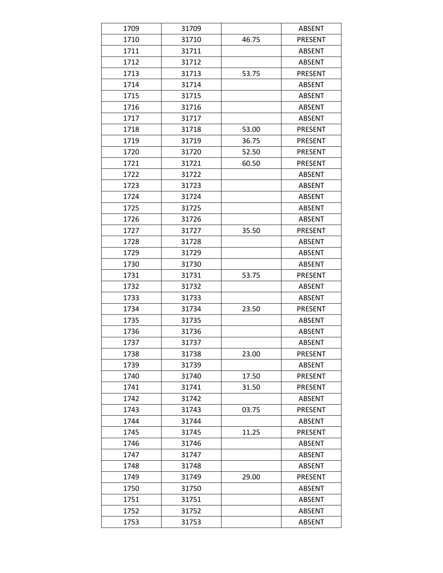| 1709 | 31709 |       | <b>ABSENT</b>  |
|------|-------|-------|----------------|
| 1710 | 31710 | 46.75 | <b>PRESENT</b> |
| 1711 | 31711 |       | <b>ABSENT</b>  |
| 1712 | 31712 |       | <b>ABSENT</b>  |
| 1713 | 31713 | 53.75 | <b>PRESENT</b> |
| 1714 | 31714 |       | <b>ABSENT</b>  |
| 1715 | 31715 |       | <b>ABSENT</b>  |
| 1716 | 31716 |       | <b>ABSENT</b>  |
| 1717 | 31717 |       | <b>ABSENT</b>  |
| 1718 | 31718 | 53.00 | <b>PRESENT</b> |
| 1719 | 31719 | 36.75 | <b>PRESENT</b> |
| 1720 | 31720 | 52.50 | PRESENT        |
| 1721 | 31721 | 60.50 | <b>PRESENT</b> |
| 1722 | 31722 |       | <b>ABSENT</b>  |
| 1723 | 31723 |       | <b>ABSENT</b>  |
| 1724 | 31724 |       | <b>ABSENT</b>  |
| 1725 | 31725 |       | <b>ABSENT</b>  |
| 1726 | 31726 |       | <b>ABSENT</b>  |
| 1727 | 31727 | 35.50 | <b>PRESENT</b> |
| 1728 | 31728 |       | <b>ABSENT</b>  |
| 1729 | 31729 |       | <b>ABSENT</b>  |
| 1730 | 31730 |       | <b>ABSENT</b>  |
| 1731 | 31731 | 53.75 | <b>PRESENT</b> |
| 1732 | 31732 |       | <b>ABSENT</b>  |
| 1733 | 31733 |       | ABSENT         |
| 1734 | 31734 | 23.50 | PRESENT        |
| 1735 | 31735 |       | <b>ABSENT</b>  |
| 1736 | 31736 |       | <b>ABSENT</b>  |
| 1737 | 31737 |       | <b>ABSENT</b>  |
| 1738 | 31738 | 23.00 | PRESENT        |
| 1739 | 31739 |       | <b>ABSENT</b>  |
| 1740 | 31740 | 17.50 | <b>PRESENT</b> |
| 1741 | 31741 | 31.50 | <b>PRESENT</b> |
| 1742 | 31742 |       | <b>ABSENT</b>  |
| 1743 | 31743 | 03.75 | <b>PRESENT</b> |
| 1744 | 31744 |       | <b>ABSENT</b>  |
| 1745 | 31745 | 11.25 | <b>PRESENT</b> |
| 1746 | 31746 |       | ABSENT         |
| 1747 | 31747 |       | <b>ABSENT</b>  |
| 1748 | 31748 |       | <b>ABSENT</b>  |
| 1749 | 31749 | 29.00 | PRESENT        |
| 1750 | 31750 |       | <b>ABSENT</b>  |
| 1751 | 31751 |       | <b>ABSENT</b>  |
| 1752 | 31752 |       | <b>ABSENT</b>  |
| 1753 | 31753 |       | <b>ABSENT</b>  |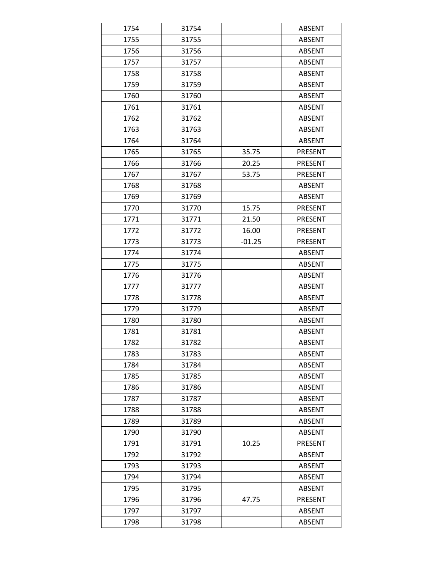| 1754 | 31754 |          | <b>ABSENT</b>  |
|------|-------|----------|----------------|
| 1755 | 31755 |          | <b>ABSENT</b>  |
| 1756 | 31756 |          | <b>ABSENT</b>  |
| 1757 | 31757 |          | <b>ABSENT</b>  |
| 1758 | 31758 |          | <b>ABSENT</b>  |
| 1759 | 31759 |          | <b>ABSENT</b>  |
| 1760 | 31760 |          | <b>ABSENT</b>  |
| 1761 | 31761 |          | <b>ABSENT</b>  |
| 1762 | 31762 |          | <b>ABSENT</b>  |
| 1763 | 31763 |          | <b>ABSENT</b>  |
| 1764 | 31764 |          | <b>ABSENT</b>  |
| 1765 | 31765 | 35.75    | <b>PRESENT</b> |
| 1766 | 31766 | 20.25    | <b>PRESENT</b> |
| 1767 | 31767 | 53.75    | PRESENT        |
| 1768 | 31768 |          | <b>ABSENT</b>  |
| 1769 | 31769 |          | <b>ABSENT</b>  |
| 1770 | 31770 | 15.75    | PRESENT        |
| 1771 | 31771 | 21.50    | <b>PRESENT</b> |
| 1772 | 31772 | 16.00    | <b>PRESENT</b> |
| 1773 | 31773 | $-01.25$ | <b>PRESENT</b> |
| 1774 | 31774 |          | <b>ABSENT</b>  |
| 1775 | 31775 |          | <b>ABSENT</b>  |
| 1776 | 31776 |          | <b>ABSENT</b>  |
| 1777 | 31777 |          | <b>ABSENT</b>  |
| 1778 | 31778 |          | <b>ABSENT</b>  |
| 1779 | 31779 |          | <b>ABSENT</b>  |
| 1780 | 31780 |          | <b>ABSENT</b>  |
| 1781 | 31781 |          | <b>ABSENT</b>  |
| 1782 | 31782 |          | <b>ABSENT</b>  |
| 1783 | 31783 |          | ABSENT         |
| 1784 | 31784 |          | <b>ABSENT</b>  |
| 1785 | 31785 |          | <b>ABSENT</b>  |
| 1786 | 31786 |          | <b>ABSENT</b>  |
| 1787 | 31787 |          | <b>ABSENT</b>  |
| 1788 | 31788 |          | <b>ABSENT</b>  |
| 1789 | 31789 |          | <b>ABSENT</b>  |
| 1790 | 31790 |          | <b>ABSENT</b>  |
| 1791 | 31791 | 10.25    | <b>PRESENT</b> |
| 1792 | 31792 |          | <b>ABSENT</b>  |
| 1793 | 31793 |          | <b>ABSENT</b>  |
| 1794 | 31794 |          | <b>ABSENT</b>  |
| 1795 | 31795 |          | <b>ABSENT</b>  |
| 1796 | 31796 | 47.75    | PRESENT        |
| 1797 | 31797 |          | <b>ABSENT</b>  |
| 1798 | 31798 |          | <b>ABSENT</b>  |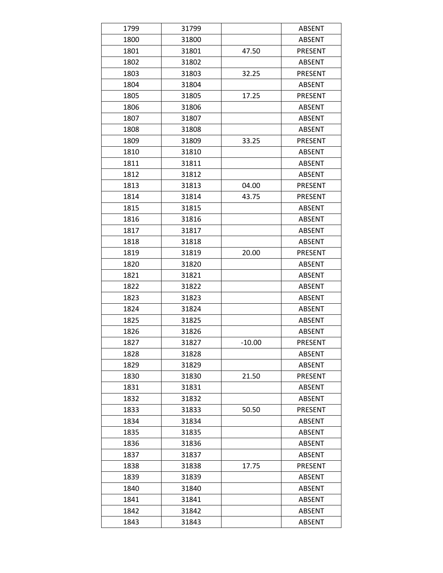| 1799 | 31799 |          | <b>ABSENT</b>  |
|------|-------|----------|----------------|
| 1800 | 31800 |          | <b>ABSENT</b>  |
| 1801 | 31801 | 47.50    | PRESENT        |
| 1802 | 31802 |          | <b>ABSENT</b>  |
| 1803 | 31803 | 32.25    | PRESENT        |
| 1804 | 31804 |          | <b>ABSENT</b>  |
| 1805 | 31805 | 17.25    | <b>PRESENT</b> |
| 1806 | 31806 |          | <b>ABSENT</b>  |
| 1807 | 31807 |          | <b>ABSENT</b>  |
| 1808 | 31808 |          | <b>ABSENT</b>  |
| 1809 | 31809 | 33.25    | <b>PRESENT</b> |
| 1810 | 31810 |          | <b>ABSENT</b>  |
| 1811 | 31811 |          | <b>ABSENT</b>  |
| 1812 | 31812 |          | <b>ABSENT</b>  |
| 1813 | 31813 | 04.00    | <b>PRESENT</b> |
| 1814 | 31814 | 43.75    | <b>PRESENT</b> |
| 1815 | 31815 |          | <b>ABSENT</b>  |
| 1816 | 31816 |          | <b>ABSENT</b>  |
| 1817 | 31817 |          | <b>ABSENT</b>  |
| 1818 | 31818 |          | <b>ABSENT</b>  |
| 1819 | 31819 | 20.00    | PRESENT        |
| 1820 | 31820 |          | <b>ABSENT</b>  |
| 1821 | 31821 |          | <b>ABSENT</b>  |
| 1822 | 31822 |          | <b>ABSENT</b>  |
| 1823 | 31823 |          | <b>ABSENT</b>  |
| 1824 | 31824 |          | <b>ABSENT</b>  |
| 1825 | 31825 |          | <b>ABSENT</b>  |
| 1826 | 31826 |          | <b>ABSENT</b>  |
| 1827 | 31827 | $-10.00$ | PRESENT        |
| 1828 | 31828 |          | <b>ABSENT</b>  |
| 1829 | 31829 |          | <b>ABSENT</b>  |
| 1830 | 31830 | 21.50    | <b>PRESENT</b> |
| 1831 | 31831 |          | <b>ABSENT</b>  |
| 1832 | 31832 |          | <b>ABSENT</b>  |
| 1833 | 31833 | 50.50    | <b>PRESENT</b> |
| 1834 | 31834 |          | <b>ABSENT</b>  |
| 1835 | 31835 |          | <b>ABSENT</b>  |
| 1836 | 31836 |          | <b>ABSENT</b>  |
| 1837 | 31837 |          | <b>ABSENT</b>  |
| 1838 | 31838 | 17.75    | <b>PRESENT</b> |
| 1839 | 31839 |          | <b>ABSENT</b>  |
| 1840 | 31840 |          | <b>ABSENT</b>  |
| 1841 | 31841 |          | <b>ABSENT</b>  |
| 1842 | 31842 |          | <b>ABSENT</b>  |
| 1843 | 31843 |          | <b>ABSENT</b>  |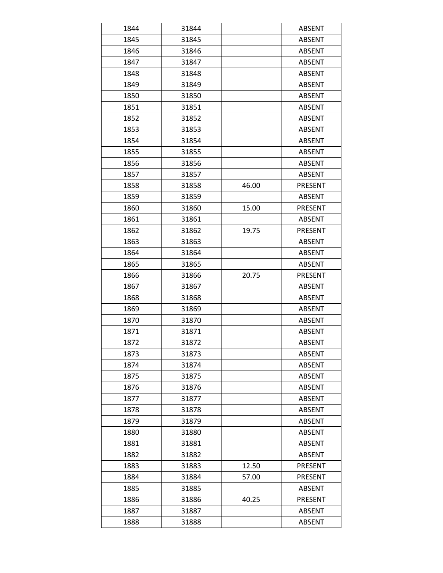| 1844 | 31844 |       | <b>ABSENT</b>  |
|------|-------|-------|----------------|
| 1845 | 31845 |       | <b>ABSENT</b>  |
| 1846 | 31846 |       | <b>ABSENT</b>  |
| 1847 | 31847 |       | <b>ABSENT</b>  |
| 1848 | 31848 |       | <b>ABSENT</b>  |
| 1849 | 31849 |       | <b>ABSENT</b>  |
| 1850 | 31850 |       | <b>ABSENT</b>  |
| 1851 | 31851 |       | <b>ABSENT</b>  |
| 1852 | 31852 |       | <b>ABSENT</b>  |
| 1853 | 31853 |       | <b>ABSENT</b>  |
| 1854 | 31854 |       | <b>ABSENT</b>  |
| 1855 | 31855 |       | <b>ABSENT</b>  |
| 1856 | 31856 |       | <b>ABSENT</b>  |
| 1857 | 31857 |       | <b>ABSENT</b>  |
| 1858 | 31858 | 46.00 | <b>PRESENT</b> |
| 1859 | 31859 |       | <b>ABSENT</b>  |
| 1860 | 31860 | 15.00 | <b>PRESENT</b> |
| 1861 | 31861 |       | <b>ABSENT</b>  |
| 1862 | 31862 | 19.75 | <b>PRESENT</b> |
| 1863 | 31863 |       | <b>ABSENT</b>  |
| 1864 | 31864 |       | <b>ABSENT</b>  |
| 1865 | 31865 |       | <b>ABSENT</b>  |
| 1866 | 31866 | 20.75 | PRESENT        |
| 1867 | 31867 |       | <b>ABSENT</b>  |
| 1868 | 31868 |       | <b>ABSENT</b>  |
| 1869 | 31869 |       | <b>ABSENT</b>  |
| 1870 | 31870 |       | <b>ABSENT</b>  |
| 1871 | 31871 |       | <b>ABSENT</b>  |
| 1872 | 31872 |       | <b>ABSENT</b>  |
| 1873 | 31873 |       | <b>ABSENT</b>  |
| 1874 | 31874 |       | <b>ABSENT</b>  |
| 1875 | 31875 |       | <b>ABSENT</b>  |
| 1876 | 31876 |       | <b>ABSENT</b>  |
| 1877 | 31877 |       | <b>ABSENT</b>  |
| 1878 | 31878 |       | <b>ABSENT</b>  |
| 1879 | 31879 |       | <b>ABSENT</b>  |
| 1880 | 31880 |       | <b>ABSENT</b>  |
| 1881 | 31881 |       | <b>ABSENT</b>  |
| 1882 | 31882 |       | <b>ABSENT</b>  |
| 1883 | 31883 | 12.50 | PRESENT        |
| 1884 | 31884 | 57.00 | PRESENT        |
| 1885 | 31885 |       | <b>ABSENT</b>  |
| 1886 | 31886 | 40.25 | PRESENT        |
| 1887 | 31887 |       | ABSENT         |
| 1888 | 31888 |       | <b>ABSENT</b>  |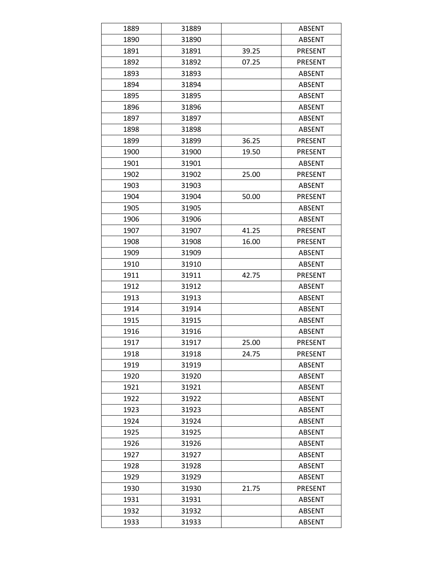| 1889 | 31889 |       | <b>ABSENT</b>  |
|------|-------|-------|----------------|
| 1890 | 31890 |       | <b>ABSENT</b>  |
| 1891 | 31891 | 39.25 | <b>PRESENT</b> |
| 1892 | 31892 | 07.25 | <b>PRESENT</b> |
| 1893 | 31893 |       | <b>ABSENT</b>  |
| 1894 | 31894 |       | <b>ABSENT</b>  |
| 1895 | 31895 |       | <b>ABSENT</b>  |
| 1896 | 31896 |       | <b>ABSENT</b>  |
| 1897 | 31897 |       | <b>ABSENT</b>  |
| 1898 | 31898 |       | <b>ABSENT</b>  |
| 1899 | 31899 | 36.25 | <b>PRESENT</b> |
| 1900 | 31900 | 19.50 | <b>PRESENT</b> |
| 1901 | 31901 |       | <b>ABSENT</b>  |
| 1902 | 31902 | 25.00 | PRESENT        |
| 1903 | 31903 |       | <b>ABSENT</b>  |
| 1904 | 31904 | 50.00 | PRESENT        |
| 1905 | 31905 |       | <b>ABSENT</b>  |
| 1906 | 31906 |       | <b>ABSENT</b>  |
| 1907 | 31907 | 41.25 | <b>PRESENT</b> |
| 1908 | 31908 | 16.00 | <b>PRESENT</b> |
| 1909 | 31909 |       | <b>ABSENT</b>  |
| 1910 | 31910 |       | <b>ABSENT</b>  |
| 1911 | 31911 | 42.75 | <b>PRESENT</b> |
| 1912 | 31912 |       | <b>ABSENT</b>  |
| 1913 | 31913 |       | <b>ABSENT</b>  |
| 1914 | 31914 |       | <b>ABSENT</b>  |
| 1915 | 31915 |       | <b>ABSENT</b>  |
| 1916 | 31916 |       | <b>ABSENT</b>  |
| 1917 | 31917 | 25.00 | PRESENT        |
| 1918 | 31918 | 24.75 | PRESENT        |
| 1919 | 31919 |       | <b>ABSENT</b>  |
| 1920 | 31920 |       | <b>ABSENT</b>  |
| 1921 | 31921 |       | <b>ABSENT</b>  |
| 1922 | 31922 |       | <b>ABSENT</b>  |
| 1923 | 31923 |       | <b>ABSENT</b>  |
| 1924 | 31924 |       | <b>ABSENT</b>  |
| 1925 | 31925 |       | <b>ABSENT</b>  |
| 1926 | 31926 |       | <b>ABSENT</b>  |
| 1927 | 31927 |       | <b>ABSENT</b>  |
| 1928 | 31928 |       | <b>ABSENT</b>  |
| 1929 | 31929 |       | <b>ABSENT</b>  |
| 1930 | 31930 | 21.75 | PRESENT        |
| 1931 | 31931 |       | <b>ABSENT</b>  |
| 1932 | 31932 |       | <b>ABSENT</b>  |
| 1933 | 31933 |       | <b>ABSENT</b>  |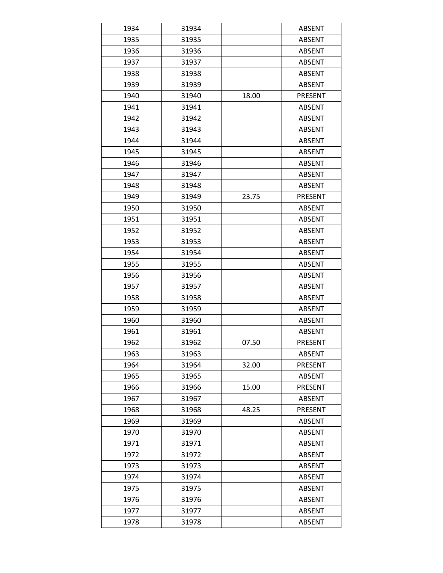| 1934 | 31934 |       | <b>ABSENT</b>  |
|------|-------|-------|----------------|
| 1935 | 31935 |       | <b>ABSENT</b>  |
| 1936 | 31936 |       | <b>ABSENT</b>  |
| 1937 | 31937 |       | <b>ABSENT</b>  |
| 1938 | 31938 |       | <b>ABSENT</b>  |
| 1939 | 31939 |       | <b>ABSENT</b>  |
| 1940 | 31940 | 18.00 | PRESENT        |
| 1941 | 31941 |       | <b>ABSENT</b>  |
| 1942 | 31942 |       | <b>ABSENT</b>  |
| 1943 | 31943 |       | <b>ABSENT</b>  |
| 1944 | 31944 |       | <b>ABSENT</b>  |
| 1945 | 31945 |       | <b>ABSENT</b>  |
| 1946 | 31946 |       | <b>ABSENT</b>  |
| 1947 | 31947 |       | <b>ABSENT</b>  |
| 1948 | 31948 |       | <b>ABSENT</b>  |
| 1949 | 31949 | 23.75 | PRESENT        |
| 1950 | 31950 |       | <b>ABSENT</b>  |
| 1951 | 31951 |       | <b>ABSENT</b>  |
| 1952 | 31952 |       | <b>ABSENT</b>  |
| 1953 | 31953 |       | <b>ABSENT</b>  |
| 1954 | 31954 |       | <b>ABSENT</b>  |
| 1955 | 31955 |       | <b>ABSENT</b>  |
| 1956 | 31956 |       | <b>ABSENT</b>  |
| 1957 | 31957 |       | <b>ABSENT</b>  |
| 1958 | 31958 |       | <b>ABSENT</b>  |
| 1959 | 31959 |       | <b>ABSENT</b>  |
| 1960 | 31960 |       | <b>ABSENT</b>  |
| 1961 | 31961 |       | <b>ABSENT</b>  |
| 1962 | 31962 | 07.50 | <b>PRESENT</b> |
| 1963 | 31963 |       | <b>ABSENT</b>  |
| 1964 | 31964 | 32.00 | <b>PRESENT</b> |
| 1965 | 31965 |       | <b>ABSENT</b>  |
| 1966 | 31966 | 15.00 | <b>PRESENT</b> |
| 1967 | 31967 |       | <b>ABSENT</b>  |
| 1968 | 31968 | 48.25 | PRESENT        |
| 1969 | 31969 |       | <b>ABSENT</b>  |
| 1970 | 31970 |       | <b>ABSENT</b>  |
| 1971 | 31971 |       | <b>ABSENT</b>  |
| 1972 | 31972 |       | <b>ABSENT</b>  |
| 1973 | 31973 |       | <b>ABSENT</b>  |
| 1974 | 31974 |       | <b>ABSENT</b>  |
| 1975 | 31975 |       | <b>ABSENT</b>  |
| 1976 | 31976 |       | <b>ABSENT</b>  |
| 1977 | 31977 |       | <b>ABSENT</b>  |
| 1978 | 31978 |       | <b>ABSENT</b>  |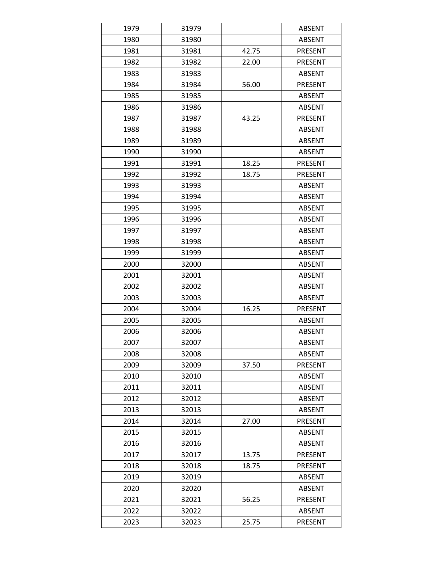| 1979 | 31979 |       | <b>ABSENT</b>  |
|------|-------|-------|----------------|
| 1980 | 31980 |       | <b>ABSENT</b>  |
| 1981 | 31981 | 42.75 | <b>PRESENT</b> |
| 1982 | 31982 | 22.00 | <b>PRESENT</b> |
| 1983 | 31983 |       | <b>ABSENT</b>  |
| 1984 | 31984 | 56.00 | <b>PRESENT</b> |
| 1985 | 31985 |       | <b>ABSENT</b>  |
| 1986 | 31986 |       | <b>ABSENT</b>  |
| 1987 | 31987 | 43.25 | <b>PRESENT</b> |
| 1988 | 31988 |       | <b>ABSENT</b>  |
| 1989 | 31989 |       | <b>ABSENT</b>  |
| 1990 | 31990 |       | <b>ABSENT</b>  |
| 1991 | 31991 | 18.25 | <b>PRESENT</b> |
| 1992 | 31992 | 18.75 | PRESENT        |
| 1993 | 31993 |       | <b>ABSENT</b>  |
| 1994 | 31994 |       | <b>ABSENT</b>  |
| 1995 | 31995 |       | <b>ABSENT</b>  |
| 1996 | 31996 |       | <b>ABSENT</b>  |
| 1997 | 31997 |       | <b>ABSENT</b>  |
| 1998 | 31998 |       | <b>ABSENT</b>  |
| 1999 | 31999 |       | <b>ABSENT</b>  |
| 2000 | 32000 |       | <b>ABSENT</b>  |
| 2001 | 32001 |       | <b>ABSENT</b>  |
| 2002 | 32002 |       | <b>ABSENT</b>  |
| 2003 | 32003 |       | <b>ABSENT</b>  |
| 2004 | 32004 | 16.25 | PRESENT        |
| 2005 | 32005 |       | <b>ABSENT</b>  |
| 2006 | 32006 |       | <b>ABSENT</b>  |
| 2007 | 32007 |       | <b>ABSENT</b>  |
| 2008 | 32008 |       | <b>ABSENT</b>  |
| 2009 | 32009 | 37.50 | PRESENT        |
| 2010 | 32010 |       | <b>ABSENT</b>  |
| 2011 | 32011 |       | <b>ABSENT</b>  |
| 2012 | 32012 |       | <b>ABSENT</b>  |
| 2013 | 32013 |       | <b>ABSENT</b>  |
| 2014 | 32014 | 27.00 | PRESENT        |
| 2015 | 32015 |       | <b>ABSENT</b>  |
| 2016 | 32016 |       | <b>ABSENT</b>  |
| 2017 | 32017 | 13.75 | PRESENT        |
| 2018 | 32018 | 18.75 | PRESENT        |
| 2019 | 32019 |       | <b>ABSENT</b>  |
| 2020 | 32020 |       | <b>ABSENT</b>  |
| 2021 | 32021 | 56.25 | PRESENT        |
| 2022 | 32022 |       | ABSENT         |
| 2023 | 32023 | 25.75 | <b>PRESENT</b> |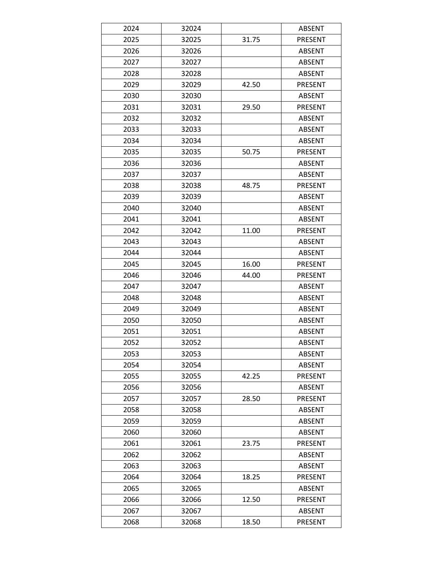| 2024 | 32024 |       | <b>ABSENT</b>  |
|------|-------|-------|----------------|
| 2025 | 32025 | 31.75 | PRESENT        |
| 2026 | 32026 |       | <b>ABSENT</b>  |
| 2027 | 32027 |       | ABSENT         |
| 2028 | 32028 |       | <b>ABSENT</b>  |
| 2029 | 32029 | 42.50 | PRESENT        |
| 2030 | 32030 |       | <b>ABSENT</b>  |
| 2031 | 32031 | 29.50 | PRESENT        |
| 2032 | 32032 |       | <b>ABSENT</b>  |
| 2033 | 32033 |       | <b>ABSENT</b>  |
| 2034 | 32034 |       | <b>ABSENT</b>  |
| 2035 | 32035 | 50.75 | <b>PRESENT</b> |
| 2036 | 32036 |       | <b>ABSENT</b>  |
| 2037 | 32037 |       | <b>ABSENT</b>  |
| 2038 | 32038 | 48.75 | <b>PRESENT</b> |
| 2039 | 32039 |       | <b>ABSENT</b>  |
| 2040 | 32040 |       | <b>ABSENT</b>  |
| 2041 | 32041 |       | <b>ABSENT</b>  |
| 2042 | 32042 | 11.00 | <b>PRESENT</b> |
| 2043 | 32043 |       | <b>ABSENT</b>  |
| 2044 | 32044 |       | <b>ABSENT</b>  |
| 2045 | 32045 | 16.00 | PRESENT        |
| 2046 | 32046 | 44.00 | <b>PRESENT</b> |
| 2047 | 32047 |       | <b>ABSENT</b>  |
| 2048 | 32048 |       | <b>ABSENT</b>  |
| 2049 | 32049 |       | <b>ABSENT</b>  |
| 2050 | 32050 |       | <b>ABSENT</b>  |
| 2051 | 32051 |       | ABSENT         |
| 2052 | 32052 |       | <b>ABSENT</b>  |
| 2053 | 32053 |       | <b>ABSENT</b>  |
| 2054 | 32054 |       | <b>ABSENT</b>  |
| 2055 | 32055 | 42.25 | <b>PRESENT</b> |
| 2056 | 32056 |       | <b>ABSENT</b>  |
| 2057 | 32057 | 28.50 | PRESENT        |
| 2058 | 32058 |       | <b>ABSENT</b>  |
| 2059 | 32059 |       | <b>ABSENT</b>  |
| 2060 | 32060 |       | <b>ABSENT</b>  |
| 2061 | 32061 | 23.75 | PRESENT        |
| 2062 | 32062 |       | <b>ABSENT</b>  |
| 2063 | 32063 |       | ABSENT         |
| 2064 | 32064 | 18.25 | PRESENT        |
| 2065 | 32065 |       | <b>ABSENT</b>  |
| 2066 | 32066 | 12.50 | PRESENT        |
| 2067 | 32067 |       | ABSENT         |
| 2068 | 32068 | 18.50 | <b>PRESENT</b> |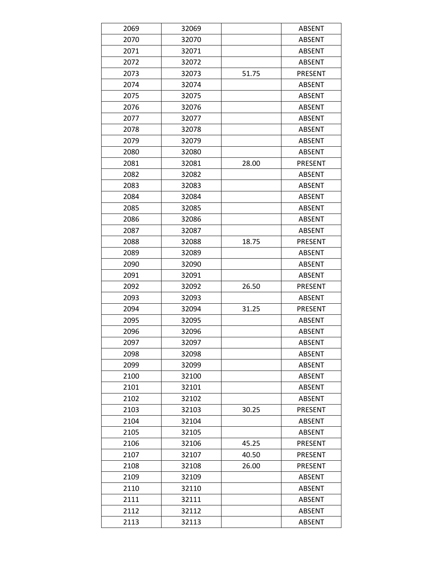| 2069 | 32069 |       | <b>ABSENT</b>  |
|------|-------|-------|----------------|
| 2070 | 32070 |       | <b>ABSENT</b>  |
| 2071 | 32071 |       | <b>ABSENT</b>  |
| 2072 | 32072 |       | <b>ABSENT</b>  |
| 2073 | 32073 | 51.75 | PRESENT        |
| 2074 | 32074 |       | <b>ABSENT</b>  |
| 2075 | 32075 |       | <b>ABSENT</b>  |
| 2076 | 32076 |       | <b>ABSENT</b>  |
| 2077 | 32077 |       | <b>ABSENT</b>  |
| 2078 | 32078 |       | <b>ABSENT</b>  |
| 2079 | 32079 |       | <b>ABSENT</b>  |
| 2080 | 32080 |       | <b>ABSENT</b>  |
| 2081 | 32081 | 28.00 | PRESENT        |
| 2082 | 32082 |       | <b>ABSENT</b>  |
| 2083 | 32083 |       | <b>ABSENT</b>  |
| 2084 | 32084 |       | <b>ABSENT</b>  |
| 2085 | 32085 |       | <b>ABSENT</b>  |
| 2086 | 32086 |       | <b>ABSENT</b>  |
| 2087 | 32087 |       | <b>ABSENT</b>  |
| 2088 | 32088 | 18.75 | <b>PRESENT</b> |
| 2089 | 32089 |       | <b>ABSENT</b>  |
| 2090 | 32090 |       | <b>ABSENT</b>  |
| 2091 | 32091 |       | <b>ABSENT</b>  |
| 2092 | 32092 | 26.50 | PRESENT        |
| 2093 | 32093 |       | ABSENT         |
| 2094 | 32094 | 31.25 | <b>PRESENT</b> |
| 2095 | 32095 |       | <b>ABSENT</b>  |
| 2096 | 32096 |       | <b>ABSENT</b>  |
| 2097 | 32097 |       | <b>ABSENT</b>  |
| 2098 | 32098 |       | ABSENT         |
| 2099 | 32099 |       | <b>ABSENT</b>  |
| 2100 | 32100 |       | <b>ABSENT</b>  |
| 2101 | 32101 |       | ABSENT         |
| 2102 | 32102 |       | <b>ABSENT</b>  |
| 2103 | 32103 | 30.25 | <b>PRESENT</b> |
| 2104 | 32104 |       | <b>ABSENT</b>  |
| 2105 | 32105 |       | <b>ABSENT</b>  |
| 2106 | 32106 | 45.25 | PRESENT        |
| 2107 | 32107 | 40.50 | PRESENT        |
| 2108 | 32108 | 26.00 | PRESENT        |
| 2109 | 32109 |       | <b>ABSENT</b>  |
| 2110 | 32110 |       | <b>ABSENT</b>  |
| 2111 | 32111 |       | <b>ABSENT</b>  |
| 2112 | 32112 |       | ABSENT         |
| 2113 | 32113 |       | <b>ABSENT</b>  |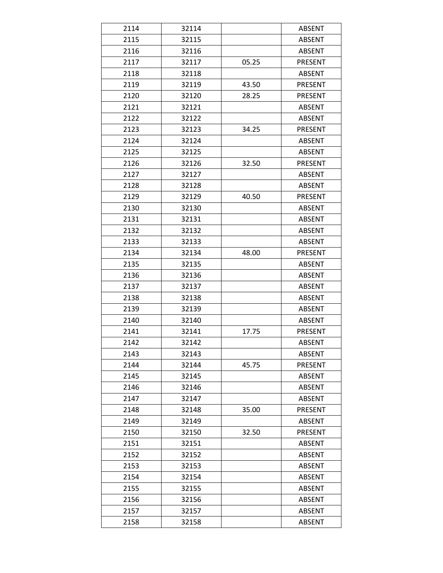| 2114 | 32114 |       | <b>ABSENT</b>  |
|------|-------|-------|----------------|
| 2115 | 32115 |       | <b>ABSENT</b>  |
| 2116 | 32116 |       | <b>ABSENT</b>  |
| 2117 | 32117 | 05.25 | <b>PRESENT</b> |
| 2118 | 32118 |       | <b>ABSENT</b>  |
| 2119 | 32119 | 43.50 | PRESENT        |
| 2120 | 32120 | 28.25 | <b>PRESENT</b> |
| 2121 | 32121 |       | <b>ABSENT</b>  |
| 2122 | 32122 |       | <b>ABSENT</b>  |
| 2123 | 32123 | 34.25 | <b>PRESENT</b> |
| 2124 | 32124 |       | <b>ABSENT</b>  |
| 2125 | 32125 |       | <b>ABSENT</b>  |
| 2126 | 32126 | 32.50 | PRESENT        |
| 2127 | 32127 |       | <b>ABSENT</b>  |
| 2128 | 32128 |       | <b>ABSENT</b>  |
| 2129 | 32129 | 40.50 | <b>PRESENT</b> |
| 2130 | 32130 |       | <b>ABSENT</b>  |
| 2131 | 32131 |       | <b>ABSENT</b>  |
| 2132 | 32132 |       | <b>ABSENT</b>  |
| 2133 | 32133 |       | <b>ABSENT</b>  |
| 2134 | 32134 | 48.00 | PRESENT        |
| 2135 | 32135 |       | ABSENT         |
| 2136 | 32136 |       | <b>ABSENT</b>  |
| 2137 | 32137 |       | <b>ABSENT</b>  |
| 2138 | 32138 |       | <b>ABSENT</b>  |
| 2139 | 32139 |       | <b>ABSENT</b>  |
| 2140 | 32140 |       | <b>ABSENT</b>  |
| 2141 | 32141 | 17.75 | PRESENT        |
| 2142 | 32142 |       | <b>ABSENT</b>  |
| 2143 | 32143 |       | <b>ABSENT</b>  |
| 2144 | 32144 | 45.75 | PRESENT        |
| 2145 | 32145 |       | <b>ABSENT</b>  |
| 2146 | 32146 |       | ABSENT         |
| 2147 | 32147 |       | <b>ABSENT</b>  |
| 2148 | 32148 | 35.00 | <b>PRESENT</b> |
| 2149 | 32149 |       | <b>ABSENT</b>  |
| 2150 | 32150 | 32.50 | <b>PRESENT</b> |
| 2151 | 32151 |       | <b>ABSENT</b>  |
| 2152 | 32152 |       | <b>ABSENT</b>  |
| 2153 | 32153 |       | <b>ABSENT</b>  |
| 2154 | 32154 |       | <b>ABSENT</b>  |
| 2155 | 32155 |       | <b>ABSENT</b>  |
| 2156 | 32156 |       | <b>ABSENT</b>  |
| 2157 | 32157 |       | <b>ABSENT</b>  |
| 2158 | 32158 |       | <b>ABSENT</b>  |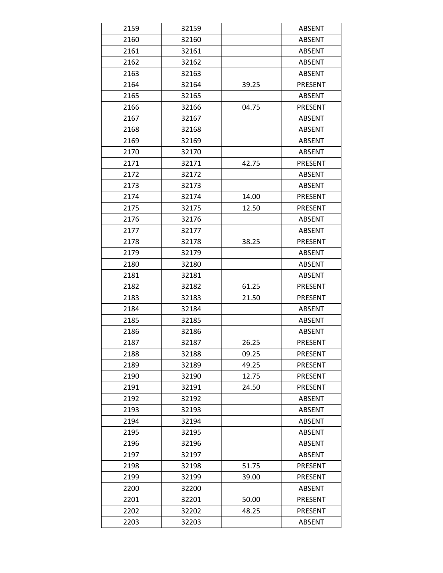| 2159 | 32159 |       | <b>ABSENT</b>  |
|------|-------|-------|----------------|
| 2160 | 32160 |       | <b>ABSENT</b>  |
| 2161 | 32161 |       | <b>ABSENT</b>  |
| 2162 | 32162 |       | <b>ABSENT</b>  |
| 2163 | 32163 |       | <b>ABSENT</b>  |
| 2164 | 32164 | 39.25 | <b>PRESENT</b> |
| 2165 | 32165 |       | ABSENT         |
| 2166 | 32166 | 04.75 | <b>PRESENT</b> |
| 2167 | 32167 |       | <b>ABSENT</b>  |
| 2168 | 32168 |       | <b>ABSENT</b>  |
| 2169 | 32169 |       | <b>ABSENT</b>  |
| 2170 | 32170 |       | <b>ABSENT</b>  |
| 2171 | 32171 | 42.75 | <b>PRESENT</b> |
| 2172 | 32172 |       | <b>ABSENT</b>  |
| 2173 | 32173 |       | <b>ABSENT</b>  |
| 2174 | 32174 | 14.00 | <b>PRESENT</b> |
| 2175 | 32175 | 12.50 | <b>PRESENT</b> |
| 2176 | 32176 |       | <b>ABSENT</b>  |
| 2177 | 32177 |       | <b>ABSENT</b>  |
| 2178 | 32178 | 38.25 | <b>PRESENT</b> |
| 2179 | 32179 |       | <b>ABSENT</b>  |
| 2180 | 32180 |       | <b>ABSENT</b>  |
| 2181 | 32181 |       | <b>ABSENT</b>  |
| 2182 | 32182 | 61.25 | <b>PRESENT</b> |
| 2183 | 32183 | 21.50 | <b>PRESENT</b> |
| 2184 | 32184 |       | <b>ABSENT</b>  |
| 2185 | 32185 |       | <b>ABSENT</b>  |
| 2186 | 32186 |       | <b>ABSENT</b>  |
| 2187 | 32187 | 26.25 | PRESENT        |
| 2188 | 32188 | 09.25 | PRESENT        |
| 2189 | 32189 | 49.25 | <b>PRESENT</b> |
| 2190 | 32190 | 12.75 | <b>PRESENT</b> |
| 2191 | 32191 | 24.50 | <b>PRESENT</b> |
| 2192 | 32192 |       | <b>ABSENT</b>  |
| 2193 | 32193 |       | <b>ABSENT</b>  |
| 2194 | 32194 |       | <b>ABSENT</b>  |
| 2195 | 32195 |       | <b>ABSENT</b>  |
| 2196 | 32196 |       | <b>ABSENT</b>  |
| 2197 | 32197 |       | <b>ABSENT</b>  |
| 2198 | 32198 | 51.75 | PRESENT        |
| 2199 | 32199 | 39.00 | PRESENT        |
| 2200 | 32200 |       | <b>ABSENT</b>  |
| 2201 | 32201 | 50.00 | PRESENT        |
| 2202 | 32202 | 48.25 | PRESENT        |
| 2203 | 32203 |       | <b>ABSENT</b>  |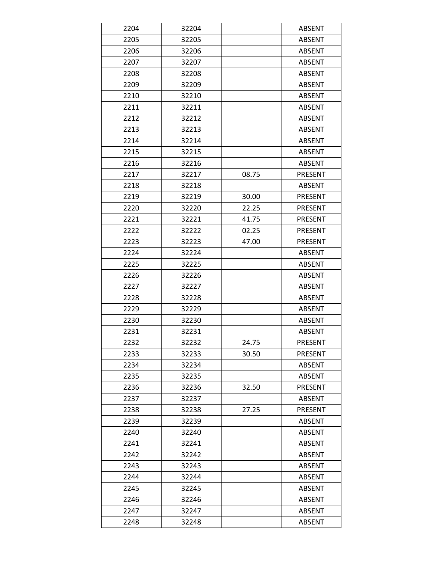| 2204 | 32204 |       | <b>ABSENT</b>  |
|------|-------|-------|----------------|
| 2205 | 32205 |       | <b>ABSENT</b>  |
| 2206 | 32206 |       | <b>ABSENT</b>  |
| 2207 | 32207 |       | <b>ABSENT</b>  |
| 2208 | 32208 |       | <b>ABSENT</b>  |
| 2209 | 32209 |       | <b>ABSENT</b>  |
| 2210 | 32210 |       | <b>ABSENT</b>  |
| 2211 | 32211 |       | <b>ABSENT</b>  |
| 2212 | 32212 |       | <b>ABSENT</b>  |
| 2213 | 32213 |       | <b>ABSENT</b>  |
| 2214 | 32214 |       | <b>ABSENT</b>  |
| 2215 | 32215 |       | <b>ABSENT</b>  |
| 2216 | 32216 |       | <b>ABSENT</b>  |
| 2217 | 32217 | 08.75 | <b>PRESENT</b> |
| 2218 | 32218 |       | ABSENT         |
| 2219 | 32219 | 30.00 | <b>PRESENT</b> |
| 2220 | 32220 | 22.25 | PRESENT        |
| 2221 | 32221 | 41.75 | <b>PRESENT</b> |
| 2222 | 32222 | 02.25 | PRESENT        |
| 2223 | 32223 | 47.00 | <b>PRESENT</b> |
| 2224 | 32224 |       | <b>ABSENT</b>  |
| 2225 | 32225 |       | <b>ABSENT</b>  |
| 2226 | 32226 |       | <b>ABSENT</b>  |
| 2227 | 32227 |       | <b>ABSENT</b>  |
| 2228 | 32228 |       | <b>ABSENT</b>  |
| 2229 | 32229 |       | <b>ABSENT</b>  |
| 2230 | 32230 |       | <b>ABSENT</b>  |
| 2231 | 32231 |       | <b>ABSENT</b>  |
| 2232 | 32232 | 24.75 | PRESENT        |
| 2233 | 32233 | 30.50 | PRESENT        |
| 2234 | 32234 |       | <b>ABSENT</b>  |
| 2235 | 32235 |       | <b>ABSENT</b>  |
| 2236 | 32236 | 32.50 | <b>PRESENT</b> |
| 2237 | 32237 |       | ABSENT         |
| 2238 | 32238 | 27.25 | <b>PRESENT</b> |
| 2239 | 32239 |       | <b>ABSENT</b>  |
| 2240 | 32240 |       | ABSENT         |
| 2241 | 32241 |       | <b>ABSENT</b>  |
| 2242 | 32242 |       | <b>ABSENT</b>  |
| 2243 | 32243 |       | ABSENT         |
| 2244 | 32244 |       | <b>ABSENT</b>  |
| 2245 | 32245 |       | <b>ABSENT</b>  |
| 2246 | 32246 |       | <b>ABSENT</b>  |
| 2247 | 32247 |       | ABSENT         |
| 2248 | 32248 |       | <b>ABSENT</b>  |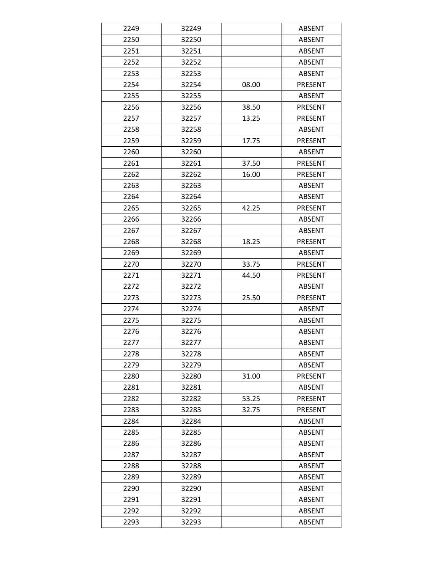| 2249 | 32249 |       | <b>ABSENT</b>  |
|------|-------|-------|----------------|
| 2250 | 32250 |       | <b>ABSENT</b>  |
| 2251 | 32251 |       | <b>ABSENT</b>  |
| 2252 | 32252 |       | <b>ABSENT</b>  |
| 2253 | 32253 |       | <b>ABSENT</b>  |
| 2254 | 32254 | 08.00 | <b>PRESENT</b> |
| 2255 | 32255 |       | <b>ABSENT</b>  |
| 2256 | 32256 | 38.50 | PRESENT        |
| 2257 | 32257 | 13.25 | <b>PRESENT</b> |
| 2258 | 32258 |       | <b>ABSENT</b>  |
| 2259 | 32259 | 17.75 | <b>PRESENT</b> |
| 2260 | 32260 |       | <b>ABSENT</b>  |
| 2261 | 32261 | 37.50 | <b>PRESENT</b> |
| 2262 | 32262 | 16.00 | <b>PRESENT</b> |
| 2263 | 32263 |       | <b>ABSENT</b>  |
| 2264 | 32264 |       | <b>ABSENT</b>  |
| 2265 | 32265 | 42.25 | <b>PRESENT</b> |
| 2266 | 32266 |       | <b>ABSENT</b>  |
| 2267 | 32267 |       | <b>ABSENT</b>  |
| 2268 | 32268 | 18.25 | <b>PRESENT</b> |
| 2269 | 32269 |       | <b>ABSENT</b>  |
| 2270 | 32270 | 33.75 | <b>PRESENT</b> |
| 2271 | 32271 | 44.50 | <b>PRESENT</b> |
| 2272 | 32272 |       | <b>ABSENT</b>  |
| 2273 | 32273 | 25.50 | <b>PRESENT</b> |
| 2274 | 32274 |       | <b>ABSENT</b>  |
| 2275 | 32275 |       | <b>ABSENT</b>  |
| 2276 | 32276 |       | <b>ABSENT</b>  |
| 2277 | 32277 |       | <b>ABSENT</b>  |
| 2278 | 32278 |       | <b>ABSENT</b>  |
| 2279 | 32279 |       | <b>ABSENT</b>  |
| 2280 | 32280 | 31.00 | <b>PRESENT</b> |
| 2281 | 32281 |       | ABSENT         |
| 2282 | 32282 | 53.25 | PRESENT        |
| 2283 | 32283 | 32.75 | <b>PRESENT</b> |
| 2284 | 32284 |       | <b>ABSENT</b>  |
| 2285 | 32285 |       | <b>ABSENT</b>  |
| 2286 | 32286 |       | <b>ABSENT</b>  |
| 2287 | 32287 |       | <b>ABSENT</b>  |
| 2288 | 32288 |       | <b>ABSENT</b>  |
| 2289 | 32289 |       | <b>ABSENT</b>  |
| 2290 | 32290 |       | <b>ABSENT</b>  |
| 2291 | 32291 |       | <b>ABSENT</b>  |
| 2292 | 32292 |       | ABSENT         |
| 2293 | 32293 |       | <b>ABSENT</b>  |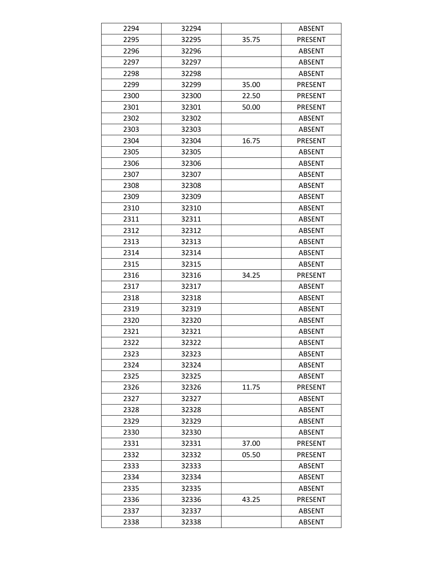| 2294 | 32294 |       | <b>ABSENT</b>  |
|------|-------|-------|----------------|
| 2295 | 32295 | 35.75 | PRESENT        |
| 2296 | 32296 |       | <b>ABSENT</b>  |
| 2297 | 32297 |       | <b>ABSENT</b>  |
| 2298 | 32298 |       | <b>ABSENT</b>  |
| 2299 | 32299 | 35.00 | <b>PRESENT</b> |
| 2300 | 32300 | 22.50 | <b>PRESENT</b> |
| 2301 | 32301 | 50.00 | PRESENT        |
| 2302 | 32302 |       | <b>ABSENT</b>  |
| 2303 | 32303 |       | <b>ABSENT</b>  |
| 2304 | 32304 | 16.75 | <b>PRESENT</b> |
| 2305 | 32305 |       | <b>ABSENT</b>  |
| 2306 | 32306 |       | <b>ABSENT</b>  |
| 2307 | 32307 |       | <b>ABSENT</b>  |
| 2308 | 32308 |       | <b>ABSENT</b>  |
| 2309 | 32309 |       | <b>ABSENT</b>  |
| 2310 | 32310 |       | <b>ABSENT</b>  |
| 2311 | 32311 |       | <b>ABSENT</b>  |
| 2312 | 32312 |       | <b>ABSENT</b>  |
| 2313 | 32313 |       | <b>ABSENT</b>  |
| 2314 | 32314 |       | <b>ABSENT</b>  |
| 2315 | 32315 |       | <b>ABSENT</b>  |
| 2316 | 32316 | 34.25 | <b>PRESENT</b> |
| 2317 | 32317 |       | <b>ABSENT</b>  |
| 2318 | 32318 |       | <b>ABSENT</b>  |
| 2319 | 32319 |       | <b>ABSENT</b>  |
| 2320 | 32320 |       | <b>ABSENT</b>  |
| 2321 | 32321 |       | <b>ABSENT</b>  |
| 2322 | 32322 |       | <b>ABSENT</b>  |
| 2323 | 32323 |       | <b>ABSENT</b>  |
| 2324 | 32324 |       | <b>ABSENT</b>  |
| 2325 | 32325 |       | <b>ABSENT</b>  |
| 2326 | 32326 | 11.75 | <b>PRESENT</b> |
| 2327 | 32327 |       | <b>ABSENT</b>  |
| 2328 | 32328 |       | <b>ABSENT</b>  |
| 2329 | 32329 |       | <b>ABSENT</b>  |
| 2330 | 32330 |       | <b>ABSENT</b>  |
| 2331 | 32331 | 37.00 | PRESENT        |
| 2332 | 32332 | 05.50 | <b>PRESENT</b> |
| 2333 | 32333 |       | <b>ABSENT</b>  |
| 2334 | 32334 |       | <b>ABSENT</b>  |
| 2335 | 32335 |       | <b>ABSENT</b>  |
| 2336 | 32336 | 43.25 | PRESENT        |
| 2337 | 32337 |       | ABSENT         |
| 2338 | 32338 |       | <b>ABSENT</b>  |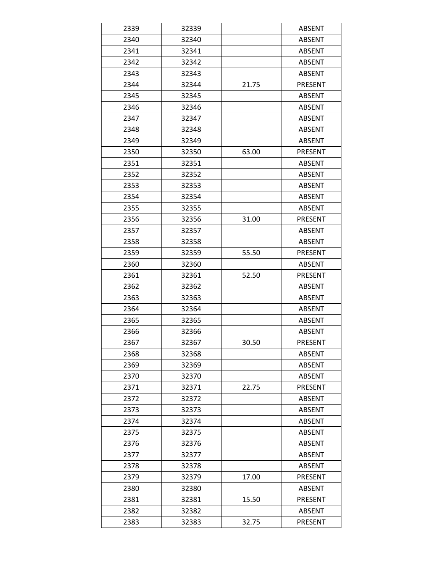| 2339 | 32339 |       | <b>ABSENT</b>  |
|------|-------|-------|----------------|
| 2340 | 32340 |       | <b>ABSENT</b>  |
| 2341 | 32341 |       | <b>ABSENT</b>  |
| 2342 | 32342 |       | <b>ABSENT</b>  |
| 2343 | 32343 |       | <b>ABSENT</b>  |
| 2344 | 32344 | 21.75 | PRESENT        |
| 2345 | 32345 |       | <b>ABSENT</b>  |
| 2346 | 32346 |       | <b>ABSENT</b>  |
| 2347 | 32347 |       | <b>ABSENT</b>  |
| 2348 | 32348 |       | <b>ABSENT</b>  |
| 2349 | 32349 |       | <b>ABSENT</b>  |
| 2350 | 32350 | 63.00 | <b>PRESENT</b> |
| 2351 | 32351 |       | <b>ABSENT</b>  |
| 2352 | 32352 |       | <b>ABSENT</b>  |
| 2353 | 32353 |       | <b>ABSENT</b>  |
| 2354 | 32354 |       | <b>ABSENT</b>  |
| 2355 | 32355 |       | <b>ABSENT</b>  |
| 2356 | 32356 | 31.00 | PRESENT        |
| 2357 | 32357 |       | <b>ABSENT</b>  |
| 2358 | 32358 |       | <b>ABSENT</b>  |
| 2359 | 32359 | 55.50 | <b>PRESENT</b> |
| 2360 | 32360 |       | <b>ABSENT</b>  |
| 2361 | 32361 | 52.50 | <b>PRESENT</b> |
| 2362 | 32362 |       | <b>ABSENT</b>  |
| 2363 | 32363 |       | <b>ABSENT</b>  |
| 2364 | 32364 |       | <b>ABSENT</b>  |
| 2365 | 32365 |       | <b>ABSENT</b>  |
| 2366 | 32366 |       | <b>ABSENT</b>  |
| 2367 | 32367 | 30.50 | <b>PRESENT</b> |
| 2368 | 32368 |       | <b>ABSENT</b>  |
| 2369 | 32369 |       | <b>ABSENT</b>  |
| 2370 | 32370 |       | <b>ABSENT</b>  |
| 2371 | 32371 | 22.75 | <b>PRESENT</b> |
| 2372 | 32372 |       | <b>ABSENT</b>  |
| 2373 | 32373 |       | <b>ABSENT</b>  |
| 2374 | 32374 |       | <b>ABSENT</b>  |
| 2375 | 32375 |       | <b>ABSENT</b>  |
| 2376 | 32376 |       | <b>ABSENT</b>  |
| 2377 | 32377 |       | <b>ABSENT</b>  |
| 2378 | 32378 |       | <b>ABSENT</b>  |
| 2379 | 32379 | 17.00 | <b>PRESENT</b> |
| 2380 | 32380 |       | <b>ABSENT</b>  |
| 2381 | 32381 | 15.50 | PRESENT        |
| 2382 | 32382 |       | ABSENT         |
| 2383 | 32383 | 32.75 | <b>PRESENT</b> |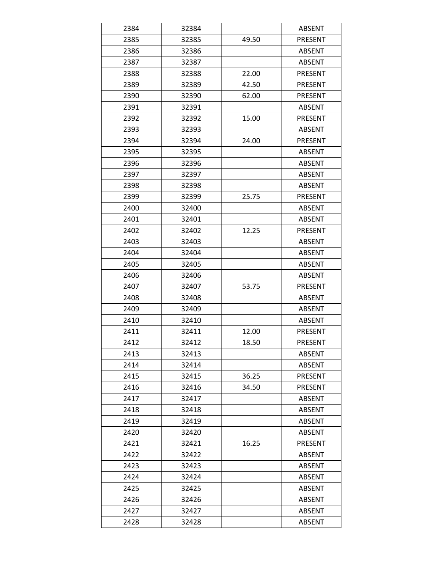| 2384 | 32384 |       | <b>ABSENT</b>  |
|------|-------|-------|----------------|
| 2385 | 32385 | 49.50 | <b>PRESENT</b> |
| 2386 | 32386 |       | <b>ABSENT</b>  |
| 2387 | 32387 |       | <b>ABSENT</b>  |
| 2388 | 32388 | 22.00 | <b>PRESENT</b> |
| 2389 | 32389 | 42.50 | <b>PRESENT</b> |
| 2390 | 32390 | 62.00 | <b>PRESENT</b> |
| 2391 | 32391 |       | <b>ABSENT</b>  |
| 2392 | 32392 | 15.00 | <b>PRESENT</b> |
| 2393 | 32393 |       | <b>ABSENT</b>  |
| 2394 | 32394 | 24.00 | <b>PRESENT</b> |
| 2395 | 32395 |       | <b>ABSENT</b>  |
| 2396 | 32396 |       | <b>ABSENT</b>  |
| 2397 | 32397 |       | <b>ABSENT</b>  |
| 2398 | 32398 |       | <b>ABSENT</b>  |
| 2399 | 32399 | 25.75 | PRESENT        |
| 2400 | 32400 |       | <b>ABSENT</b>  |
| 2401 | 32401 |       | <b>ABSENT</b>  |
| 2402 | 32402 | 12.25 | <b>PRESENT</b> |
| 2403 | 32403 |       | <b>ABSENT</b>  |
| 2404 | 32404 |       | <b>ABSENT</b>  |
| 2405 | 32405 |       | <b>ABSENT</b>  |
| 2406 | 32406 |       | <b>ABSENT</b>  |
| 2407 | 32407 | 53.75 | PRESENT        |
| 2408 | 32408 |       | <b>ABSENT</b>  |
| 2409 | 32409 |       | <b>ABSENT</b>  |
| 2410 | 32410 |       | <b>ABSENT</b>  |
| 2411 | 32411 | 12.00 | <b>PRESENT</b> |
| 2412 | 32412 | 18.50 | <b>PRESENT</b> |
| 2413 | 32413 |       | <b>ABSENT</b>  |
| 2414 | 32414 |       | <b>ABSENT</b>  |
| 2415 | 32415 | 36.25 | PRESENT        |
| 2416 | 32416 | 34.50 | <b>PRESENT</b> |
| 2417 | 32417 |       | <b>ABSENT</b>  |
| 2418 | 32418 |       | <b>ABSENT</b>  |
| 2419 | 32419 |       | <b>ABSENT</b>  |
| 2420 | 32420 |       | <b>ABSENT</b>  |
| 2421 | 32421 | 16.25 | <b>PRESENT</b> |
| 2422 | 32422 |       | <b>ABSENT</b>  |
| 2423 | 32423 |       | <b>ABSENT</b>  |
| 2424 | 32424 |       | <b>ABSENT</b>  |
| 2425 | 32425 |       | <b>ABSENT</b>  |
| 2426 | 32426 |       | <b>ABSENT</b>  |
| 2427 | 32427 |       | <b>ABSENT</b>  |
| 2428 | 32428 |       | <b>ABSENT</b>  |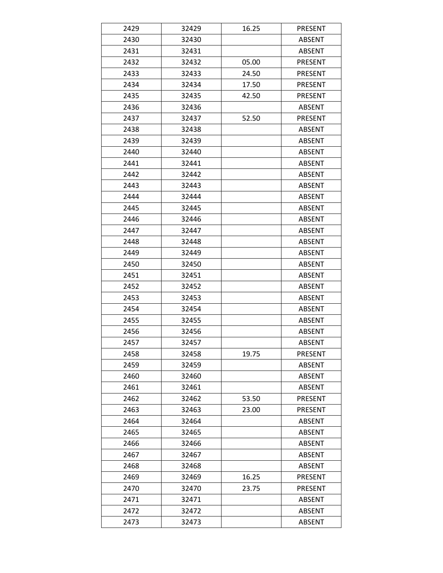| 2429 | 32429 | 16.25 | PRESENT        |
|------|-------|-------|----------------|
| 2430 | 32430 |       | <b>ABSENT</b>  |
| 2431 | 32431 |       | <b>ABSENT</b>  |
| 2432 | 32432 | 05.00 | <b>PRESENT</b> |
| 2433 | 32433 | 24.50 | PRESENT        |
| 2434 | 32434 | 17.50 | <b>PRESENT</b> |
| 2435 | 32435 | 42.50 | <b>PRESENT</b> |
| 2436 | 32436 |       | ABSENT         |
| 2437 | 32437 | 52.50 | <b>PRESENT</b> |
| 2438 | 32438 |       | <b>ABSENT</b>  |
| 2439 | 32439 |       | <b>ABSENT</b>  |
| 2440 | 32440 |       | <b>ABSENT</b>  |
| 2441 | 32441 |       | <b>ABSENT</b>  |
| 2442 | 32442 |       | <b>ABSENT</b>  |
| 2443 | 32443 |       | <b>ABSENT</b>  |
| 2444 | 32444 |       | <b>ABSENT</b>  |
| 2445 | 32445 |       | <b>ABSENT</b>  |
| 2446 | 32446 |       | <b>ABSENT</b>  |
| 2447 | 32447 |       | <b>ABSENT</b>  |
| 2448 | 32448 |       | <b>ABSENT</b>  |
| 2449 | 32449 |       | <b>ABSENT</b>  |
| 2450 | 32450 |       | <b>ABSENT</b>  |
| 2451 | 32451 |       | <b>ABSENT</b>  |
| 2452 | 32452 |       | <b>ABSENT</b>  |
| 2453 | 32453 |       | <b>ABSENT</b>  |
| 2454 | 32454 |       | <b>ABSENT</b>  |
| 2455 | 32455 |       | <b>ABSENT</b>  |
| 2456 | 32456 |       | <b>ABSENT</b>  |
| 2457 | 32457 |       | <b>ABSENT</b>  |
| 2458 | 32458 | 19.75 | PRESENT        |
| 2459 | 32459 |       | <b>ABSENT</b>  |
| 2460 | 32460 |       | <b>ABSENT</b>  |
| 2461 | 32461 |       | <b>ABSENT</b>  |
| 2462 | 32462 | 53.50 | PRESENT        |
| 2463 | 32463 | 23.00 | <b>PRESENT</b> |
| 2464 | 32464 |       | <b>ABSENT</b>  |
| 2465 | 32465 |       | <b>ABSENT</b>  |
| 2466 | 32466 |       | <b>ABSENT</b>  |
| 2467 | 32467 |       | <b>ABSENT</b>  |
| 2468 | 32468 |       | <b>ABSENT</b>  |
| 2469 | 32469 | 16.25 | PRESENT        |
| 2470 | 32470 | 23.75 | PRESENT        |
| 2471 | 32471 |       | <b>ABSENT</b>  |
| 2472 | 32472 |       | <b>ABSENT</b>  |
| 2473 | 32473 |       | <b>ABSENT</b>  |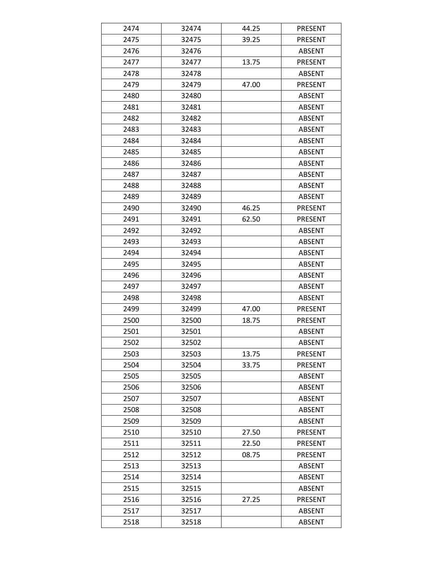| 2474 | 32474 | 44.25 | <b>PRESENT</b> |
|------|-------|-------|----------------|
| 2475 | 32475 | 39.25 | <b>PRESENT</b> |
| 2476 | 32476 |       | <b>ABSENT</b>  |
| 2477 | 32477 | 13.75 | PRESENT        |
| 2478 | 32478 |       | <b>ABSENT</b>  |
| 2479 | 32479 | 47.00 | <b>PRESENT</b> |
| 2480 | 32480 |       | <b>ABSENT</b>  |
| 2481 | 32481 |       | <b>ABSENT</b>  |
| 2482 | 32482 |       | <b>ABSENT</b>  |
| 2483 | 32483 |       | <b>ABSENT</b>  |
| 2484 | 32484 |       | <b>ABSENT</b>  |
| 2485 | 32485 |       | <b>ABSENT</b>  |
| 2486 | 32486 |       | <b>ABSENT</b>  |
| 2487 | 32487 |       | <b>ABSENT</b>  |
| 2488 | 32488 |       | <b>ABSENT</b>  |
| 2489 | 32489 |       | <b>ABSENT</b>  |
| 2490 | 32490 | 46.25 | PRESENT        |
| 2491 | 32491 | 62.50 | <b>PRESENT</b> |
| 2492 | 32492 |       | <b>ABSENT</b>  |
| 2493 | 32493 |       | <b>ABSENT</b>  |
| 2494 | 32494 |       | <b>ABSENT</b>  |
| 2495 | 32495 |       | <b>ABSENT</b>  |
| 2496 | 32496 |       | <b>ABSENT</b>  |
| 2497 | 32497 |       | <b>ABSENT</b>  |
| 2498 | 32498 |       | <b>ABSENT</b>  |
| 2499 | 32499 | 47.00 | <b>PRESENT</b> |
| 2500 | 32500 | 18.75 | <b>PRESENT</b> |
| 2501 | 32501 |       | <b>ABSENT</b>  |
| 2502 | 32502 |       | <b>ABSENT</b>  |
| 2503 | 32503 | 13.75 | PRESENT        |
| 2504 | 32504 | 33.75 | <b>PRESENT</b> |
| 2505 | 32505 |       | <b>ABSENT</b>  |
| 2506 | 32506 |       | ABSENT         |
| 2507 | 32507 |       | <b>ABSENT</b>  |
| 2508 | 32508 |       | <b>ABSENT</b>  |
| 2509 | 32509 |       | <b>ABSENT</b>  |
| 2510 | 32510 | 27.50 | PRESENT        |
| 2511 | 32511 | 22.50 | <b>PRESENT</b> |
| 2512 | 32512 | 08.75 | <b>PRESENT</b> |
| 2513 | 32513 |       | <b>ABSENT</b>  |
| 2514 | 32514 |       | <b>ABSENT</b>  |
| 2515 | 32515 |       | <b>ABSENT</b>  |
| 2516 | 32516 | 27.25 | PRESENT        |
| 2517 | 32517 |       | ABSENT         |
| 2518 | 32518 |       | ABSENT         |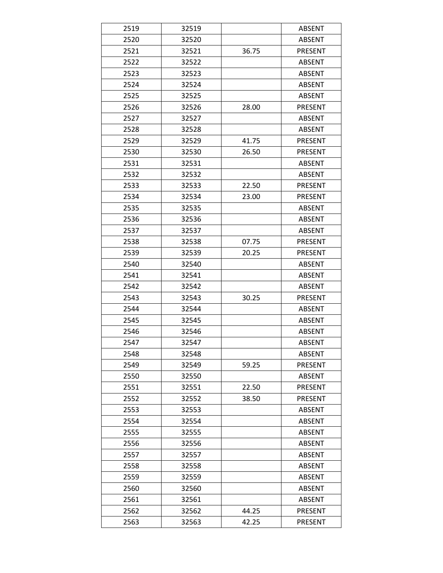| 2519 | 32519 |       | <b>ABSENT</b>  |
|------|-------|-------|----------------|
| 2520 | 32520 |       | <b>ABSENT</b>  |
| 2521 | 32521 | 36.75 | <b>PRESENT</b> |
| 2522 | 32522 |       | <b>ABSENT</b>  |
| 2523 | 32523 |       | <b>ABSENT</b>  |
| 2524 | 32524 |       | <b>ABSENT</b>  |
| 2525 | 32525 |       | <b>ABSENT</b>  |
| 2526 | 32526 | 28.00 | <b>PRESENT</b> |
| 2527 | 32527 |       | <b>ABSENT</b>  |
| 2528 | 32528 |       | <b>ABSENT</b>  |
| 2529 | 32529 | 41.75 | <b>PRESENT</b> |
| 2530 | 32530 | 26.50 | PRESENT        |
| 2531 | 32531 |       | <b>ABSENT</b>  |
| 2532 | 32532 |       | <b>ABSENT</b>  |
| 2533 | 32533 | 22.50 | <b>PRESENT</b> |
| 2534 | 32534 | 23.00 | PRESENT        |
| 2535 | 32535 |       | <b>ABSENT</b>  |
| 2536 | 32536 |       | <b>ABSENT</b>  |
| 2537 | 32537 |       | <b>ABSENT</b>  |
| 2538 | 32538 | 07.75 | <b>PRESENT</b> |
| 2539 | 32539 | 20.25 | <b>PRESENT</b> |
| 2540 | 32540 |       | <b>ABSENT</b>  |
| 2541 | 32541 |       | <b>ABSENT</b>  |
| 2542 | 32542 |       | ABSENT         |
| 2543 | 32543 | 30.25 | PRESENT        |
| 2544 | 32544 |       | <b>ABSENT</b>  |
| 2545 | 32545 |       | <b>ABSENT</b>  |
| 2546 | 32546 |       | <b>ABSENT</b>  |
| 2547 | 32547 |       | <b>ABSENT</b>  |
| 2548 | 32548 |       | <b>ABSENT</b>  |
| 2549 | 32549 | 59.25 | PRESENT        |
| 2550 | 32550 |       | <b>ABSENT</b>  |
| 2551 | 32551 | 22.50 | <b>PRESENT</b> |
| 2552 | 32552 | 38.50 | PRESENT        |
| 2553 | 32553 |       | <b>ABSENT</b>  |
| 2554 | 32554 |       | <b>ABSENT</b>  |
| 2555 | 32555 |       | <b>ABSENT</b>  |
| 2556 | 32556 |       | <b>ABSENT</b>  |
| 2557 | 32557 |       | <b>ABSENT</b>  |
| 2558 | 32558 |       | <b>ABSENT</b>  |
| 2559 | 32559 |       | <b>ABSENT</b>  |
| 2560 | 32560 |       | <b>ABSENT</b>  |
| 2561 | 32561 |       | <b>ABSENT</b>  |
| 2562 | 32562 | 44.25 | PRESENT        |
| 2563 | 32563 | 42.25 | <b>PRESENT</b> |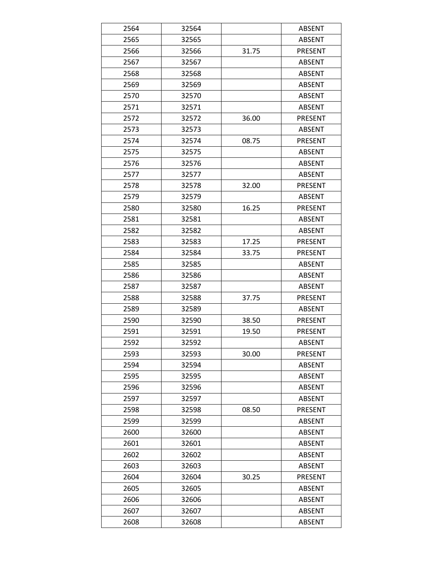| 2564 | 32564 |       | <b>ABSENT</b>  |
|------|-------|-------|----------------|
| 2565 | 32565 |       | <b>ABSENT</b>  |
| 2566 | 32566 | 31.75 | <b>PRESENT</b> |
| 2567 | 32567 |       | <b>ABSENT</b>  |
| 2568 | 32568 |       | <b>ABSENT</b>  |
| 2569 | 32569 |       | <b>ABSENT</b>  |
| 2570 | 32570 |       | <b>ABSENT</b>  |
| 2571 | 32571 |       | <b>ABSENT</b>  |
| 2572 | 32572 | 36.00 | <b>PRESENT</b> |
| 2573 | 32573 |       | <b>ABSENT</b>  |
| 2574 | 32574 | 08.75 | <b>PRESENT</b> |
| 2575 | 32575 |       | <b>ABSENT</b>  |
| 2576 | 32576 |       | <b>ABSENT</b>  |
| 2577 | 32577 |       | <b>ABSENT</b>  |
| 2578 | 32578 | 32.00 | <b>PRESENT</b> |
| 2579 | 32579 |       | <b>ABSENT</b>  |
| 2580 | 32580 | 16.25 | <b>PRESENT</b> |
| 2581 | 32581 |       | <b>ABSENT</b>  |
| 2582 | 32582 |       | <b>ABSENT</b>  |
| 2583 | 32583 | 17.25 | <b>PRESENT</b> |
| 2584 | 32584 | 33.75 | <b>PRESENT</b> |
| 2585 | 32585 |       | <b>ABSENT</b>  |
| 2586 | 32586 |       | <b>ABSENT</b>  |
| 2587 | 32587 |       | <b>ABSENT</b>  |
| 2588 | 32588 | 37.75 | <b>PRESENT</b> |
| 2589 | 32589 |       | <b>ABSENT</b>  |
| 2590 | 32590 | 38.50 | <b>PRESENT</b> |
| 2591 | 32591 | 19.50 | <b>PRESENT</b> |
| 2592 | 32592 |       | <b>ABSENT</b>  |
| 2593 | 32593 | 30.00 | <b>PRESENT</b> |
| 2594 | 32594 |       | ABSENT         |
| 2595 | 32595 |       | <b>ABSENT</b>  |
| 2596 | 32596 |       | <b>ABSENT</b>  |
| 2597 | 32597 |       | <b>ABSENT</b>  |
| 2598 | 32598 | 08.50 | PRESENT        |
| 2599 | 32599 |       | <b>ABSENT</b>  |
| 2600 | 32600 |       | <b>ABSENT</b>  |
| 2601 | 32601 |       | <b>ABSENT</b>  |
| 2602 | 32602 |       | <b>ABSENT</b>  |
| 2603 | 32603 |       | <b>ABSENT</b>  |
| 2604 | 32604 | 30.25 | PRESENT        |
| 2605 | 32605 |       | <b>ABSENT</b>  |
| 2606 | 32606 |       | <b>ABSENT</b>  |
| 2607 | 32607 |       | <b>ABSENT</b>  |
| 2608 | 32608 |       | <b>ABSENT</b>  |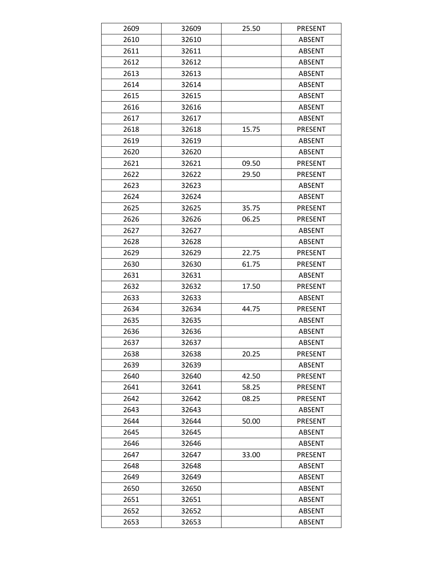| 2609 | 32609 | 25.50 | <b>PRESENT</b> |
|------|-------|-------|----------------|
| 2610 | 32610 |       | <b>ABSENT</b>  |
| 2611 | 32611 |       | <b>ABSENT</b>  |
| 2612 | 32612 |       | <b>ABSENT</b>  |
| 2613 | 32613 |       | <b>ABSENT</b>  |
| 2614 | 32614 |       | <b>ABSENT</b>  |
| 2615 | 32615 |       | <b>ABSENT</b>  |
| 2616 | 32616 |       | <b>ABSENT</b>  |
| 2617 | 32617 |       | <b>ABSENT</b>  |
| 2618 | 32618 | 15.75 | PRESENT        |
| 2619 | 32619 |       | <b>ABSENT</b>  |
| 2620 | 32620 |       | <b>ABSENT</b>  |
| 2621 | 32621 | 09.50 | <b>PRESENT</b> |
| 2622 | 32622 | 29.50 | <b>PRESENT</b> |
| 2623 | 32623 |       | <b>ABSENT</b>  |
| 2624 | 32624 |       | <b>ABSENT</b>  |
| 2625 | 32625 | 35.75 | <b>PRESENT</b> |
| 2626 | 32626 | 06.25 | <b>PRESENT</b> |
| 2627 | 32627 |       | <b>ABSENT</b>  |
| 2628 | 32628 |       | <b>ABSENT</b>  |
| 2629 | 32629 | 22.75 | <b>PRESENT</b> |
| 2630 | 32630 | 61.75 | PRESENT        |
| 2631 | 32631 |       | <b>ABSENT</b>  |
| 2632 | 32632 | 17.50 | <b>PRESENT</b> |
| 2633 | 32633 |       | <b>ABSENT</b>  |
| 2634 | 32634 | 44.75 | <b>PRESENT</b> |
| 2635 | 32635 |       | <b>ABSENT</b>  |
| 2636 | 32636 |       | <b>ABSENT</b>  |
| 2637 | 32637 |       | <b>ABSENT</b>  |
| 2638 | 32638 | 20.25 | PRESENT        |
| 2639 | 32639 |       | <b>ABSENT</b>  |
| 2640 | 32640 | 42.50 | <b>PRESENT</b> |
| 2641 | 32641 | 58.25 | <b>PRESENT</b> |
| 2642 | 32642 | 08.25 | PRESENT        |
| 2643 | 32643 |       | <b>ABSENT</b>  |
| 2644 | 32644 | 50.00 | PRESENT        |
| 2645 | 32645 |       | <b>ABSENT</b>  |
| 2646 | 32646 |       | <b>ABSENT</b>  |
| 2647 | 32647 | 33.00 | <b>PRESENT</b> |
| 2648 | 32648 |       | <b>ABSENT</b>  |
| 2649 | 32649 |       | <b>ABSENT</b>  |
| 2650 | 32650 |       | <b>ABSENT</b>  |
| 2651 | 32651 |       | <b>ABSENT</b>  |
| 2652 | 32652 |       | <b>ABSENT</b>  |
| 2653 | 32653 |       | <b>ABSENT</b>  |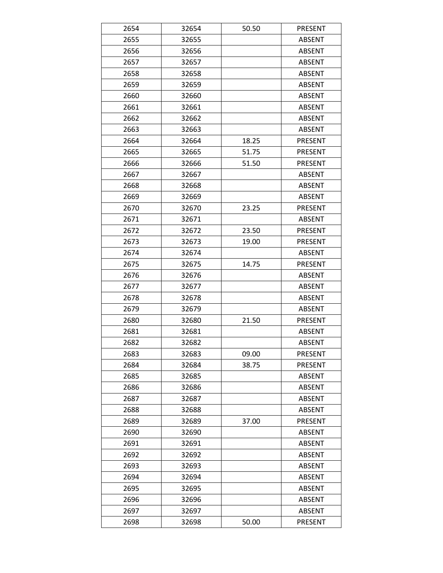| 2654 | 32654 | 50.50 | <b>PRESENT</b> |
|------|-------|-------|----------------|
| 2655 | 32655 |       | <b>ABSENT</b>  |
| 2656 | 32656 |       | <b>ABSENT</b>  |
| 2657 | 32657 |       | <b>ABSENT</b>  |
| 2658 | 32658 |       | <b>ABSENT</b>  |
| 2659 | 32659 |       | <b>ABSENT</b>  |
| 2660 | 32660 |       | <b>ABSENT</b>  |
| 2661 | 32661 |       | <b>ABSENT</b>  |
| 2662 | 32662 |       | <b>ABSENT</b>  |
| 2663 | 32663 |       | <b>ABSENT</b>  |
| 2664 | 32664 | 18.25 | <b>PRESENT</b> |
| 2665 | 32665 | 51.75 | <b>PRESENT</b> |
| 2666 | 32666 | 51.50 | <b>PRESENT</b> |
| 2667 | 32667 |       | <b>ABSENT</b>  |
| 2668 | 32668 |       | <b>ABSENT</b>  |
| 2669 | 32669 |       | <b>ABSENT</b>  |
| 2670 | 32670 | 23.25 | <b>PRESENT</b> |
| 2671 | 32671 |       | <b>ABSENT</b>  |
| 2672 | 32672 | 23.50 | <b>PRESENT</b> |
| 2673 | 32673 | 19.00 | <b>PRESENT</b> |
| 2674 | 32674 |       | <b>ABSENT</b>  |
| 2675 | 32675 | 14.75 | PRESENT        |
| 2676 | 32676 |       | <b>ABSENT</b>  |
| 2677 | 32677 |       | <b>ABSENT</b>  |
| 2678 | 32678 |       | <b>ABSENT</b>  |
| 2679 | 32679 |       | <b>ABSENT</b>  |
| 2680 | 32680 | 21.50 | PRESENT        |
| 2681 | 32681 |       | <b>ABSENT</b>  |
| 2682 | 32682 |       | <b>ABSENT</b>  |
| 2683 | 32683 | 09.00 | PRESENT        |
| 2684 | 32684 | 38.75 | <b>PRESENT</b> |
| 2685 | 32685 |       | <b>ABSENT</b>  |
| 2686 | 32686 |       | <b>ABSENT</b>  |
| 2687 | 32687 |       | <b>ABSENT</b>  |
| 2688 | 32688 |       | <b>ABSENT</b>  |
| 2689 | 32689 | 37.00 | PRESENT        |
| 2690 | 32690 |       | <b>ABSENT</b>  |
| 2691 | 32691 |       | <b>ABSENT</b>  |
| 2692 | 32692 |       | <b>ABSENT</b>  |
| 2693 | 32693 |       | <b>ABSENT</b>  |
| 2694 | 32694 |       | <b>ABSENT</b>  |
| 2695 | 32695 |       | <b>ABSENT</b>  |
| 2696 | 32696 |       | <b>ABSENT</b>  |
| 2697 | 32697 |       | <b>ABSENT</b>  |
| 2698 | 32698 | 50.00 | PRESENT        |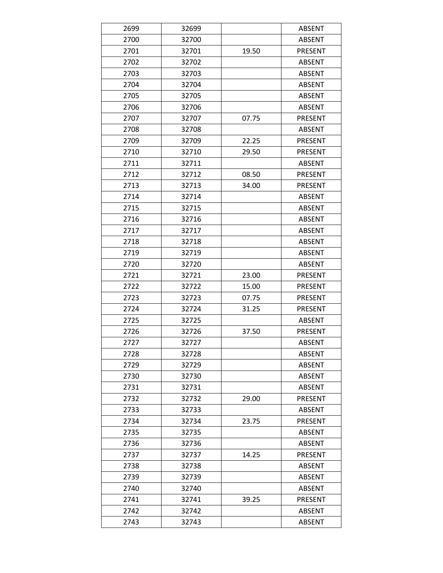| 2699 | 32699 |       | <b>ABSENT</b>  |
|------|-------|-------|----------------|
| 2700 | 32700 |       | <b>ABSENT</b>  |
| 2701 | 32701 | 19.50 | <b>PRESENT</b> |
| 2702 | 32702 |       | <b>ABSENT</b>  |
| 2703 | 32703 |       | <b>ABSENT</b>  |
| 2704 | 32704 |       | <b>ABSENT</b>  |
| 2705 | 32705 |       | <b>ABSENT</b>  |
| 2706 | 32706 |       | <b>ABSENT</b>  |
| 2707 | 32707 | 07.75 | PRESENT        |
| 2708 | 32708 |       | <b>ABSENT</b>  |
| 2709 | 32709 | 22.25 | <b>PRESENT</b> |
| 2710 | 32710 | 29.50 | PRESENT        |
| 2711 | 32711 |       | <b>ABSENT</b>  |
| 2712 | 32712 | 08.50 | <b>PRESENT</b> |
| 2713 | 32713 | 34.00 | <b>PRESENT</b> |
| 2714 | 32714 |       | <b>ABSENT</b>  |
| 2715 | 32715 |       | <b>ABSENT</b>  |
| 2716 | 32716 |       | <b>ABSENT</b>  |
| 2717 | 32717 |       | <b>ABSENT</b>  |
| 2718 | 32718 |       | <b>ABSENT</b>  |
| 2719 | 32719 |       | <b>ABSENT</b>  |
| 2720 | 32720 |       | <b>ABSENT</b>  |
| 2721 | 32721 | 23.00 | <b>PRESENT</b> |
| 2722 | 32722 | 15.00 | PRESENT        |
| 2723 | 32723 | 07.75 | PRESENT        |
| 2724 | 32724 | 31.25 | <b>PRESENT</b> |
| 2725 | 32725 |       | <b>ABSENT</b>  |
| 2726 | 32726 | 37.50 | PRESENT        |
| 2727 | 32727 |       | <b>ABSENT</b>  |
| 2728 | 32728 |       | <b>ABSENT</b>  |
| 2729 | 32729 |       | <b>ABSENT</b>  |
| 2730 | 32730 |       | <b>ABSENT</b>  |
| 2731 | 32731 |       | <b>ABSENT</b>  |
| 2732 | 32732 | 29.00 | PRESENT        |
| 2733 | 32733 |       | <b>ABSENT</b>  |
| 2734 | 32734 | 23.75 | PRESENT        |
| 2735 | 32735 |       | <b>ABSENT</b>  |
| 2736 | 32736 |       | <b>ABSENT</b>  |
| 2737 | 32737 | 14.25 | <b>PRESENT</b> |
| 2738 | 32738 |       | <b>ABSENT</b>  |
| 2739 | 32739 |       | <b>ABSENT</b>  |
| 2740 | 32740 |       | <b>ABSENT</b>  |
| 2741 | 32741 | 39.25 | PRESENT        |
| 2742 | 32742 |       | ABSENT         |
| 2743 | 32743 |       | <b>ABSENT</b>  |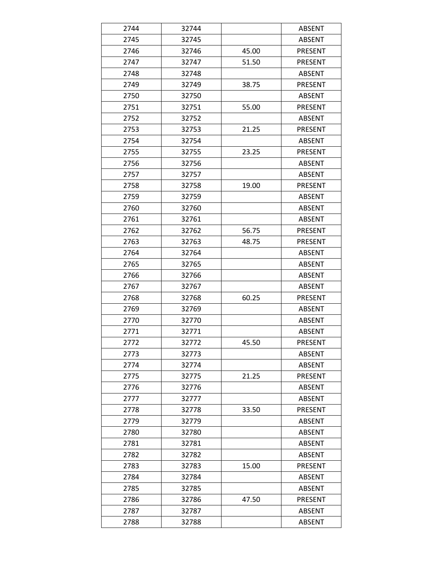| 2744 | 32744 |       | <b>ABSENT</b>  |
|------|-------|-------|----------------|
| 2745 | 32745 |       | <b>ABSENT</b>  |
| 2746 | 32746 | 45.00 | PRESENT        |
| 2747 | 32747 | 51.50 | <b>PRESENT</b> |
| 2748 | 32748 |       | <b>ABSENT</b>  |
| 2749 | 32749 | 38.75 | PRESENT        |
| 2750 | 32750 |       | <b>ABSENT</b>  |
| 2751 | 32751 | 55.00 | PRESENT        |
| 2752 | 32752 |       | ABSENT         |
| 2753 | 32753 | 21.25 | PRESENT        |
| 2754 | 32754 |       | <b>ABSENT</b>  |
| 2755 | 32755 | 23.25 | <b>PRESENT</b> |
| 2756 | 32756 |       | <b>ABSENT</b>  |
| 2757 | 32757 |       | <b>ABSENT</b>  |
| 2758 | 32758 | 19.00 | <b>PRESENT</b> |
| 2759 | 32759 |       | <b>ABSENT</b>  |
| 2760 | 32760 |       | ABSENT         |
| 2761 | 32761 |       | <b>ABSENT</b>  |
| 2762 | 32762 | 56.75 | PRESENT        |
| 2763 | 32763 | 48.75 | PRESENT        |
| 2764 | 32764 |       | <b>ABSENT</b>  |
| 2765 | 32765 |       | <b>ABSENT</b>  |
| 2766 | 32766 |       | <b>ABSENT</b>  |
| 2767 | 32767 |       | <b>ABSENT</b>  |
| 2768 | 32768 | 60.25 | PRESENT        |
| 2769 | 32769 |       | <b>ABSENT</b>  |
| 2770 | 32770 |       | <b>ABSENT</b>  |
| 2771 | 32771 |       | <b>ABSENT</b>  |
| 2772 | 32772 | 45.50 | PRESENT        |
| 2773 | 32773 |       | <b>ABSENT</b>  |
| 2774 | 32774 |       | <b>ABSENT</b>  |
| 2775 | 32775 | 21.25 | <b>PRESENT</b> |
| 2776 | 32776 |       | ABSENT         |
| 2777 | 32777 |       | <b>ABSENT</b>  |
| 2778 | 32778 | 33.50 | <b>PRESENT</b> |
| 2779 | 32779 |       | <b>ABSENT</b>  |
| 2780 | 32780 |       | <b>ABSENT</b>  |
| 2781 | 32781 |       | <b>ABSENT</b>  |
| 2782 | 32782 |       | <b>ABSENT</b>  |
| 2783 | 32783 | 15.00 | PRESENT        |
| 2784 | 32784 |       | <b>ABSENT</b>  |
| 2785 | 32785 |       | <b>ABSENT</b>  |
| 2786 | 32786 | 47.50 | PRESENT        |
| 2787 | 32787 |       | ABSENT         |
| 2788 | 32788 |       | <b>ABSENT</b>  |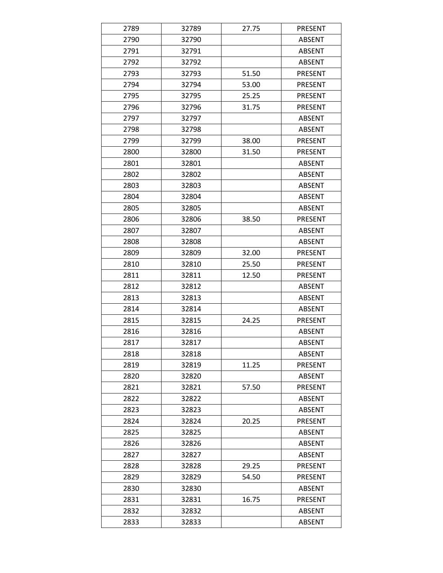| 2789 | 32789 | 27.75 | <b>PRESENT</b> |
|------|-------|-------|----------------|
| 2790 | 32790 |       | <b>ABSENT</b>  |
| 2791 | 32791 |       | <b>ABSENT</b>  |
| 2792 | 32792 |       | <b>ABSENT</b>  |
| 2793 | 32793 | 51.50 | PRESENT        |
| 2794 | 32794 | 53.00 | <b>PRESENT</b> |
| 2795 | 32795 | 25.25 | <b>PRESENT</b> |
| 2796 | 32796 | 31.75 | PRESENT        |
| 2797 | 32797 |       | <b>ABSENT</b>  |
| 2798 | 32798 |       | <b>ABSENT</b>  |
| 2799 | 32799 | 38.00 | <b>PRESENT</b> |
| 2800 | 32800 | 31.50 | <b>PRESENT</b> |
| 2801 | 32801 |       | <b>ABSENT</b>  |
| 2802 | 32802 |       | <b>ABSENT</b>  |
| 2803 | 32803 |       | <b>ABSENT</b>  |
| 2804 | 32804 |       | <b>ABSENT</b>  |
| 2805 | 32805 |       | <b>ABSENT</b>  |
| 2806 | 32806 | 38.50 | <b>PRESENT</b> |
| 2807 | 32807 |       | <b>ABSENT</b>  |
| 2808 | 32808 |       | <b>ABSENT</b>  |
| 2809 | 32809 | 32.00 | <b>PRESENT</b> |
| 2810 | 32810 | 25.50 | <b>PRESENT</b> |
| 2811 | 32811 | 12.50 | <b>PRESENT</b> |
| 2812 | 32812 |       | <b>ABSENT</b>  |
| 2813 | 32813 |       | <b>ABSENT</b>  |
| 2814 | 32814 |       | <b>ABSENT</b>  |
| 2815 | 32815 | 24.25 | <b>PRESENT</b> |
| 2816 | 32816 |       | <b>ABSENT</b>  |
| 2817 | 32817 |       | <b>ABSENT</b>  |
| 2818 | 32818 |       | <b>ABSENT</b>  |
| 2819 | 32819 | 11.25 | PRESENT        |
| 2820 | 32820 |       | <b>ABSENT</b>  |
| 2821 | 32821 | 57.50 | <b>PRESENT</b> |
| 2822 | 32822 |       | <b>ABSENT</b>  |
| 2823 | 32823 |       | <b>ABSENT</b>  |
| 2824 | 32824 | 20.25 | PRESENT        |
| 2825 | 32825 |       | ABSENT         |
| 2826 | 32826 |       | <b>ABSENT</b>  |
| 2827 | 32827 |       | <b>ABSENT</b>  |
| 2828 | 32828 | 29.25 | <b>PRESENT</b> |
| 2829 | 32829 | 54.50 | PRESENT        |
| 2830 | 32830 |       | <b>ABSENT</b>  |
| 2831 | 32831 | 16.75 | PRESENT        |
| 2832 | 32832 |       | ABSENT         |
| 2833 | 32833 |       | <b>ABSENT</b>  |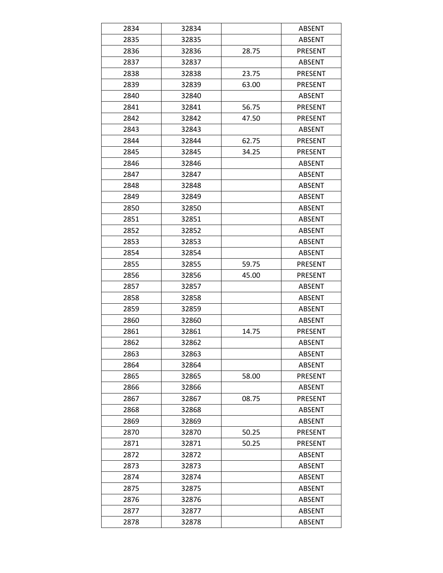| 2834 | 32834 |       | <b>ABSENT</b>  |
|------|-------|-------|----------------|
| 2835 | 32835 |       | <b>ABSENT</b>  |
| 2836 | 32836 | 28.75 | <b>PRESENT</b> |
| 2837 | 32837 |       | <b>ABSENT</b>  |
| 2838 | 32838 | 23.75 | PRESENT        |
| 2839 | 32839 | 63.00 | <b>PRESENT</b> |
| 2840 | 32840 |       | <b>ABSENT</b>  |
| 2841 | 32841 | 56.75 | PRESENT        |
| 2842 | 32842 | 47.50 | <b>PRESENT</b> |
| 2843 | 32843 |       | <b>ABSENT</b>  |
| 2844 | 32844 | 62.75 | <b>PRESENT</b> |
| 2845 | 32845 | 34.25 | <b>PRESENT</b> |
| 2846 | 32846 |       | <b>ABSENT</b>  |
| 2847 | 32847 |       | <b>ABSENT</b>  |
| 2848 | 32848 |       | <b>ABSENT</b>  |
| 2849 | 32849 |       | <b>ABSENT</b>  |
| 2850 | 32850 |       | <b>ABSENT</b>  |
| 2851 | 32851 |       | <b>ABSENT</b>  |
| 2852 | 32852 |       | <b>ABSENT</b>  |
| 2853 | 32853 |       | <b>ABSENT</b>  |
| 2854 | 32854 |       | <b>ABSENT</b>  |
| 2855 | 32855 | 59.75 | <b>PRESENT</b> |
| 2856 | 32856 | 45.00 | <b>PRESENT</b> |
| 2857 | 32857 |       | <b>ABSENT</b>  |
| 2858 | 32858 |       | <b>ABSENT</b>  |
| 2859 | 32859 |       | <b>ABSENT</b>  |
| 2860 | 32860 |       | <b>ABSENT</b>  |
| 2861 | 32861 | 14.75 | PRESENT        |
| 2862 | 32862 |       | <b>ABSENT</b>  |
| 2863 | 32863 |       | <b>ABSENT</b>  |
| 2864 | 32864 |       | <b>ABSENT</b>  |
| 2865 | 32865 | 58.00 | <b>PRESENT</b> |
| 2866 | 32866 |       | ABSENT         |
| 2867 | 32867 | 08.75 | PRESENT        |
| 2868 | 32868 |       | <b>ABSENT</b>  |
| 2869 | 32869 |       | <b>ABSENT</b>  |
| 2870 | 32870 | 50.25 | PRESENT        |
| 2871 | 32871 | 50.25 | <b>PRESENT</b> |
| 2872 | 32872 |       | <b>ABSENT</b>  |
| 2873 | 32873 |       | <b>ABSENT</b>  |
| 2874 | 32874 |       | <b>ABSENT</b>  |
| 2875 | 32875 |       | <b>ABSENT</b>  |
| 2876 | 32876 |       | <b>ABSENT</b>  |
| 2877 | 32877 |       | <b>ABSENT</b>  |
| 2878 | 32878 |       | <b>ABSENT</b>  |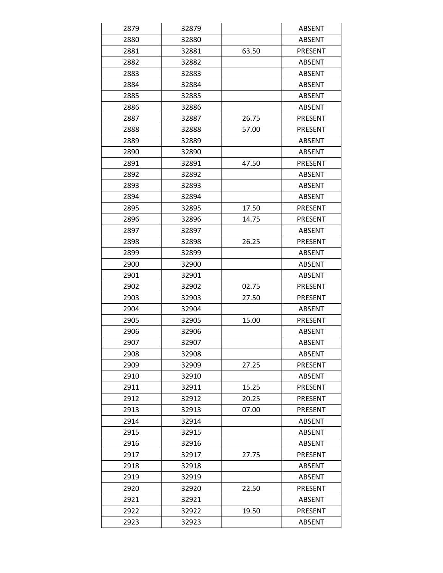| 2879 | 32879 |       | <b>ABSENT</b>  |
|------|-------|-------|----------------|
| 2880 | 32880 |       | <b>ABSENT</b>  |
| 2881 | 32881 | 63.50 | <b>PRESENT</b> |
| 2882 | 32882 |       | <b>ABSENT</b>  |
| 2883 | 32883 |       | <b>ABSENT</b>  |
| 2884 | 32884 |       | <b>ABSENT</b>  |
| 2885 | 32885 |       | <b>ABSENT</b>  |
| 2886 | 32886 |       | <b>ABSENT</b>  |
| 2887 | 32887 | 26.75 | <b>PRESENT</b> |
| 2888 | 32888 | 57.00 | <b>PRESENT</b> |
| 2889 | 32889 |       | <b>ABSENT</b>  |
| 2890 | 32890 |       | <b>ABSENT</b>  |
| 2891 | 32891 | 47.50 | <b>PRESENT</b> |
| 2892 | 32892 |       | <b>ABSENT</b>  |
| 2893 | 32893 |       | <b>ABSENT</b>  |
| 2894 | 32894 |       | <b>ABSENT</b>  |
| 2895 | 32895 | 17.50 | <b>PRESENT</b> |
| 2896 | 32896 | 14.75 | <b>PRESENT</b> |
| 2897 | 32897 |       | <b>ABSENT</b>  |
| 2898 | 32898 | 26.25 | <b>PRESENT</b> |
| 2899 | 32899 |       | <b>ABSENT</b>  |
| 2900 | 32900 |       | <b>ABSENT</b>  |
| 2901 | 32901 |       | <b>ABSENT</b>  |
| 2902 | 32902 | 02.75 | PRESENT        |
| 2903 | 32903 | 27.50 | <b>PRESENT</b> |
| 2904 | 32904 |       | <b>ABSENT</b>  |
| 2905 | 32905 | 15.00 | <b>PRESENT</b> |
| 2906 | 32906 |       | <b>ABSENT</b>  |
| 2907 | 32907 |       | <b>ABSENT</b>  |
| 2908 | 32908 |       | <b>ABSENT</b>  |
| 2909 | 32909 | 27.25 | <b>PRESENT</b> |
| 2910 | 32910 |       | <b>ABSENT</b>  |
| 2911 | 32911 | 15.25 | <b>PRESENT</b> |
| 2912 | 32912 | 20.25 | PRESENT        |
| 2913 | 32913 | 07.00 | PRESENT        |
| 2914 | 32914 |       | <b>ABSENT</b>  |
| 2915 | 32915 |       | <b>ABSENT</b>  |
| 2916 | 32916 |       | <b>ABSENT</b>  |
| 2917 | 32917 | 27.75 | <b>PRESENT</b> |
| 2918 | 32918 |       | <b>ABSENT</b>  |
| 2919 | 32919 |       | <b>ABSENT</b>  |
| 2920 | 32920 | 22.50 | <b>PRESENT</b> |
| 2921 | 32921 |       | <b>ABSENT</b>  |
| 2922 | 32922 | 19.50 | PRESENT        |
| 2923 | 32923 |       | <b>ABSENT</b>  |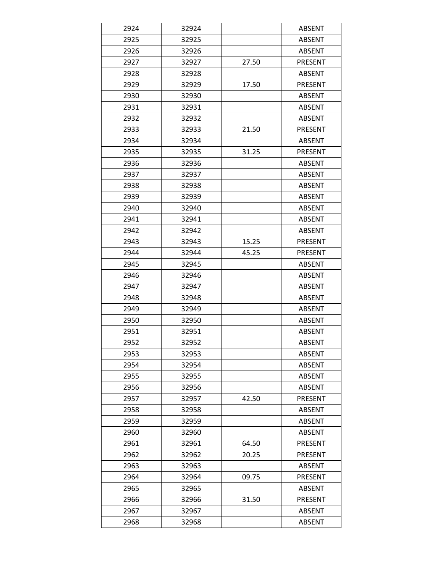| 2924 | 32924 |       | <b>ABSENT</b>  |
|------|-------|-------|----------------|
| 2925 | 32925 |       | <b>ABSENT</b>  |
| 2926 | 32926 |       | <b>ABSENT</b>  |
| 2927 | 32927 | 27.50 | PRESENT        |
| 2928 | 32928 |       | <b>ABSENT</b>  |
| 2929 | 32929 | 17.50 | <b>PRESENT</b> |
| 2930 | 32930 |       | <b>ABSENT</b>  |
| 2931 | 32931 |       | <b>ABSENT</b>  |
| 2932 | 32932 |       | <b>ABSENT</b>  |
| 2933 | 32933 | 21.50 | <b>PRESENT</b> |
| 2934 | 32934 |       | <b>ABSENT</b>  |
| 2935 | 32935 | 31.25 | PRESENT        |
| 2936 | 32936 |       | <b>ABSENT</b>  |
| 2937 | 32937 |       | <b>ABSENT</b>  |
| 2938 | 32938 |       | <b>ABSENT</b>  |
| 2939 | 32939 |       | <b>ABSENT</b>  |
| 2940 | 32940 |       | <b>ABSENT</b>  |
| 2941 | 32941 |       | <b>ABSENT</b>  |
| 2942 | 32942 |       | <b>ABSENT</b>  |
| 2943 | 32943 | 15.25 | <b>PRESENT</b> |
| 2944 | 32944 | 45.25 | <b>PRESENT</b> |
| 2945 | 32945 |       | <b>ABSENT</b>  |
| 2946 | 32946 |       | <b>ABSENT</b>  |
| 2947 | 32947 |       | <b>ABSENT</b>  |
| 2948 | 32948 |       | <b>ABSENT</b>  |
| 2949 | 32949 |       | <b>ABSENT</b>  |
| 2950 | 32950 |       | <b>ABSENT</b>  |
| 2951 | 32951 |       | <b>ABSENT</b>  |
| 2952 | 32952 |       | <b>ABSENT</b>  |
| 2953 | 32953 |       | <b>ABSENT</b>  |
| 2954 | 32954 |       | <b>ABSENT</b>  |
| 2955 | 32955 |       | <b>ABSENT</b>  |
| 2956 | 32956 |       | <b>ABSENT</b>  |
| 2957 | 32957 | 42.50 | PRESENT        |
| 2958 | 32958 |       | <b>ABSENT</b>  |
| 2959 | 32959 |       | <b>ABSENT</b>  |
| 2960 | 32960 |       | <b>ABSENT</b>  |
| 2961 | 32961 | 64.50 | <b>PRESENT</b> |
| 2962 | 32962 | 20.25 | <b>PRESENT</b> |
| 2963 | 32963 |       | <b>ABSENT</b>  |
| 2964 | 32964 | 09.75 | PRESENT        |
| 2965 | 32965 |       | <b>ABSENT</b>  |
| 2966 | 32966 | 31.50 | PRESENT        |
| 2967 | 32967 |       | ABSENT         |
| 2968 | 32968 |       | <b>ABSENT</b>  |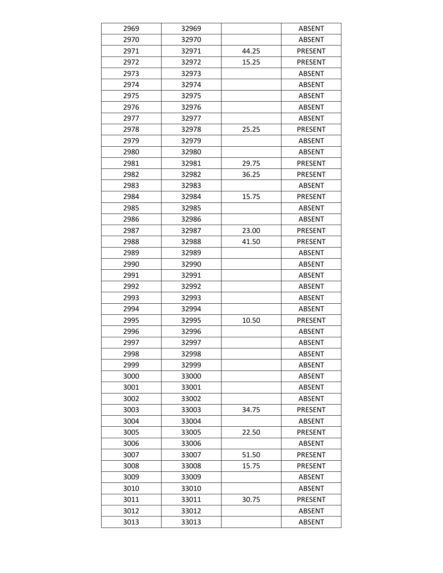| 2969 | 32969 |       | <b>ABSENT</b>  |
|------|-------|-------|----------------|
| 2970 | 32970 |       | <b>ABSENT</b>  |
| 2971 | 32971 | 44.25 | <b>PRESENT</b> |
| 2972 | 32972 | 15.25 | <b>PRESENT</b> |
| 2973 | 32973 |       | <b>ABSENT</b>  |
| 2974 | 32974 |       | <b>ABSENT</b>  |
| 2975 | 32975 |       | <b>ABSENT</b>  |
| 2976 | 32976 |       | <b>ABSENT</b>  |
| 2977 | 32977 |       | <b>ABSENT</b>  |
| 2978 | 32978 | 25.25 | <b>PRESENT</b> |
| 2979 | 32979 |       | <b>ABSENT</b>  |
| 2980 | 32980 |       | <b>ABSENT</b>  |
| 2981 | 32981 | 29.75 | <b>PRESENT</b> |
| 2982 | 32982 | 36.25 | <b>PRESENT</b> |
| 2983 | 32983 |       | <b>ABSENT</b>  |
| 2984 | 32984 | 15.75 | <b>PRESENT</b> |
| 2985 | 32985 |       | ABSENT         |
| 2986 | 32986 |       | <b>ABSENT</b>  |
| 2987 | 32987 | 23.00 | <b>PRESENT</b> |
| 2988 | 32988 | 41.50 | <b>PRESENT</b> |
| 2989 | 32989 |       | <b>ABSENT</b>  |
| 2990 | 32990 |       | <b>ABSENT</b>  |
| 2991 | 32991 |       | <b>ABSENT</b>  |
| 2992 | 32992 |       | <b>ABSENT</b>  |
| 2993 | 32993 |       | <b>ABSENT</b>  |
| 2994 | 32994 |       | <b>ABSENT</b>  |
| 2995 | 32995 | 10.50 | <b>PRESENT</b> |
| 2996 | 32996 |       | <b>ABSENT</b>  |
| 2997 | 32997 |       | <b>ABSENT</b>  |
| 2998 | 32998 |       | <b>ABSENT</b>  |
| 2999 | 32999 |       | <b>ABSENT</b>  |
| 3000 | 33000 |       | <b>ABSENT</b>  |
| 3001 | 33001 |       | <b>ABSENT</b>  |
| 3002 | 33002 |       | <b>ABSENT</b>  |
| 3003 | 33003 | 34.75 | <b>PRESENT</b> |
| 3004 | 33004 |       | <b>ABSENT</b>  |
| 3005 | 33005 | 22.50 | PRESENT        |
| 3006 | 33006 |       | <b>ABSENT</b>  |
| 3007 | 33007 | 51.50 | PRESENT        |
| 3008 | 33008 | 15.75 | PRESENT        |
| 3009 | 33009 |       | <b>ABSENT</b>  |
| 3010 | 33010 |       | <b>ABSENT</b>  |
| 3011 | 33011 | 30.75 | PRESENT        |
| 3012 | 33012 |       | <b>ABSENT</b>  |
| 3013 | 33013 |       | <b>ABSENT</b>  |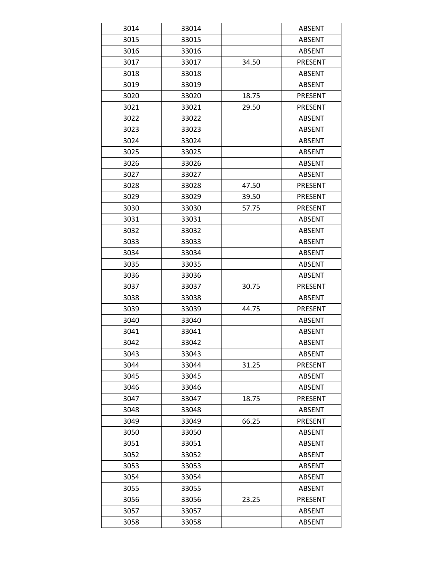| 3014 | 33014 |       | <b>ABSENT</b>  |
|------|-------|-------|----------------|
| 3015 | 33015 |       | <b>ABSENT</b>  |
| 3016 | 33016 |       | <b>ABSENT</b>  |
| 3017 | 33017 | 34.50 | PRESENT        |
| 3018 | 33018 |       | <b>ABSENT</b>  |
| 3019 | 33019 |       | <b>ABSENT</b>  |
| 3020 | 33020 | 18.75 | PRESENT        |
| 3021 | 33021 | 29.50 | <b>PRESENT</b> |
| 3022 | 33022 |       | <b>ABSENT</b>  |
| 3023 | 33023 |       | <b>ABSENT</b>  |
| 3024 | 33024 |       | <b>ABSENT</b>  |
| 3025 | 33025 |       | <b>ABSENT</b>  |
| 3026 | 33026 |       | <b>ABSENT</b>  |
| 3027 | 33027 |       | <b>ABSENT</b>  |
| 3028 | 33028 | 47.50 | PRESENT        |
| 3029 | 33029 | 39.50 | PRESENT        |
| 3030 | 33030 | 57.75 | <b>PRESENT</b> |
| 3031 | 33031 |       | <b>ABSENT</b>  |
| 3032 | 33032 |       | <b>ABSENT</b>  |
| 3033 | 33033 |       | <b>ABSENT</b>  |
| 3034 | 33034 |       | <b>ABSENT</b>  |
| 3035 | 33035 |       | <b>ABSENT</b>  |
| 3036 | 33036 |       | <b>ABSENT</b>  |
| 3037 | 33037 | 30.75 | PRESENT        |
| 3038 | 33038 |       | <b>ABSENT</b>  |
| 3039 | 33039 | 44.75 | <b>PRESENT</b> |
| 3040 | 33040 |       | <b>ABSENT</b>  |
| 3041 | 33041 |       | <b>ABSENT</b>  |
| 3042 | 33042 |       | <b>ABSENT</b>  |
| 3043 | 33043 |       | <b>ABSENT</b>  |
| 3044 | 33044 | 31.25 | <b>PRESENT</b> |
| 3045 | 33045 |       | <b>ABSENT</b>  |
| 3046 | 33046 |       | <b>ABSENT</b>  |
| 3047 | 33047 | 18.75 | PRESENT        |
| 3048 | 33048 |       | <b>ABSENT</b>  |
| 3049 | 33049 | 66.25 | PRESENT        |
| 3050 | 33050 |       | <b>ABSENT</b>  |
| 3051 | 33051 |       | <b>ABSENT</b>  |
| 3052 | 33052 |       | <b>ABSENT</b>  |
| 3053 | 33053 |       | <b>ABSENT</b>  |
| 3054 | 33054 |       | <b>ABSENT</b>  |
| 3055 | 33055 |       | <b>ABSENT</b>  |
| 3056 | 33056 | 23.25 | PRESENT        |
| 3057 | 33057 |       | ABSENT         |
| 3058 | 33058 |       | <b>ABSENT</b>  |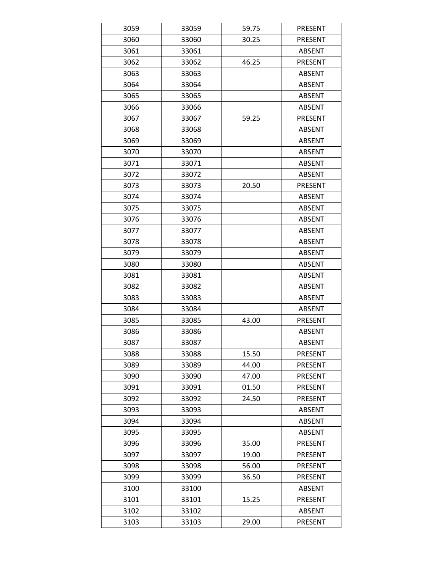| 3059 | 33059 | 59.75 | <b>PRESENT</b> |
|------|-------|-------|----------------|
| 3060 | 33060 | 30.25 | <b>PRESENT</b> |
| 3061 | 33061 |       | <b>ABSENT</b>  |
| 3062 | 33062 | 46.25 | PRESENT        |
| 3063 | 33063 |       | <b>ABSENT</b>  |
| 3064 | 33064 |       | <b>ABSENT</b>  |
| 3065 | 33065 |       | <b>ABSENT</b>  |
| 3066 | 33066 |       | <b>ABSENT</b>  |
| 3067 | 33067 | 59.25 | <b>PRESENT</b> |
| 3068 | 33068 |       | <b>ABSENT</b>  |
| 3069 | 33069 |       | <b>ABSENT</b>  |
| 3070 | 33070 |       | <b>ABSENT</b>  |
| 3071 | 33071 |       | <b>ABSENT</b>  |
| 3072 | 33072 |       | <b>ABSENT</b>  |
| 3073 | 33073 | 20.50 | <b>PRESENT</b> |
| 3074 | 33074 |       | <b>ABSENT</b>  |
| 3075 | 33075 |       | <b>ABSENT</b>  |
| 3076 | 33076 |       | <b>ABSENT</b>  |
| 3077 | 33077 |       | <b>ABSENT</b>  |
| 3078 | 33078 |       | <b>ABSENT</b>  |
| 3079 | 33079 |       | <b>ABSENT</b>  |
| 3080 | 33080 |       | <b>ABSENT</b>  |
| 3081 | 33081 |       | <b>ABSENT</b>  |
| 3082 | 33082 |       | <b>ABSENT</b>  |
| 3083 | 33083 |       | <b>ABSENT</b>  |
| 3084 | 33084 |       | <b>ABSENT</b>  |
| 3085 | 33085 | 43.00 | <b>PRESENT</b> |
| 3086 | 33086 |       | <b>ABSENT</b>  |
| 3087 | 33087 |       | <b>ABSENT</b>  |
| 3088 | 33088 | 15.50 | PRESENT        |
| 3089 | 33089 | 44.00 | <b>PRESENT</b> |
| 3090 | 33090 | 47.00 | <b>PRESENT</b> |
| 3091 | 33091 | 01.50 | <b>PRESENT</b> |
| 3092 | 33092 | 24.50 | PRESENT        |
| 3093 | 33093 |       | <b>ABSENT</b>  |
| 3094 | 33094 |       | <b>ABSENT</b>  |
| 3095 | 33095 |       | <b>ABSENT</b>  |
| 3096 | 33096 | 35.00 | <b>PRESENT</b> |
| 3097 | 33097 | 19.00 | PRESENT        |
| 3098 | 33098 | 56.00 | PRESENT        |
| 3099 | 33099 | 36.50 | PRESENT        |
| 3100 | 33100 |       | <b>ABSENT</b>  |
| 3101 | 33101 | 15.25 | PRESENT        |
| 3102 | 33102 |       | ABSENT         |
| 3103 | 33103 | 29.00 | <b>PRESENT</b> |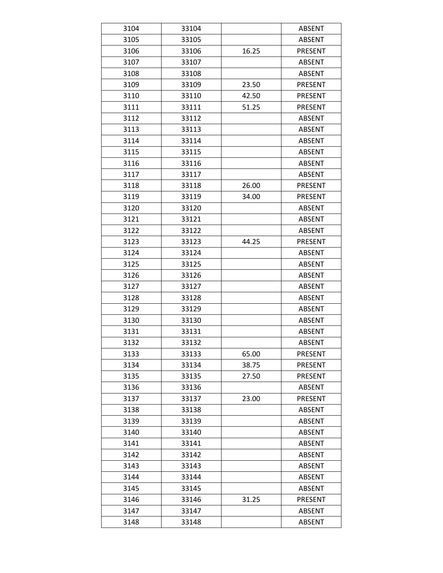| 3104 | 33104 |       | <b>ABSENT</b>  |
|------|-------|-------|----------------|
| 3105 | 33105 |       | <b>ABSENT</b>  |
| 3106 | 33106 | 16.25 | PRESENT        |
| 3107 | 33107 |       | <b>ABSENT</b>  |
| 3108 | 33108 |       | <b>ABSENT</b>  |
| 3109 | 33109 | 23.50 | PRESENT        |
| 3110 | 33110 | 42.50 | PRESENT        |
| 3111 | 33111 | 51.25 | PRESENT        |
| 3112 | 33112 |       | <b>ABSENT</b>  |
| 3113 | 33113 |       | <b>ABSENT</b>  |
| 3114 | 33114 |       | <b>ABSENT</b>  |
| 3115 | 33115 |       | <b>ABSENT</b>  |
| 3116 | 33116 |       | <b>ABSENT</b>  |
| 3117 | 33117 |       | <b>ABSENT</b>  |
| 3118 | 33118 | 26.00 | PRESENT        |
| 3119 | 33119 | 34.00 | <b>PRESENT</b> |
| 3120 | 33120 |       | <b>ABSENT</b>  |
| 3121 | 33121 |       | <b>ABSENT</b>  |
| 3122 | 33122 |       | <b>ABSENT</b>  |
| 3123 | 33123 | 44.25 | PRESENT        |
| 3124 | 33124 |       | <b>ABSENT</b>  |
| 3125 | 33125 |       | <b>ABSENT</b>  |
| 3126 | 33126 |       | <b>ABSENT</b>  |
| 3127 | 33127 |       | <b>ABSENT</b>  |
| 3128 | 33128 |       | <b>ABSENT</b>  |
| 3129 | 33129 |       | <b>ABSENT</b>  |
| 3130 | 33130 |       | <b>ABSENT</b>  |
| 3131 | 33131 |       | <b>ABSENT</b>  |
| 3132 | 33132 |       | <b>ABSENT</b>  |
| 3133 | 33133 | 65.00 | PRESENT        |
| 3134 | 33134 | 38.75 | <b>PRESENT</b> |
| 3135 | 33135 | 27.50 | PRESENT        |
| 3136 | 33136 |       | ABSENT         |
| 3137 | 33137 | 23.00 | PRESENT        |
| 3138 | 33138 |       | ABSENT         |
| 3139 | 33139 |       | <b>ABSENT</b>  |
| 3140 | 33140 |       | ABSENT         |
| 3141 | 33141 |       | <b>ABSENT</b>  |
| 3142 | 33142 |       | <b>ABSENT</b>  |
| 3143 | 33143 |       | <b>ABSENT</b>  |
| 3144 | 33144 |       | <b>ABSENT</b>  |
| 3145 | 33145 |       | <b>ABSENT</b>  |
| 3146 | 33146 | 31.25 | PRESENT        |
| 3147 | 33147 |       | ABSENT         |
| 3148 | 33148 |       | <b>ABSENT</b>  |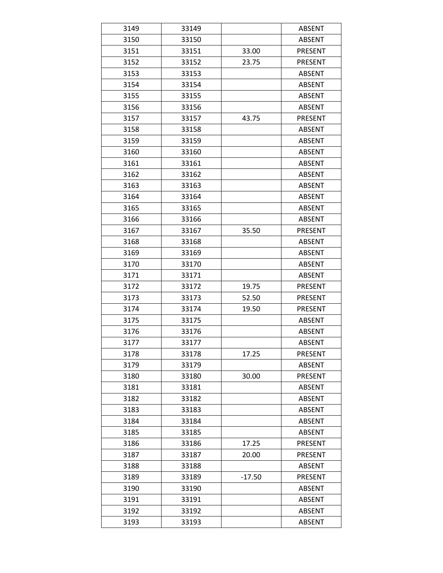| 3149 | 33149 |          | <b>ABSENT</b>  |
|------|-------|----------|----------------|
| 3150 | 33150 |          | <b>ABSENT</b>  |
| 3151 | 33151 | 33.00    | <b>PRESENT</b> |
| 3152 | 33152 | 23.75    | PRESENT        |
| 3153 | 33153 |          | <b>ABSENT</b>  |
| 3154 | 33154 |          | <b>ABSENT</b>  |
| 3155 | 33155 |          | <b>ABSENT</b>  |
| 3156 | 33156 |          | <b>ABSENT</b>  |
| 3157 | 33157 | 43.75    | <b>PRESENT</b> |
| 3158 | 33158 |          | <b>ABSENT</b>  |
| 3159 | 33159 |          | <b>ABSENT</b>  |
| 3160 | 33160 |          | <b>ABSENT</b>  |
| 3161 | 33161 |          | <b>ABSENT</b>  |
| 3162 | 33162 |          | <b>ABSENT</b>  |
| 3163 | 33163 |          | <b>ABSENT</b>  |
| 3164 | 33164 |          | <b>ABSENT</b>  |
| 3165 | 33165 |          | <b>ABSENT</b>  |
| 3166 | 33166 |          | <b>ABSENT</b>  |
| 3167 | 33167 | 35.50    | <b>PRESENT</b> |
| 3168 | 33168 |          | <b>ABSENT</b>  |
| 3169 | 33169 |          | <b>ABSENT</b>  |
| 3170 | 33170 |          | <b>ABSENT</b>  |
| 3171 | 33171 |          | <b>ABSENT</b>  |
| 3172 | 33172 | 19.75    | PRESENT        |
| 3173 | 33173 | 52.50    | PRESENT        |
| 3174 | 33174 | 19.50    | <b>PRESENT</b> |
| 3175 | 33175 |          | <b>ABSENT</b>  |
| 3176 | 33176 |          | <b>ABSENT</b>  |
| 3177 | 33177 |          | <b>ABSENT</b>  |
| 3178 | 33178 | 17.25    | PRESENT        |
| 3179 | 33179 |          | <b>ABSENT</b>  |
| 3180 | 33180 | 30.00    | <b>PRESENT</b> |
| 3181 | 33181 |          | <b>ABSENT</b>  |
| 3182 | 33182 |          | <b>ABSENT</b>  |
| 3183 | 33183 |          | <b>ABSENT</b>  |
| 3184 | 33184 |          | <b>ABSENT</b>  |
| 3185 | 33185 |          | <b>ABSENT</b>  |
| 3186 | 33186 | 17.25    | PRESENT        |
| 3187 | 33187 | 20.00    | <b>PRESENT</b> |
| 3188 | 33188 |          | <b>ABSENT</b>  |
| 3189 | 33189 | $-17.50$ | PRESENT        |
| 3190 | 33190 |          | <b>ABSENT</b>  |
| 3191 | 33191 |          | <b>ABSENT</b>  |
| 3192 | 33192 |          | ABSENT         |
| 3193 | 33193 |          | <b>ABSENT</b>  |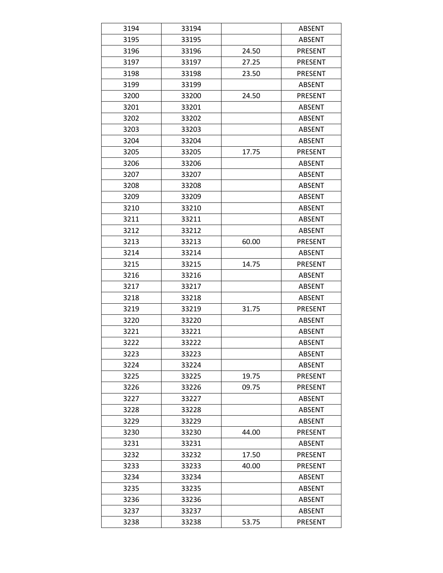| 3194 | 33194 |       | <b>ABSENT</b>  |
|------|-------|-------|----------------|
| 3195 | 33195 |       | <b>ABSENT</b>  |
| 3196 | 33196 | 24.50 | <b>PRESENT</b> |
| 3197 | 33197 | 27.25 | <b>PRESENT</b> |
| 3198 | 33198 | 23.50 | <b>PRESENT</b> |
| 3199 | 33199 |       | <b>ABSENT</b>  |
| 3200 | 33200 | 24.50 | <b>PRESENT</b> |
| 3201 | 33201 |       | <b>ABSENT</b>  |
| 3202 | 33202 |       | <b>ABSENT</b>  |
| 3203 | 33203 |       | <b>ABSENT</b>  |
| 3204 | 33204 |       | <b>ABSENT</b>  |
| 3205 | 33205 | 17.75 | <b>PRESENT</b> |
| 3206 | 33206 |       | <b>ABSENT</b>  |
| 3207 | 33207 |       | <b>ABSENT</b>  |
| 3208 | 33208 |       | <b>ABSENT</b>  |
| 3209 | 33209 |       | <b>ABSENT</b>  |
| 3210 | 33210 |       | <b>ABSENT</b>  |
| 3211 | 33211 |       | <b>ABSENT</b>  |
| 3212 | 33212 |       | <b>ABSENT</b>  |
| 3213 | 33213 | 60.00 | <b>PRESENT</b> |
| 3214 | 33214 |       | <b>ABSENT</b>  |
| 3215 | 33215 | 14.75 | PRESENT        |
| 3216 | 33216 |       | <b>ABSENT</b>  |
| 3217 | 33217 |       | <b>ABSENT</b>  |
| 3218 | 33218 |       | <b>ABSENT</b>  |
| 3219 | 33219 | 31.75 | <b>PRESENT</b> |
| 3220 | 33220 |       | <b>ABSENT</b>  |
| 3221 | 33221 |       | <b>ABSENT</b>  |
| 3222 | 33222 |       | <b>ABSENT</b>  |
| 3223 | 33223 |       | <b>ABSENT</b>  |
| 3224 | 33224 |       | <b>ABSENT</b>  |
| 3225 | 33225 | 19.75 | <b>PRESENT</b> |
| 3226 | 33226 | 09.75 | <b>PRESENT</b> |
| 3227 | 33227 |       | <b>ABSENT</b>  |
| 3228 | 33228 |       | <b>ABSENT</b>  |
| 3229 | 33229 |       | <b>ABSENT</b>  |
| 3230 | 33230 | 44.00 | PRESENT        |
| 3231 | 33231 |       | <b>ABSENT</b>  |
| 3232 | 33232 | 17.50 | PRESENT        |
| 3233 | 33233 | 40.00 | <b>PRESENT</b> |
| 3234 | 33234 |       | <b>ABSENT</b>  |
| 3235 | 33235 |       | <b>ABSENT</b>  |
| 3236 | 33236 |       | <b>ABSENT</b>  |
| 3237 | 33237 |       | <b>ABSENT</b>  |
| 3238 | 33238 | 53.75 | <b>PRESENT</b> |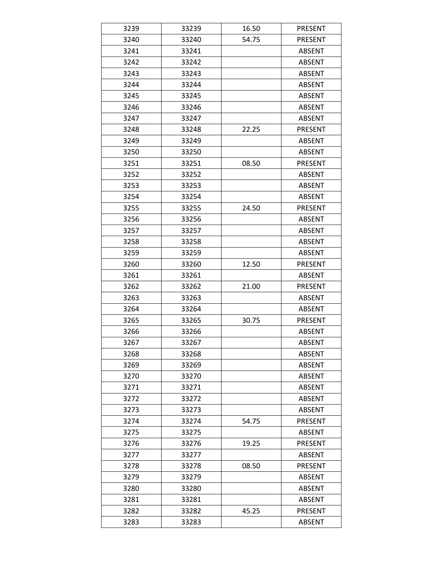| 3239 | 33239 | 16.50 | <b>PRESENT</b> |
|------|-------|-------|----------------|
| 3240 | 33240 | 54.75 | <b>PRESENT</b> |
| 3241 | 33241 |       | <b>ABSENT</b>  |
| 3242 | 33242 |       | <b>ABSENT</b>  |
| 3243 | 33243 |       | <b>ABSENT</b>  |
| 3244 | 33244 |       | <b>ABSENT</b>  |
| 3245 | 33245 |       | <b>ABSENT</b>  |
| 3246 | 33246 |       | <b>ABSENT</b>  |
| 3247 | 33247 |       | <b>ABSENT</b>  |
| 3248 | 33248 | 22.25 | <b>PRESENT</b> |
| 3249 | 33249 |       | <b>ABSENT</b>  |
| 3250 | 33250 |       | <b>ABSENT</b>  |
| 3251 | 33251 | 08.50 | <b>PRESENT</b> |
| 3252 | 33252 |       | <b>ABSENT</b>  |
| 3253 | 33253 |       | <b>ABSENT</b>  |
| 3254 | 33254 |       | <b>ABSENT</b>  |
| 3255 | 33255 | 24.50 | <b>PRESENT</b> |
| 3256 | 33256 |       | <b>ABSENT</b>  |
| 3257 | 33257 |       | <b>ABSENT</b>  |
| 3258 | 33258 |       | <b>ABSENT</b>  |
| 3259 | 33259 |       | <b>ABSENT</b>  |
| 3260 | 33260 | 12.50 | <b>PRESENT</b> |
| 3261 | 33261 |       | <b>ABSENT</b>  |
| 3262 | 33262 | 21.00 | <b>PRESENT</b> |
| 3263 | 33263 |       | <b>ABSENT</b>  |
| 3264 | 33264 |       | <b>ABSENT</b>  |
| 3265 | 33265 | 30.75 | <b>PRESENT</b> |
| 3266 | 33266 |       | <b>ABSENT</b>  |
| 3267 | 33267 |       | <b>ABSENT</b>  |
| 3268 | 33268 |       | <b>ABSENT</b>  |
| 3269 | 33269 |       | <b>ABSENT</b>  |
| 3270 | 33270 |       | <b>ABSENT</b>  |
| 3271 | 33271 |       | ABSENT         |
| 3272 | 33272 |       | <b>ABSENT</b>  |
| 3273 | 33273 |       | <b>ABSENT</b>  |
| 3274 | 33274 | 54.75 | PRESENT        |
| 3275 | 33275 |       | <b>ABSENT</b>  |
| 3276 | 33276 | 19.25 | PRESENT        |
| 3277 | 33277 |       | <b>ABSENT</b>  |
| 3278 | 33278 | 08.50 | PRESENT        |
| 3279 | 33279 |       | <b>ABSENT</b>  |
| 3280 | 33280 |       | ABSENT         |
| 3281 | 33281 |       | <b>ABSENT</b>  |
| 3282 | 33282 | 45.25 | PRESENT        |
| 3283 | 33283 |       | ABSENT         |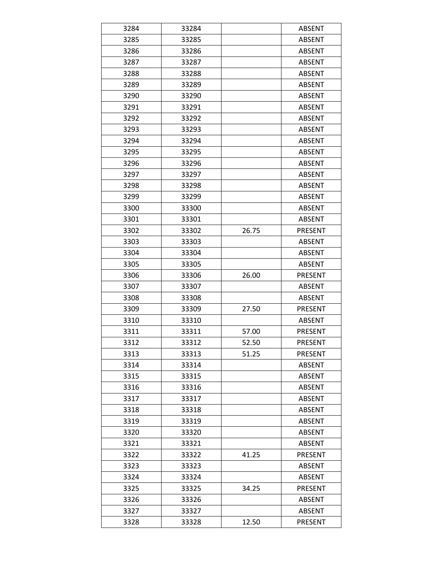| 3284 | 33284 |       | <b>ABSENT</b>  |
|------|-------|-------|----------------|
| 3285 | 33285 |       | <b>ABSENT</b>  |
| 3286 | 33286 |       | <b>ABSENT</b>  |
| 3287 | 33287 |       | <b>ABSENT</b>  |
| 3288 | 33288 |       | <b>ABSENT</b>  |
| 3289 | 33289 |       | <b>ABSENT</b>  |
| 3290 | 33290 |       | <b>ABSENT</b>  |
| 3291 | 33291 |       | <b>ABSENT</b>  |
| 3292 | 33292 |       | <b>ABSENT</b>  |
| 3293 | 33293 |       | <b>ABSENT</b>  |
| 3294 | 33294 |       | <b>ABSENT</b>  |
| 3295 | 33295 |       | <b>ABSENT</b>  |
| 3296 | 33296 |       | <b>ABSENT</b>  |
| 3297 | 33297 |       | <b>ABSENT</b>  |
| 3298 | 33298 |       | <b>ABSENT</b>  |
| 3299 | 33299 |       | <b>ABSENT</b>  |
| 3300 | 33300 |       | <b>ABSENT</b>  |
| 3301 | 33301 |       | <b>ABSENT</b>  |
| 3302 | 33302 | 26.75 | <b>PRESENT</b> |
| 3303 | 33303 |       | <b>ABSENT</b>  |
| 3304 | 33304 |       | <b>ABSENT</b>  |
| 3305 | 33305 |       | <b>ABSENT</b>  |
| 3306 | 33306 | 26.00 | <b>PRESENT</b> |
| 3307 | 33307 |       | <b>ABSENT</b>  |
| 3308 | 33308 |       | <b>ABSENT</b>  |
| 3309 | 33309 | 27.50 | <b>PRESENT</b> |
| 3310 | 33310 |       | <b>ABSENT</b>  |
| 3311 | 33311 | 57.00 | <b>PRESENT</b> |
| 3312 | 33312 | 52.50 | PRESENT        |
| 3313 | 33313 | 51.25 | PRESENT        |
| 3314 | 33314 |       | <b>ABSENT</b>  |
| 3315 | 33315 |       | <b>ABSENT</b>  |
| 3316 | 33316 |       | ABSENT         |
| 3317 | 33317 |       | <b>ABSENT</b>  |
| 3318 | 33318 |       | <b>ABSENT</b>  |
| 3319 | 33319 |       | <b>ABSENT</b>  |
| 3320 | 33320 |       | <b>ABSENT</b>  |
| 3321 | 33321 |       | <b>ABSENT</b>  |
| 3322 | 33322 | 41.25 | <b>PRESENT</b> |
| 3323 | 33323 |       | <b>ABSENT</b>  |
| 3324 | 33324 |       | <b>ABSENT</b>  |
| 3325 | 33325 | 34.25 | <b>PRESENT</b> |
| 3326 | 33326 |       | <b>ABSENT</b>  |
| 3327 | 33327 |       | ABSENT         |
| 3328 | 33328 | 12.50 | <b>PRESENT</b> |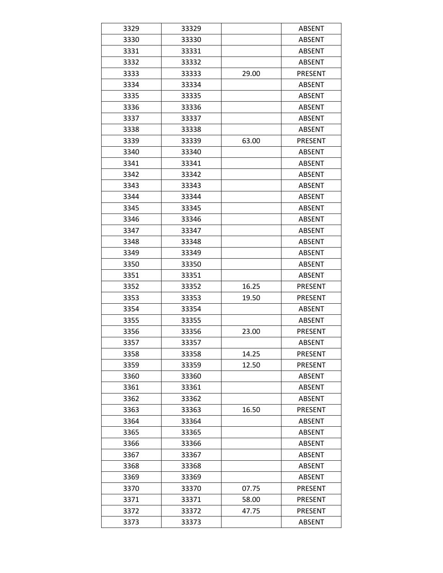| 3329 | 33329 |       | <b>ABSENT</b>  |
|------|-------|-------|----------------|
| 3330 | 33330 |       | <b>ABSENT</b>  |
| 3331 | 33331 |       | <b>ABSENT</b>  |
| 3332 | 33332 |       | <b>ABSENT</b>  |
| 3333 | 33333 | 29.00 | <b>PRESENT</b> |
| 3334 | 33334 |       | <b>ABSENT</b>  |
| 3335 | 33335 |       | <b>ABSENT</b>  |
| 3336 | 33336 |       | <b>ABSENT</b>  |
| 3337 | 33337 |       | <b>ABSENT</b>  |
| 3338 | 33338 |       | <b>ABSENT</b>  |
| 3339 | 33339 | 63.00 | <b>PRESENT</b> |
| 3340 | 33340 |       | <b>ABSENT</b>  |
| 3341 | 33341 |       | <b>ABSENT</b>  |
| 3342 | 33342 |       | <b>ABSENT</b>  |
| 3343 | 33343 |       | <b>ABSENT</b>  |
| 3344 | 33344 |       | <b>ABSENT</b>  |
| 3345 | 33345 |       | <b>ABSENT</b>  |
| 3346 | 33346 |       | <b>ABSENT</b>  |
| 3347 | 33347 |       | <b>ABSENT</b>  |
| 3348 | 33348 |       | <b>ABSENT</b>  |
| 3349 | 33349 |       | <b>ABSENT</b>  |
| 3350 | 33350 |       | <b>ABSENT</b>  |
| 3351 | 33351 |       | <b>ABSENT</b>  |
| 3352 | 33352 | 16.25 | PRESENT        |
| 3353 | 33353 | 19.50 | <b>PRESENT</b> |
| 3354 | 33354 |       | <b>ABSENT</b>  |
| 3355 | 33355 |       | <b>ABSENT</b>  |
| 3356 | 33356 | 23.00 | PRESENT        |
| 3357 | 33357 |       | <b>ABSENT</b>  |
| 3358 | 33358 | 14.25 | PRESENT        |
| 3359 | 33359 | 12.50 | <b>PRESENT</b> |
| 3360 | 33360 |       | <b>ABSENT</b>  |
| 3361 | 33361 |       | <b>ABSENT</b>  |
| 3362 | 33362 |       | <b>ABSENT</b>  |
| 3363 | 33363 | 16.50 | PRESENT        |
| 3364 | 33364 |       | <b>ABSENT</b>  |
| 3365 | 33365 |       | <b>ABSENT</b>  |
| 3366 | 33366 |       | <b>ABSENT</b>  |
| 3367 | 33367 |       | <b>ABSENT</b>  |
| 3368 | 33368 |       | <b>ABSENT</b>  |
| 3369 | 33369 |       | <b>ABSENT</b>  |
| 3370 | 33370 | 07.75 | <b>PRESENT</b> |
| 3371 | 33371 | 58.00 | PRESENT        |
| 3372 | 33372 | 47.75 | PRESENT        |
| 3373 | 33373 |       | <b>ABSENT</b>  |